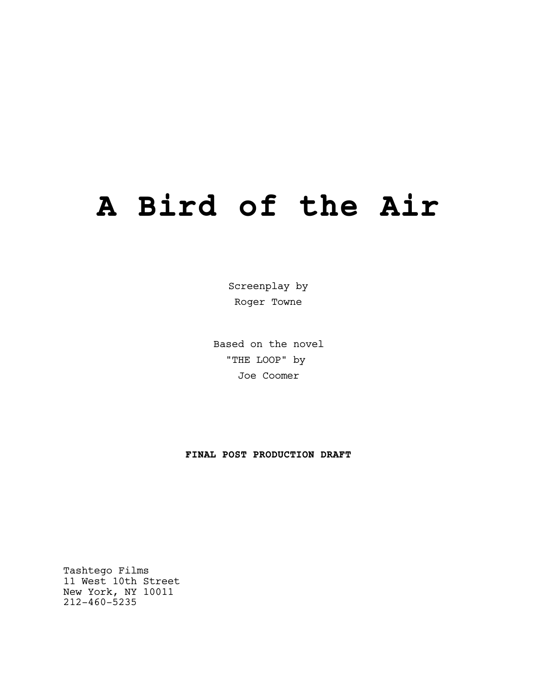# **A Bird of the Air**

Screenplay by Roger Towne

Based on the novel "THE LOOP" by Joe Coomer

**FINAL POST PRODUCTION DRAFT**

Tashtego Films 11 West 10th Street New York, NY 10011 212-460-5235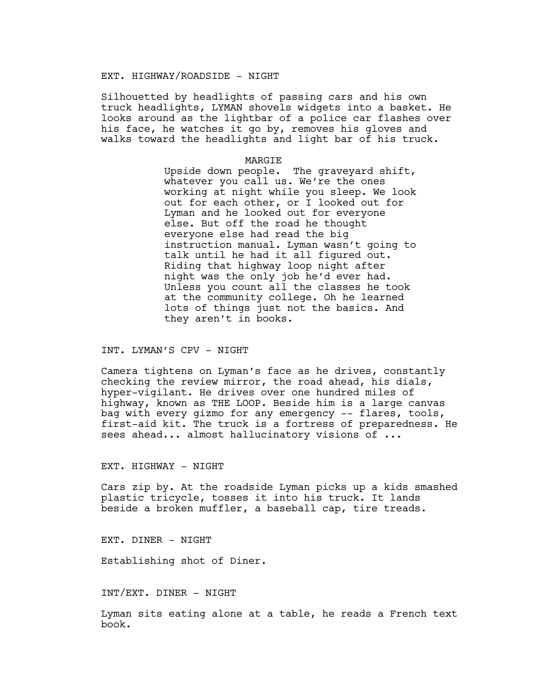#### EXT. HIGHWAY/ROADSIDE - NIGHT

Silhouetted by headlights of passing cars and his own truck headlights, LYMAN shovels widgets into a basket. He looks around as the lightbar of a police car flashes over his face, he watches it go by, removes his gloves and walks toward the headlights and light bar of his truck.

#### MARGIE

Upside down people. The graveyard shift, whatever you call us. We're the ones working at night while you sleep. We look out for each other, or I looked out for Lyman and he looked out for everyone else. But off the road he thought everyone else had read the big instruction manual. Lyman wasn't going to talk until he had it all figured out. Riding that highway loop night after night was the only job he'd ever had. Unless you count all the classes he took at the community college. Oh he learned lots of things just not the basics. And they aren't in books.

### INT. LYMAN'S CPV - NIGHT

Camera tightens on Lyman's face as he drives, constantly checking the review mirror, the road ahead, his dials, hyper-vigilant. He drives over one hundred miles of highway, known as THE LOOP. Beside him is a large canvas bag with every gizmo for any emergency -- flares, tools, first-aid kit. The truck is a fortress of preparedness. He sees ahead... almost hallucinatory visions of ...

#### EXT. HIGHWAY - NIGHT

Cars zip by. At the roadside Lyman picks up a kids smashed plastic tricycle, tosses it into his truck. It lands beside a broken muffler, a baseball cap, tire treads.

EXT. DINER - NIGHT

Establishing shot of Diner.

INT/EXT. DINER - NIGHT

Lyman sits eating alone at a table, he reads a French text book.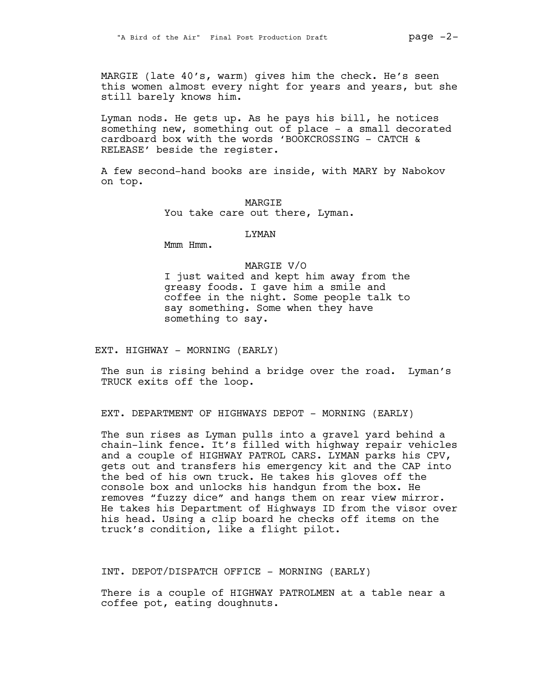MARGIE (late 40's, warm) gives him the check. He's seen

this women almost every night for years and years, but she still barely knows him.

Lyman nods. He gets up. As he pays his bill, he notices something new, something out of place - a small decorated cardboard box with the words 'BOOKCROSSING - CATCH & RELEASE' beside the register.

A few second-hand books are inside, with MARY by Nabokov on top.

> MARGIE You take care out there, Lyman.

# LYMAN

Mmm Hmm.

# MARGIE V/O

I just waited and kept him away from the greasy foods. I gave him a smile and coffee in the night. Some people talk to say something. Some when they have something to say.

EXT. HIGHWAY - MORNING (EARLY)

The sun is rising behind a bridge over the road. Lyman's TRUCK exits off the loop.

EXT. DEPARTMENT OF HIGHWAYS DEPOT - MORNING (EARLY)

The sun rises as Lyman pulls into a gravel yard behind a chain-link fence. It's filled with highway repair vehicles and a couple of HIGHWAY PATROL CARS. LYMAN parks his CPV, gets out and transfers his emergency kit and the CAP into the bed of his own truck. He takes his gloves off the console box and unlocks his handgun from the box. He removes "fuzzy dice" and hangs them on rear view mirror. He takes his Department of Highways ID from the visor over his head. Using a clip board he checks off items on the truck's condition, like a flight pilot.

# INT. DEPOT/DISPATCH OFFICE - MORNING (EARLY)

There is a couple of HIGHWAY PATROLMEN at a table near a coffee pot, eating doughnuts.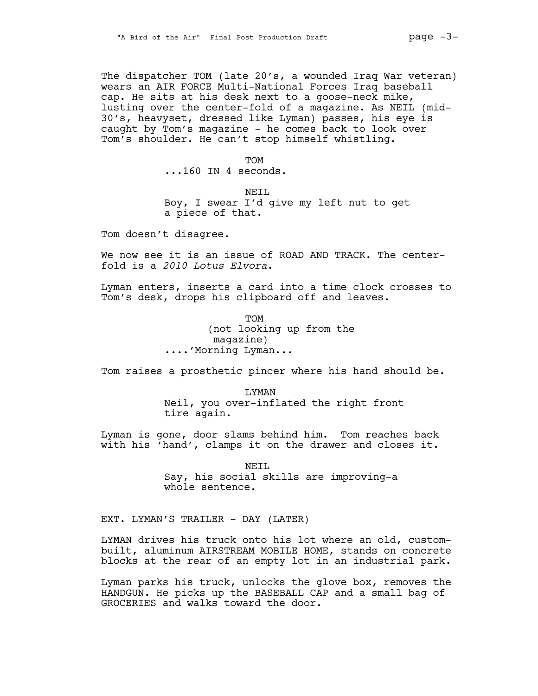The dispatcher TOM (late 20's, a wounded Iraq War veteran) wears an AIR FORCE Multi-National Forces Iraq baseball cap. He sits at his desk next to a goose-neck mike, lusting over the center-fold of a magazine. As NEIL (mid-30's, heavyset, dressed like Lyman) passes, his eye is caught by Tom's magazine - he comes back to look over Tom's shoulder. He can't stop himself whistling.

> TOM ...160 IN 4 seconds.

NEIL Boy, I swear I'd give my left nut to get a piece of that.

Tom doesn't disagree.

We now see it is an issue of ROAD AND TRACK. The centerfold is a *2010 Lotus Elvora*.

Lyman enters, inserts a card into a time clock crosses to Tom's desk, drops his clipboard off and leaves.

> **TOM** (not looking up from the magazine) ....'Morning Lyman...

Tom raises a prosthetic pincer where his hand should be.

LYMAN Neil, you over-inflated the right front tire again.

Lyman is gone, door slams behind him. Tom reaches back with his 'hand', clamps it on the drawer and closes it.

> NETT. Say, his social skills are improving-a whole sentence.

EXT. LYMAN'S TRAILER - DAY (LATER)

LYMAN drives his truck onto his lot where an old, custombuilt, aluminum AIRSTREAM MOBILE HOME, stands on concrete blocks at the rear of an empty lot in an industrial park.

Lyman parks his truck, unlocks the glove box, removes the HANDGUN. He picks up the BASEBALL CAP and a small bag of GROCERIES and walks toward the door.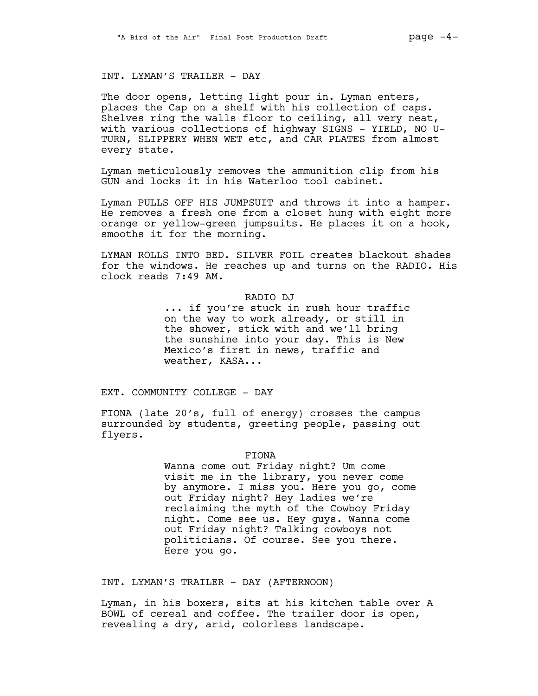#### INT. LYMAN'S TRAILER - DAY

The door opens, letting light pour in. Lyman enters, places the Cap on a shelf with his collection of caps. Shelves ring the walls floor to ceiling, all very neat, with various collections of highway SIGNS - YIELD, NO U-TURN, SLIPPERY WHEN WET etc, and CAR PLATES from almost every state.

Lyman meticulously removes the ammunition clip from his GUN and locks it in his Waterloo tool cabinet.

Lyman PULLS OFF HIS JUMPSUIT and throws it into a hamper. He removes a fresh one from a closet hung with eight more orange or yellow-green jumpsuits. He places it on a hook, smooths it for the morning.

LYMAN ROLLS INTO BED. SILVER FOIL creates blackout shades for the windows. He reaches up and turns on the RADIO. His clock reads 7:49 AM.

#### RADIO DJ

... if you're stuck in rush hour traffic on the way to work already, or still in the shower, stick with and we'll bring the sunshine into your day. This is New Mexico's first in news, traffic and weather, KASA...

EXT. COMMUNITY COLLEGE - DAY

FIONA (late 20's, full of energy) crosses the campus surrounded by students, greeting people, passing out flyers.

# FIONA

Wanna come out Friday night? Um come visit me in the library, you never come by anymore. I miss you. Here you go, come out Friday night? Hey ladies we're reclaiming the myth of the Cowboy Friday night. Come see us. Hey guys. Wanna come out Friday night? Talking cowboys not politicians. Of course. See you there. Here you go.

INT. LYMAN'S TRAILER - DAY (AFTERNOON)

Lyman, in his boxers, sits at his kitchen table over A BOWL of cereal and coffee. The trailer door is open, revealing a dry, arid, colorless landscape.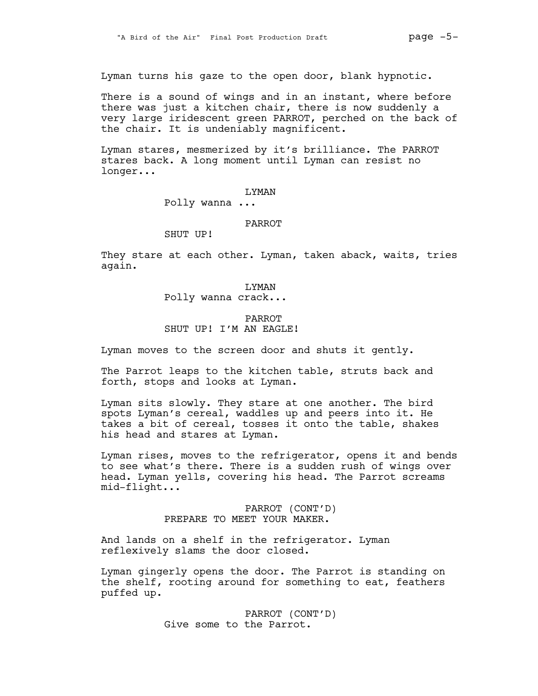Lyman turns his gaze to the open door, blank hypnotic.

There is a sound of wings and in an instant, where before there was just a kitchen chair, there is now suddenly a very large iridescent green PARROT, perched on the back of the chair. It is undeniably magnificent.

Lyman stares, mesmerized by it's brilliance. The PARROT stares back. A long moment until Lyman can resist no longer...

#### LYMAN

Polly wanna ...

#### PARROT

SHUT UP!

They stare at each other. Lyman, taken aback, waits, tries again.

#### LYMAN

Polly wanna crack...

# PARROT SHUT UP! I'M AN EAGLE!

Lyman moves to the screen door and shuts it gently.

The Parrot leaps to the kitchen table, struts back and forth, stops and looks at Lyman.

Lyman sits slowly. They stare at one another. The bird spots Lyman's cereal, waddles up and peers into it. He takes a bit of cereal, tosses it onto the table, shakes his head and stares at Lyman.

Lyman rises, moves to the refrigerator, opens it and bends to see what's there. There is a sudden rush of wings over head. Lyman yells, covering his head. The Parrot screams mid-flight...

> PARROT (CONT'D) PREPARE TO MEET YOUR MAKER.

And lands on a shelf in the refrigerator. Lyman reflexively slams the door closed.

Lyman gingerly opens the door. The Parrot is standing on the shelf, rooting around for something to eat, feathers puffed up.

> PARROT (CONT'D) Give some to the Parrot.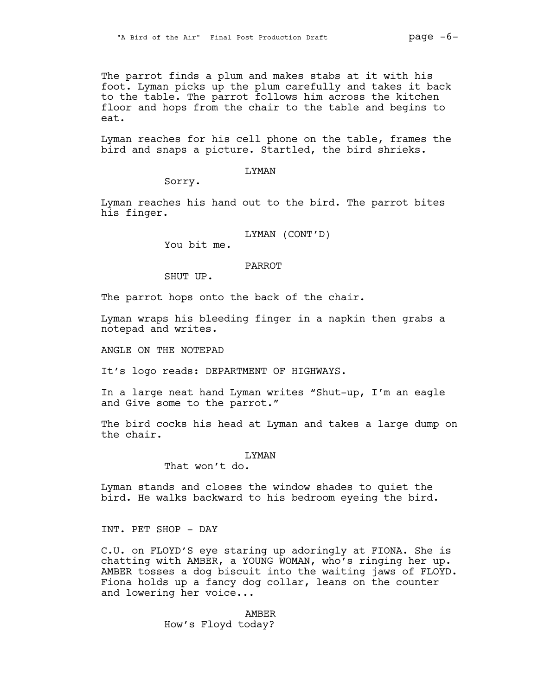The parrot finds a plum and makes stabs at it with his foot. Lyman picks up the plum carefully and takes it back to the table. The parrot follows him across the kitchen floor and hops from the chair to the table and begins to eat.

Lyman reaches for his cell phone on the table, frames the bird and snaps a picture. Startled, the bird shrieks.

#### LYMAN

Sorry.

Lyman reaches his hand out to the bird. The parrot bites his finger.

LYMAN (CONT'D)

You bit me.

#### PARROT

SHUT UP.

The parrot hops onto the back of the chair.

Lyman wraps his bleeding finger in a napkin then grabs a notepad and writes.

ANGLE ON THE NOTEPAD

It's logo reads: DEPARTMENT OF HIGHWAYS.

In a large neat hand Lyman writes "Shut-up, I'm an eagle and Give some to the parrot."

The bird cocks his head at Lyman and takes a large dump on the chair.

#### **T.YMAN**

That won't do.

Lyman stands and closes the window shades to quiet the bird. He walks backward to his bedroom eyeing the bird.

INT. PET SHOP - DAY

C.U. on FLOYD'S eye staring up adoringly at FIONA. She is chatting with AMBER, a YOUNG WOMAN, who's ringing her up. AMBER tosses a dog biscuit into the waiting jaws of FLOYD. Fiona holds up a fancy dog collar, leans on the counter and lowering her voice...

> AMBER How's Floyd today?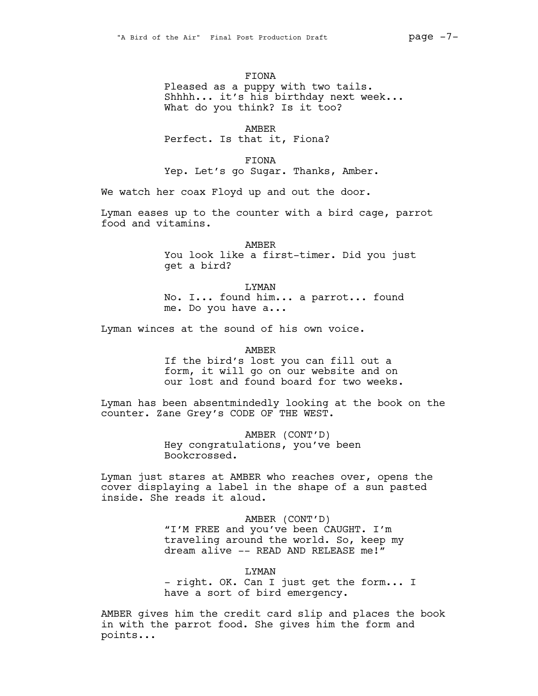#### FIONA

Pleased as a puppy with two tails. Shhhh... it's his birthday next week... What do you think? Is it too?

AMBER Perfect. Is that it, Fiona?

FIONA Yep. Let's go Sugar. Thanks, Amber.

We watch her coax Floyd up and out the door.

Lyman eases up to the counter with a bird cage, parrot food and vitamins.

> AMBER You look like a first-timer. Did you just get a bird?

> > LYMAN

No. I... found him... a parrot... found me. Do you have a...

Lyman winces at the sound of his own voice.

#### AMBER

If the bird's lost you can fill out a form, it will go on our website and on our lost and found board for two weeks.

Lyman has been absentmindedly looking at the book on the counter. Zane Grey's CODE OF THE WEST.

> AMBER (CONT'D) Hey congratulations, you've been Bookcrossed.

Lyman just stares at AMBER who reaches over, opens the cover displaying a label in the shape of a sun pasted inside. She reads it aloud.

AMBER (CONT'D)

"I'M FREE and you've been CAUGHT. I'm traveling around the world. So, keep my dream alive -- READ AND RELEASE me!"

LYMAN

- right. OK. Can I just get the form... I have a sort of bird emergency.

AMBER gives him the credit card slip and places the book in with the parrot food. She gives him the form and points...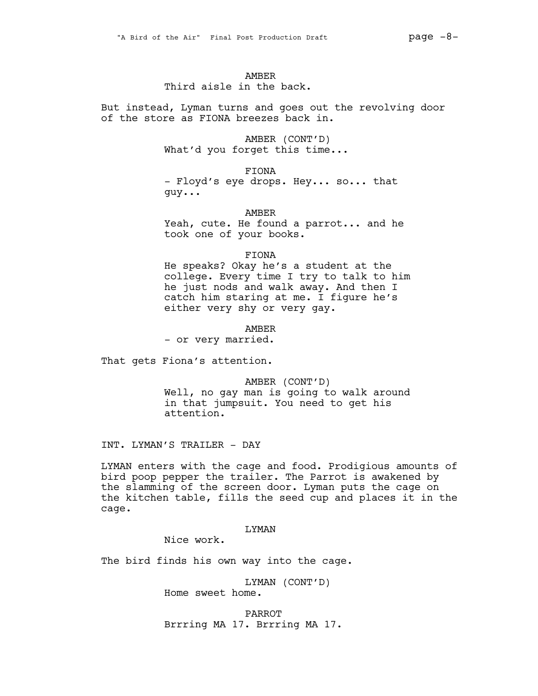#### AMBER

Third aisle in the back.

But instead, Lyman turns and goes out the revolving door of the store as FIONA breezes back in.

> AMBER (CONT'D) What'd you forget this time...

> > FIONA

- Floyd's eye drops. Hey... so... that guy...

AMBER

Yeah, cute. He found a parrot... and he took one of your books.

#### FIONA

He speaks? Okay he's a student at the college. Every time I try to talk to him he just nods and walk away. And then I catch him staring at me. I figure he's either very shy or very gay.

AMBER

- or very married.

That gets Fiona's attention.

AMBER (CONT'D) Well, no gay man is going to walk around in that jumpsuit. You need to get his attention.

INT. LYMAN'S TRAILER - DAY

LYMAN enters with the cage and food. Prodigious amounts of bird poop pepper the trailer. The Parrot is awakened by the slamming of the screen door. Lyman puts the cage on the kitchen table, fills the seed cup and places it in the cage.

#### LYMAN

Nice work.

The bird finds his own way into the cage.

LYMAN (CONT'D) Home sweet home.

PARROT Brrring MA 17. Brrring MA 17.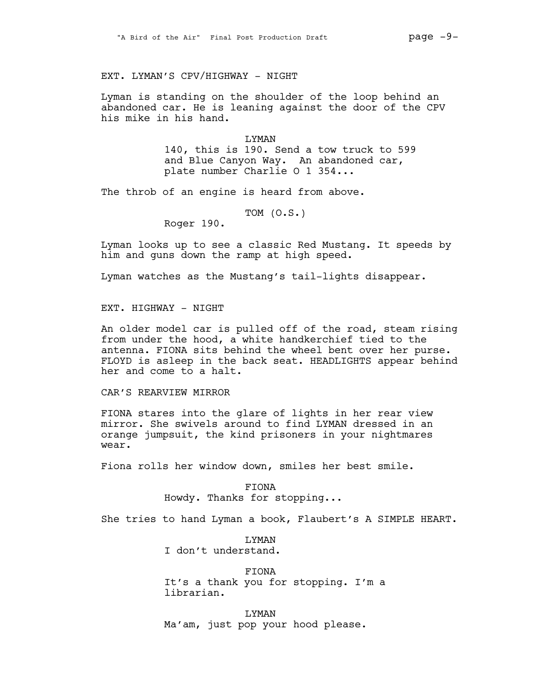EXT. LYMAN'S CPV/HIGHWAY - NIGHT

Lyman is standing on the shoulder of the loop behind an abandoned car. He is leaning against the door of the CPV his mike in his hand.

> LYMAN 140, this is 190. Send a tow truck to 599 and Blue Canyon Way. An abandoned car, plate number Charlie O 1 354...

The throb of an engine is heard from above.

TOM (O.S.)

Roger 190.

Lyman looks up to see a classic Red Mustang. It speeds by him and guns down the ramp at high speed.

Lyman watches as the Mustang's tail-lights disappear.

EXT. HIGHWAY - NIGHT

An older model car is pulled off of the road, steam rising from under the hood, a white handkerchief tied to the antenna. FIONA sits behind the wheel bent over her purse. FLOYD is asleep in the back seat. HEADLIGHTS appear behind her and come to a halt.

CAR'S REARVIEW MIRROR

FIONA stares into the glare of lights in her rear view mirror. She swivels around to find LYMAN dressed in an orange jumpsuit, the kind prisoners in your nightmares wear.

Fiona rolls her window down, smiles her best smile.

FIONA Howdy. Thanks for stopping...

She tries to hand Lyman a book, Flaubert's A SIMPLE HEART.

LYMAN

I don't understand.

FIONA It's a thank you for stopping. I'm a librarian.

LYMAN Ma'am, just pop your hood please.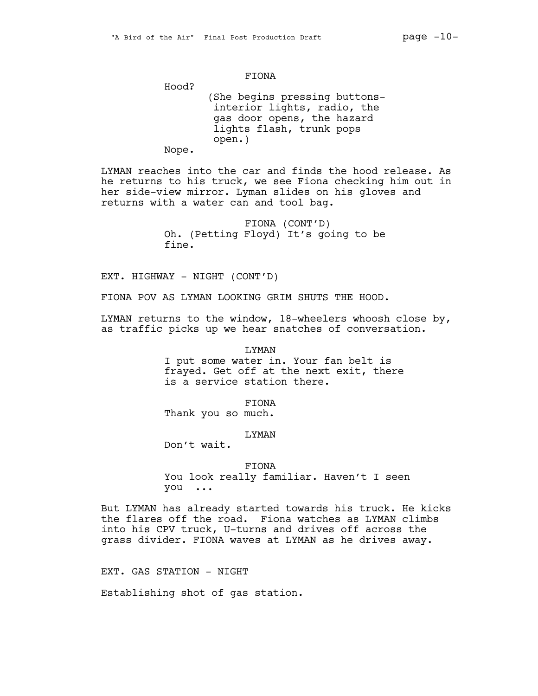#### FIONA

Hood?

(She begins pressing buttonsinterior lights, radio, the gas door opens, the hazard lights flash, trunk pops open.)

Nope.

LYMAN reaches into the car and finds the hood release. As he returns to his truck, we see Fiona checking him out in her side-view mirror. Lyman slides on his gloves and returns with a water can and tool bag.

> FIONA (CONT'D) Oh. (Petting Floyd) It's going to be fine.

EXT. HIGHWAY - NIGHT (CONT'D)

FIONA POV AS LYMAN LOOKING GRIM SHUTS THE HOOD.

LYMAN returns to the window, 18-wheelers whoosh close by, as traffic picks up we hear snatches of conversation.

> LYMAN I put some water in. Your fan belt is frayed. Get off at the next exit, there is a service station there.

> > FIONA

Thank you so much.

# LYMAN

Don't wait.

#### FIONA

You look really familiar. Haven't I seen you ...

But LYMAN has already started towards his truck. He kicks the flares off the road. Fiona watches as LYMAN climbs into his CPV truck, U-turns and drives off across the grass divider. FIONA waves at LYMAN as he drives away.

EXT. GAS STATION - NIGHT

Establishing shot of gas station.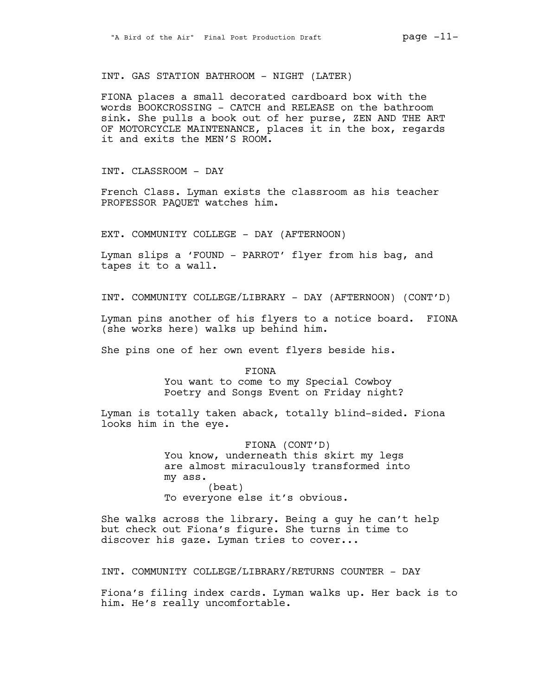INT. GAS STATION BATHROOM - NIGHT (LATER)

FIONA places a small decorated cardboard box with the words BOOKCROSSING - CATCH and RELEASE on the bathroom sink. She pulls a book out of her purse, ZEN AND THE ART OF MOTORCYCLE MAINTENANCE, places it in the box, regards it and exits the MEN'S ROOM.

INT. CLASSROOM - DAY

French Class. Lyman exists the classroom as his teacher PROFESSOR PAQUET watches him.

EXT. COMMUNITY COLLEGE - DAY (AFTERNOON)

Lyman slips a 'FOUND - PARROT' flyer from his bag, and tapes it to a wall.

INT. COMMUNITY COLLEGE/LIBRARY - DAY (AFTERNOON) (CONT'D)

Lyman pins another of his flyers to a notice board. FIONA (she works here) walks up behind him.

She pins one of her own event flyers beside his.

FIONA You want to come to my Special Cowboy Poetry and Songs Event on Friday night?

Lyman is totally taken aback, totally blind-sided. Fiona looks him in the eye.

> FIONA (CONT'D) You know, underneath this skirt my legs are almost miraculously transformed into my ass. (beat) To everyone else it's obvious.

She walks across the library. Being a guy he can't help but check out Fiona's figure. She turns in time to discover his gaze. Lyman tries to cover...

INT. COMMUNITY COLLEGE/LIBRARY/RETURNS COUNTER - DAY

Fiona's filing index cards. Lyman walks up. Her back is to him. He's really uncomfortable.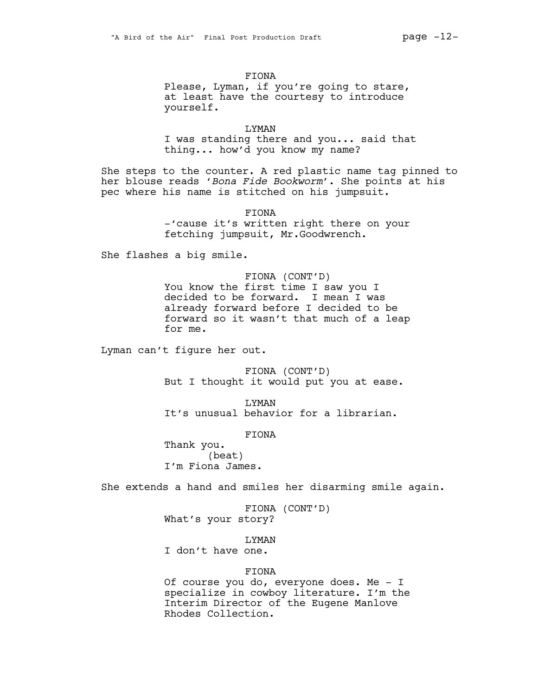#### FIONA

Please, Lyman, if you're going to stare, at least have the courtesy to introduce yourself.

LYMAN

I was standing there and you... said that thing... how'd you know my name?

She steps to the counter. A red plastic name tag pinned to her blouse reads *'Bona Fide Bookworm'*. She points at his pec where his name is stitched on his jumpsuit.

> FIONA -'cause it's written right there on your fetching jumpsuit, Mr.Goodwrench.

She flashes a big smile.

FIONA (CONT'D) You know the first time I saw you I decided to be forward. I mean I was already forward before I decided to be forward so it wasn't that much of a leap for me.

Lyman can't figure her out.

FIONA (CONT'D) But I thought it would put you at ease.

LYMAN It's unusual behavior for a librarian.

# FIONA

Thank you. (beat) I'm Fiona James.

She extends a hand and smiles her disarming smile again.

FIONA (CONT'D) What's your story?

LYMAN

I don't have one.

# FIONA

Of course you do, everyone does. Me - I specialize in cowboy literature. I'm the Interim Director of the Eugene Manlove Rhodes Collection.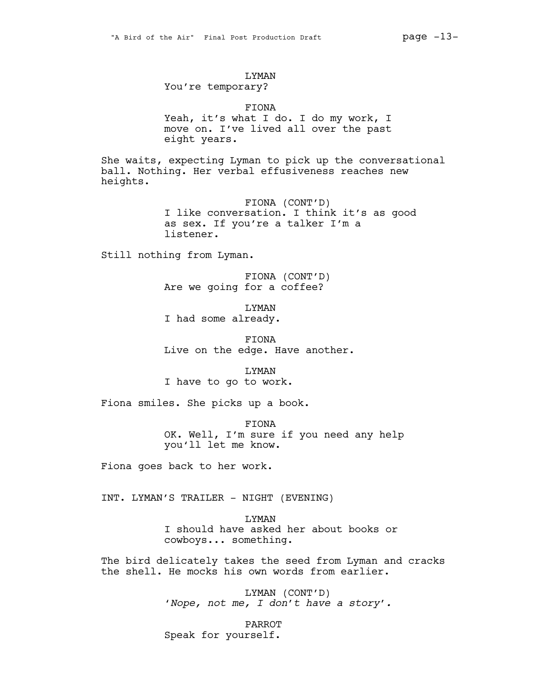#### LYMAN

# You're temporary?

FIONA Yeah, it's what I do. I do my work, I move on. I've lived all over the past eight years.

She waits, expecting Lyman to pick up the conversational ball. Nothing. Her verbal effusiveness reaches new heights.

> FIONA (CONT'D) I like conversation. I think it's as good as sex. If you're a talker I'm a listener.

Still nothing from Lyman.

FIONA (CONT'D) Are we going for a coffee?

LYMAN I had some already.

FIONA Live on the edge. Have another.

LYMAN I have to go to work.

Fiona smiles. She picks up a book.

FIONA OK. Well, I'm sure if you need any help you'll let me know.

Fiona goes back to her work.

INT. LYMAN'S TRAILER - NIGHT (EVENING)

# LYMAN

I should have asked her about books or cowboys... something.

The bird delicately takes the seed from Lyman and cracks the shell. He mocks his own words from earlier.

> LYMAN (CONT'D) *'Nope, not me, I don't have a story'.*

PARROT Speak for yourself.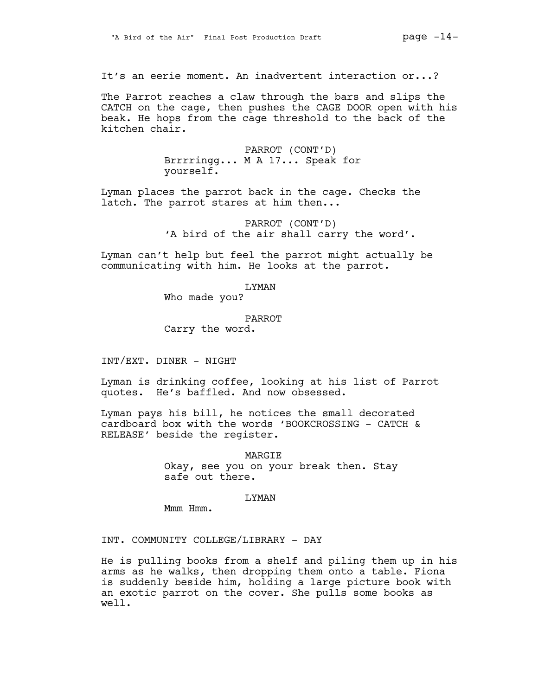It's an eerie moment. An inadvertent interaction or...?

The Parrot reaches a claw through the bars and slips the CATCH on the cage, then pushes the CAGE DOOR open with his beak. He hops from the cage threshold to the back of the kitchen chair.

> PARROT (CONT'D) Brrrringg... M A 17... Speak for yourself.

Lyman places the parrot back in the cage. Checks the latch. The parrot stares at him then...

> PARROT (CONT'D) 'A bird of the air shall carry the word'.

Lyman can't help but feel the parrot might actually be communicating with him. He looks at the parrot.

LYMAN

Who made you?

PARROT Carry the word.

INT/EXT. DINER - NIGHT

Lyman is drinking coffee, looking at his list of Parrot quotes. He's baffled. And now obsessed.

Lyman pays his bill, he notices the small decorated cardboard box with the words 'BOOKCROSSING - CATCH & RELEASE' beside the register.

> MARGIE Okay, see you on your break then. Stay safe out there.

#### LYMAN

Mmm Hmm.

INT. COMMUNITY COLLEGE/LIBRARY - DAY

He is pulling books from a shelf and piling them up in his arms as he walks, then dropping them onto a table. Fiona is suddenly beside him, holding a large picture book with an exotic parrot on the cover. She pulls some books as well.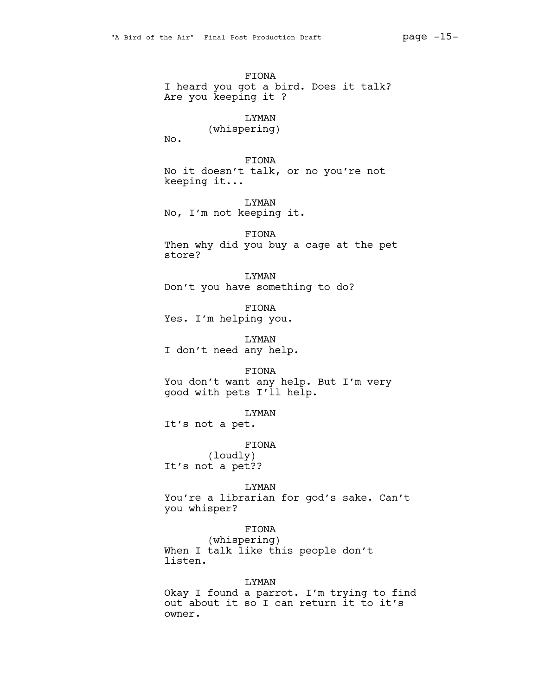FIONA I heard you got a bird. Does it talk? Are you keeping it ?

LYMAN

(whispering)

No.

FIONA No it doesn't talk, or no you're not keeping it...

LYMAN No, I'm not keeping it.

FIONA

Then why did you buy a cage at the pet store?

LYMAN Don't you have something to do?

FIONA Yes. I'm helping you.

LYMAN I don't need any help.

FIONA

You don't want any help. But I'm very good with pets I'll help.

LYMAN

It's not a pet.

FIONA

(loudly) It's not a pet??

LYMAN

You're a librarian for god's sake. Can't you whisper?

# FIONA

(whispering) When I talk like this people don't listen.

# LYMAN

Okay I found a parrot. I'm trying to find out about it so I can return it to it's owner.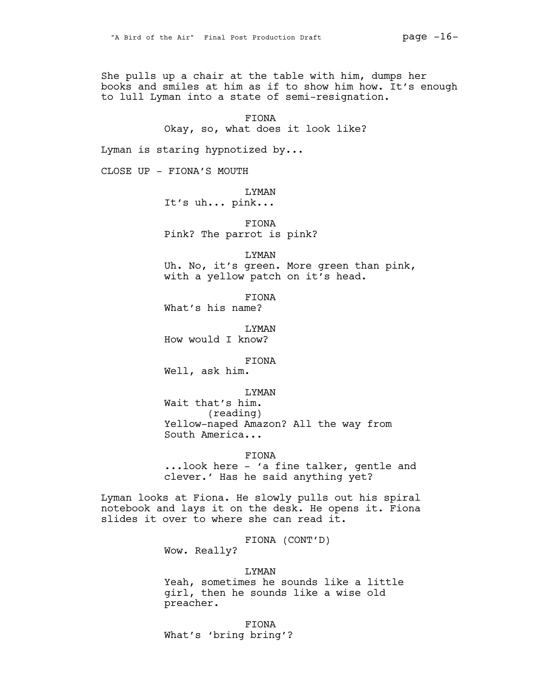She pulls up a chair at the table with him, dumps her books and smiles at him as if to show him how. It's enough to lull Lyman into a state of semi-resignation.

```
FIONA
```
Okay, so, what does it look like?

Lyman is staring hypnotized by...

CLOSE UP - FIONA'S MOUTH

LYMAN

It's uh... pink...

FIONA Pink? The parrot is pink?

LYMAN

Uh. No, it's green. More green than pink, with a yellow patch on it's head.

FIONA What's his name?

LYMAN How would I know?

FIONA Well, ask him.

LYMAN

Wait that's him. (reading) Yellow-naped Amazon? All the way from South America...

FIONA

...look here - 'a fine talker, gentle and clever.' Has he said anything yet?

Lyman looks at Fiona. He slowly pulls out his spiral notebook and lays it on the desk. He opens it. Fiona slides it over to where she can read it.

FIONA (CONT'D)

Wow. Really?

LYMAN Yeah, sometimes he sounds like a little girl, then he sounds like a wise old preacher.

FIONA What's 'bring bring'?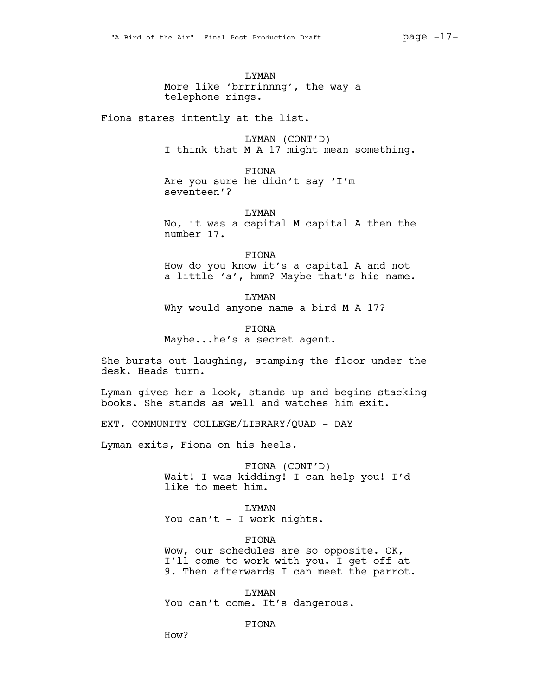#### LYMAN

More like 'brrrinnng', the way a telephone rings.

Fiona stares intently at the list.

LYMAN (CONT'D) I think that M A 17 might mean something.

FIONA Are you sure he didn't say 'I'm seventeen'?

LYMAN

No, it was a capital M capital A then the number 17.

FIONA

How do you know it's a capital A and not a little 'a', hmm? Maybe that's his name.

LYMAN Why would anyone name a bird M A 17?

FIONA Maybe...he's a secret agent.

She bursts out laughing, stamping the floor under the desk. Heads turn.

Lyman gives her a look, stands up and begins stacking books. She stands as well and watches him exit.

EXT. COMMUNITY COLLEGE/LIBRARY/QUAD - DAY

Lyman exits, Fiona on his heels.

FIONA (CONT'D) Wait! I was kidding! I can help you! I'd like to meet him.

LYMAN You can't - I work nights.

#### FIONA

Wow, our schedules are so opposite. OK, I'll come to work with you. I get off at 9. Then afterwards I can meet the parrot.

LYMAN You can't come. It's dangerous.

FIONA

How?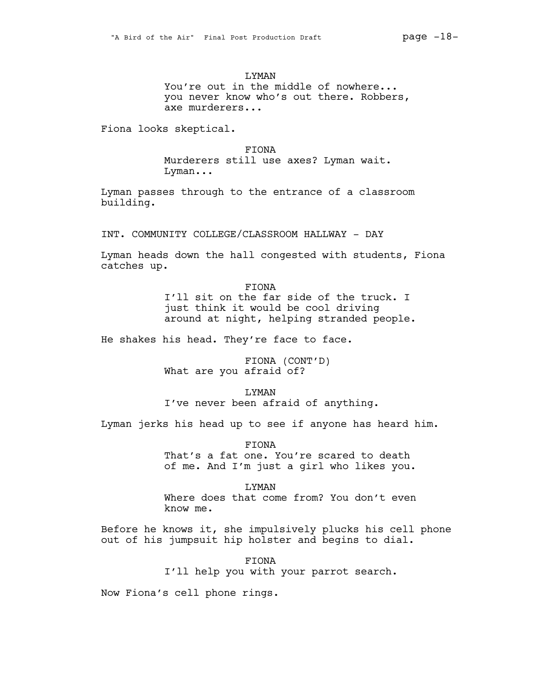#### LYMAN

You're out in the middle of nowhere... you never know who's out there. Robbers, axe murderers...

Fiona looks skeptical.

FIONA Murderers still use axes? Lyman wait. Lyman...

Lyman passes through to the entrance of a classroom building.

INT. COMMUNITY COLLEGE/CLASSROOM HALLWAY - DAY

Lyman heads down the hall congested with students, Fiona catches up.

> FIONA I'll sit on the far side of the truck. I just think it would be cool driving around at night, helping stranded people.

He shakes his head. They're face to face.

FIONA (CONT'D) What are you afraid of?

LYMAN I've never been afraid of anything.

Lyman jerks his head up to see if anyone has heard him.

FIONA That's a fat one. You're scared to death of me. And I'm just a girl who likes you.

LYMAN

Where does that come from? You don't even know me.

Before he knows it, she impulsively plucks his cell phone out of his jumpsuit hip holster and begins to dial.

> FIONA I'll help you with your parrot search.

Now Fiona's cell phone rings.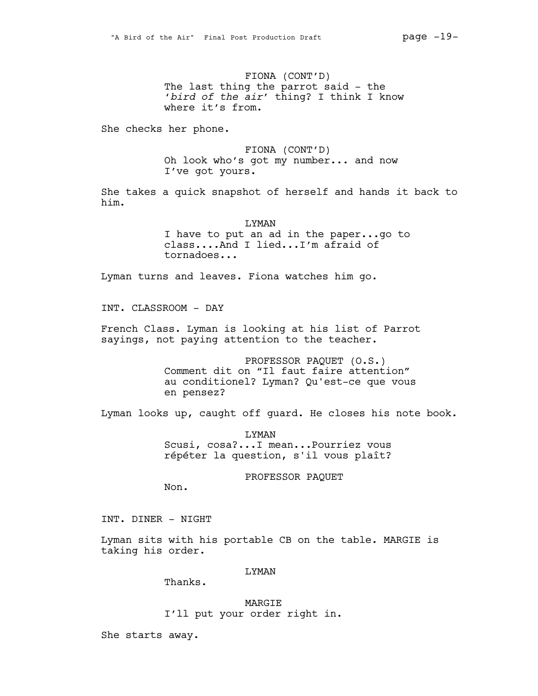FIONA (CONT'D) The last thing the parrot said - the *'bird of the air*' thing? I think I know where it's from.

She checks her phone.

FIONA (CONT'D) Oh look who's got my number... and now I've got yours.

She takes a quick snapshot of herself and hands it back to him.

> LYMAN I have to put an ad in the paper...go to class....And I lied...I'm afraid of tornadoes...

Lyman turns and leaves. Fiona watches him go.

INT. CLASSROOM - DAY

French Class. Lyman is looking at his list of Parrot sayings, not paying attention to the teacher.

> PROFESSOR PAQUET (O.S.) Comment dit on "Il faut faire attention" au conditionel? Lyman? Qu'est-ce que vous en pensez?

Lyman looks up, caught off guard. He closes his note book.

LYMAN Scusi, cosa?...I mean...Pourriez vous répéter la question, s'il vous plaît?

PROFESSOR PAQUET

Non.

INT. DINER - NIGHT

Lyman sits with his portable CB on the table. MARGIE is taking his order.

# LYMAN

Thanks.

MARGIE I'll put your order right in.

She starts away.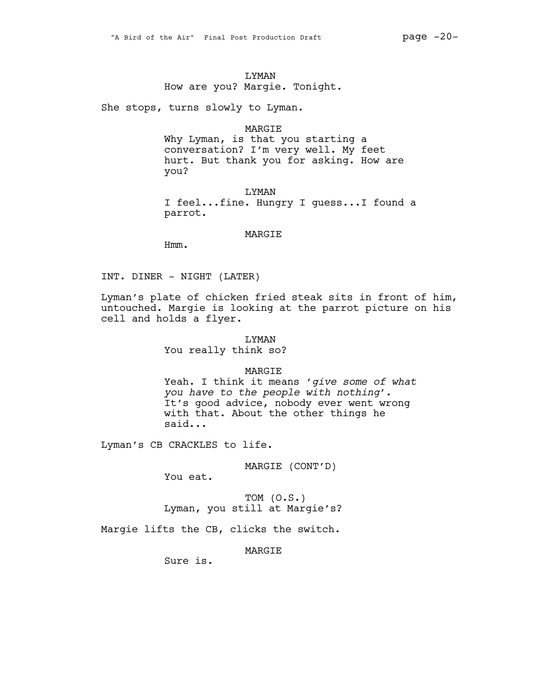#### LYMAN

How are you? Margie. Tonight.

She stops, turns slowly to Lyman.

#### MARGIE

Why Lyman, is that you starting a conversation? I'm very well. My feet hurt. But thank you for asking. How are you?

LYMAN I feel...fine. Hungry I guess...I found a parrot.

#### MARGIE

Hmm.

INT. DINER - NIGHT (LATER)

Lyman's plate of chicken fried steak sits in front of him, untouched. Margie is looking at the parrot picture on his cell and holds a flyer.

# LYMAN You really think so?

#### MARGIE

Yeah. I think it means '*give some of what you have to the people with nothing*'. It's good advice, nobody ever went wrong with that. About the other things he said...

Lyman's CB CRACKLES to life.

MARGIE (CONT'D)

You eat.

TOM  $(0.S.)$ Lyman, you still at Margie's?

Margie lifts the CB, clicks the switch.

# MARGIE

Sure is.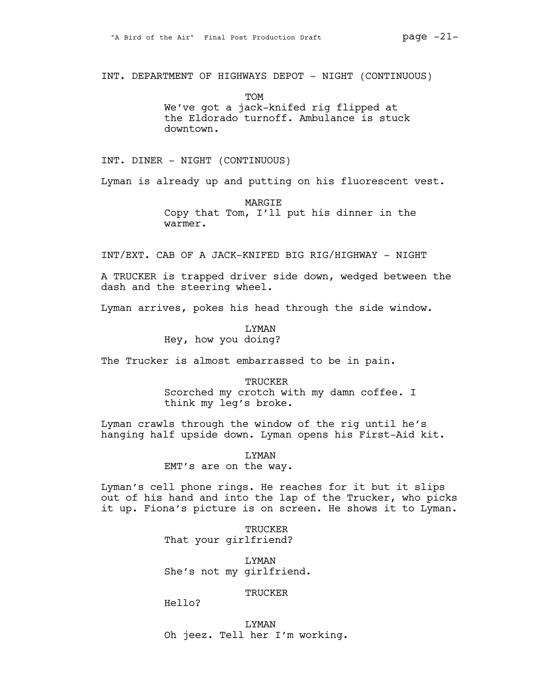INT. DEPARTMENT OF HIGHWAYS DEPOT - NIGHT (CONTINUOUS)

TOM We've got a jack-knifed rig flipped at the Eldorado turnoff. Ambulance is stuck downtown.

INT. DINER - NIGHT (CONTINUOUS)

Lyman is already up and putting on his fluorescent vest.

MARGIE

Copy that Tom, I'll put his dinner in the warmer.

INT/EXT. CAB OF A JACK-KNIFED BIG RIG/HIGHWAY - NIGHT

A TRUCKER is trapped driver side down, wedged between the dash and the steering wheel.

Lyman arrives, pokes his head through the side window.

LYMAN Hey, how you doing?

The Trucker is almost embarrassed to be in pain.

TRUCKER Scorched my crotch with my damn coffee. I think my leg's broke.

Lyman crawls through the window of the rig until he's hanging half upside down. Lyman opens his First-Aid kit.

> LYMAN EMT's are on the way.

Lyman's cell phone rings. He reaches for it but it slips out of his hand and into the lap of the Trucker, who picks it up. Fiona's picture is on screen. He shows it to Lyman.

> TRUCKER That your girlfriend?

LYMAN She's not my girlfriend.

**TRUCKER** 

Hello?

LYMAN Oh jeez. Tell her I'm working.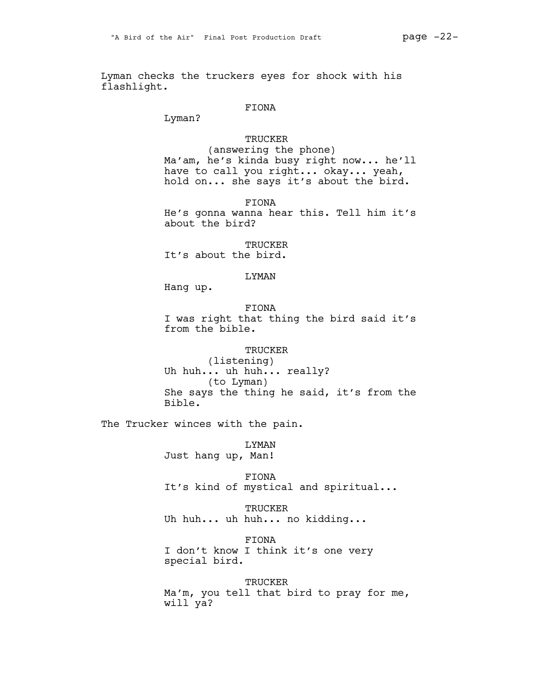Lyman checks the truckers eyes for shock with his flashlight.

#### FIONA

Lyman?

# **TRUCKER**

(answering the phone) Ma'am, he's kinda busy right now... he'll have to call you right... okay... yeah, hold on... she says it's about the bird.

FIONA

He's gonna wanna hear this. Tell him it's about the bird?

**TRUCKER** It's about the bird.

# LYMAN

Hang up.

FIONA I was right that thing the bird said it's from the bible.

**TRUCKER** (listening) Uh huh... uh huh... really? (to Lyman) She says the thing he said, it's from the Bible.

The Trucker winces with the pain.

LYMAN Just hang up, Man!

FIONA It's kind of mystical and spiritual...

TRUCKER Uh huh... uh huh... no kidding...

FIONA I don't know I think it's one very special bird.

#### TRUCKER

Ma'm, you tell that bird to pray for me, will ya?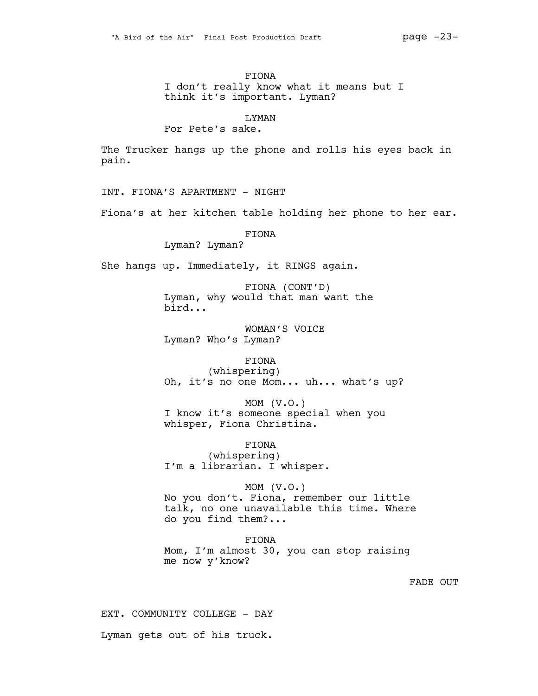FIONA I don't really know what it means but I think it's important. Lyman?

#### LYMAN

# For Pete's sake.

The Trucker hangs up the phone and rolls his eyes back in pain.

INT. FIONA'S APARTMENT - NIGHT

Fiona's at her kitchen table holding her phone to her ear.

#### FIONA

Lyman? Lyman?

She hangs up. Immediately, it RINGS again.

FIONA (CONT'D) Lyman, why would that man want the bird...

WOMAN'S VOICE Lyman? Who's Lyman?

FIONA (whispering) Oh, it's no one Mom... uh... what's up?

MOM  $(V.O.)$ I know it's someone special when you whisper, Fiona Christina.

FIONA (whispering) I'm a librarian. I whisper.

MOM (V.O.) No you don't. Fiona, remember our little talk, no one unavailable this time. Where do you find them?...

FIONA Mom, I'm almost 30, you can stop raising me now y'know?

FADE OUT

EXT. COMMUNITY COLLEGE - DAY

Lyman gets out of his truck.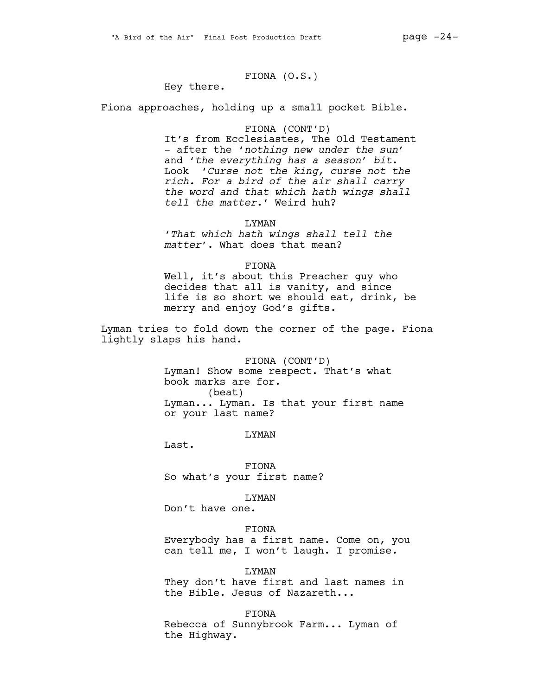#### FIONA (O.S.)

Hey there.

Fiona approaches, holding up a small pocket Bible.

#### FIONA (CONT'D)

It's from Ecclesiastes, The Old Testament - after the '*nothing new under the sun*' and '*the everything has a season' bit*. Look '*Curse not the king, curse not the rich. For a bird of the air shall carry the word and that which hath wings shall tell the matter*.' Weird huh?

LYMAN

'*That which hath wings shall tell the matter*'. What does that mean?

#### FIONA

Well, it's about this Preacher guy who decides that all is vanity, and since life is so short we should eat, drink, be merry and enjoy God's gifts.

Lyman tries to fold down the corner of the page. Fiona lightly slaps his hand.

> FIONA (CONT'D) Lyman! Show some respect. That's what book marks are for. (beat) Lyman... Lyman. Is that your first name or your last name?

> > LYMAN

Last.

FIONA So what's your first name?

#### LYMAN

Don't have one.

#### FIONA

Everybody has a first name. Come on, you can tell me, I won't laugh. I promise.

LYMAN

They don't have first and last names in the Bible. Jesus of Nazareth...

FIONA

Rebecca of Sunnybrook Farm... Lyman of the Highway.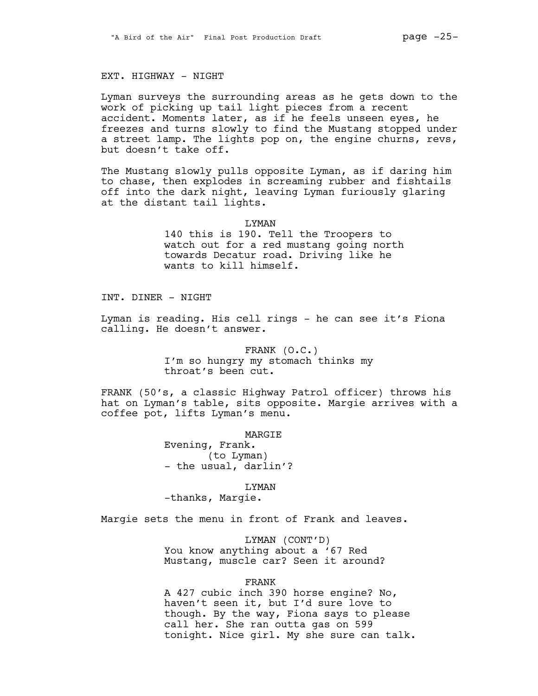#### EXT. HIGHWAY - NIGHT

Lyman surveys the surrounding areas as he gets down to the work of picking up tail light pieces from a recent accident. Moments later, as if he feels unseen eyes, he freezes and turns slowly to find the Mustang stopped under a street lamp. The lights pop on, the engine churns, revs, but doesn't take off.

The Mustang slowly pulls opposite Lyman, as if daring him to chase, then explodes in screaming rubber and fishtails off into the dark night, leaving Lyman furiously glaring at the distant tail lights.

> LYMAN 140 this is 190. Tell the Troopers to watch out for a red mustang going north towards Decatur road. Driving like he wants to kill himself.

INT. DINER - NIGHT

Lyman is reading. His cell rings - he can see it's Fiona calling. He doesn't answer.

> FRANK (O.C.) I'm so hungry my stomach thinks my throat's been cut.

FRANK (50's, a classic Highway Patrol officer) throws his hat on Lyman's table, sits opposite. Margie arrives with a coffee pot, lifts Lyman's menu.

MARGIE

Evening, Frank. (to Lyman) - the usual, darlin'?

LYMAN

-thanks, Margie.

Margie sets the menu in front of Frank and leaves.

LYMAN (CONT'D) You know anything about a '67 Red Mustang, muscle car? Seen it around?

#### FRANK

A 427 cubic inch 390 horse engine? No, haven't seen it, but I'd sure love to though. By the way, Fiona says to please call her. She ran outta gas on 599 tonight. Nice girl. My she sure can talk.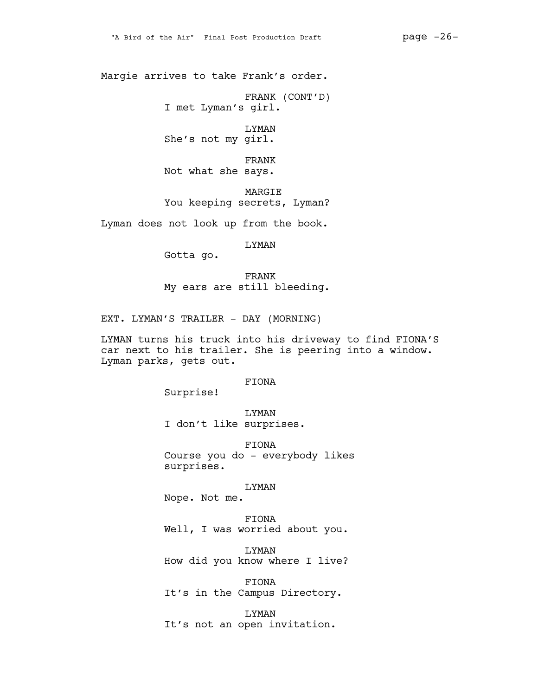Margie arrives to take Frank's order.

FRANK (CONT'D) I met Lyman's girl.

LYMAN She's not my girl.

FRANK Not what she says.

MARGIE You keeping secrets, Lyman?

Lyman does not look up from the book.

**T.YMAN** 

Gotta go.

FRANK My ears are still bleeding.

EXT. LYMAN'S TRAILER - DAY (MORNING)

LYMAN turns his truck into his driveway to find FIONA'S car next to his trailer. She is peering into a window. Lyman parks, gets out.

FIONA

Surprise!

LYMAN I don't like surprises.

FIONA Course you do - everybody likes surprises.

LYMAN

Nope. Not me.

FIONA Well, I was worried about you.

LYMAN How did you know where I live?

FIONA It's in the Campus Directory.

LYMAN It's not an open invitation.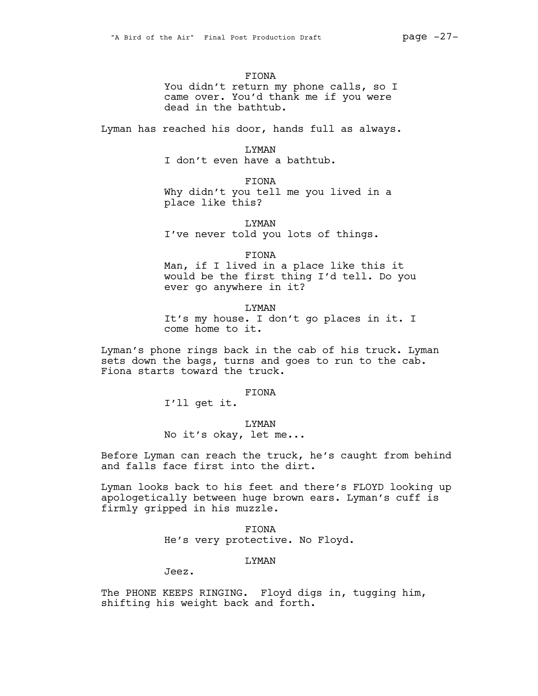#### FIONA

You didn't return my phone calls, so I came over. You'd thank me if you were dead in the bathtub.

Lyman has reached his door, hands full as always.

LYMAN I don't even have a bathtub.

FIONA

Why didn't you tell me you lived in a place like this?

LYMAN I've never told you lots of things.

FIONA

Man, if I lived in a place like this it would be the first thing I'd tell. Do you ever go anywhere in it?

LYMAN It's my house. I don't go places in it. I come home to it.

Lyman's phone rings back in the cab of his truck. Lyman sets down the bags, turns and goes to run to the cab. Fiona starts toward the truck.

FIONA

I'll get it.

LYMAN No it's okay, let me...

Before Lyman can reach the truck, he's caught from behind and falls face first into the dirt.

Lyman looks back to his feet and there's FLOYD looking up apologetically between huge brown ears. Lyman's cuff is firmly gripped in his muzzle.

> FIONA He's very protective. No Floyd.

#### LYMAN

Jeez.

The PHONE KEEPS RINGING. Floyd digs in, tugging him, shifting his weight back and forth.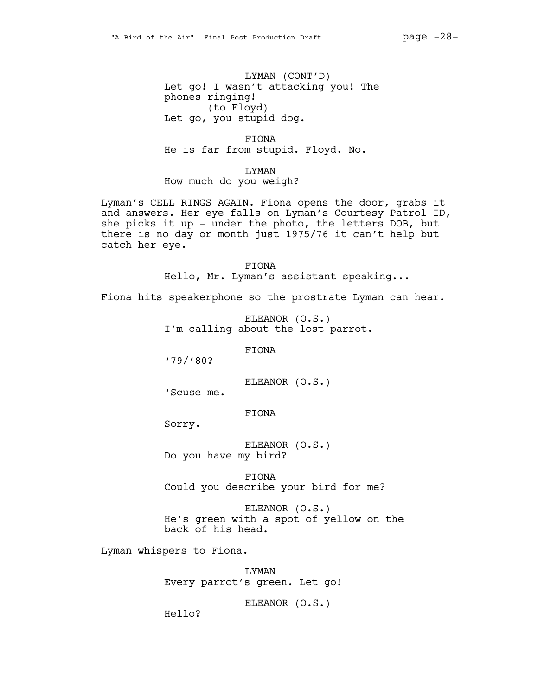LYMAN (CONT'D) Let go! I wasn't attacking you! The phones ringing! (to Floyd) Let go, you stupid dog.

FIONA He is far from stupid. Floyd. No.

LYMAN

How much do you weigh?

Lyman's CELL RINGS AGAIN. Fiona opens the door, grabs it and answers. Her eye falls on Lyman's Courtesy Patrol ID, she picks it up - under the photo, the letters DOB, but there is no day or month just 1975/76 it can't help but catch her eye.

> FIONA Hello, Mr. Lyman's assistant speaking...

Fiona hits speakerphone so the prostrate Lyman can hear.

ELEANOR (O.S.) I'm calling about the lost parrot.

FIONA

'79/'80?

ELEANOR (O.S.)

'Scuse me.

# FIONA

Sorry.

ELEANOR (O.S.) Do you have my bird?

FIONA Could you describe your bird for me?

ELEANOR (O.S.) He's green with a spot of yellow on the back of his head.

Lyman whispers to Fiona.

LYMAN Every parrot's green. Let go!

ELEANOR (O.S.)

Hello?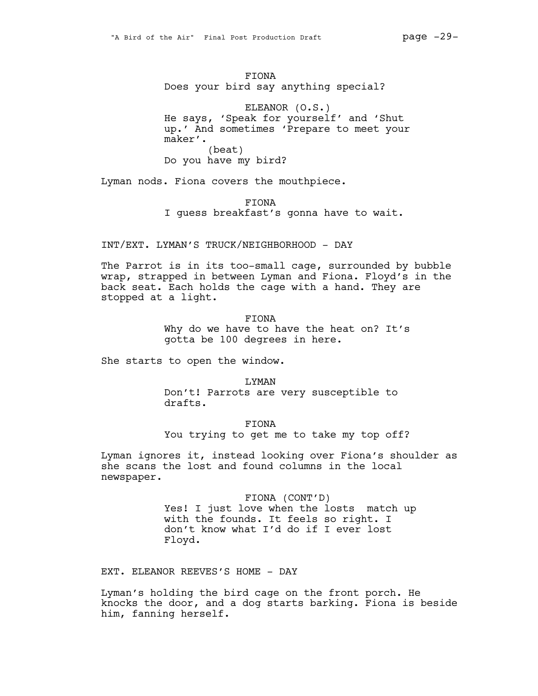# FIONA Does your bird say anything special?

ELEANOR (O.S.) He says, 'Speak for yourself' and 'Shut up.' And sometimes 'Prepare to meet your maker'. (beat) Do you have my bird?

Lyman nods. Fiona covers the mouthpiece.

FIONA I guess breakfast's gonna have to wait.

INT/EXT. LYMAN'S TRUCK/NEIGHBORHOOD - DAY

The Parrot is in its too-small cage, surrounded by bubble wrap, strapped in between Lyman and Fiona. Floyd's in the back seat. Each holds the cage with a hand. They are stopped at a light.

> FIONA Why do we have to have the heat on? It's gotta be 100 degrees in here.

She starts to open the window.

LYMAN Don't! Parrots are very susceptible to drafts.

FIONA You trying to get me to take my top off?

Lyman ignores it, instead looking over Fiona's shoulder as she scans the lost and found columns in the local newspaper.

> FIONA (CONT'D) Yes! I just love when the losts match up with the founds. It feels so right. I don't know what I'd do if I ever lost Floyd.

EXT. ELEANOR REEVES'S HOME - DAY

Lyman's holding the bird cage on the front porch. He knocks the door, and a dog starts barking. Fiona is beside him, fanning herself.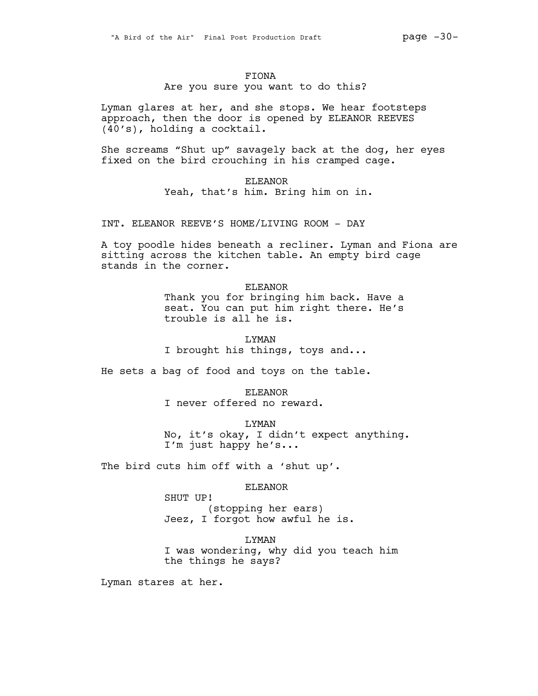#### FIONA

Are you sure you want to do this?

Lyman glares at her, and she stops. We hear footsteps approach, then the door is opened by ELEANOR REEVES (40's), holding a cocktail.

She screams "Shut up" savagely back at the dog, her eyes fixed on the bird crouching in his cramped cage.

> ELEANOR Yeah, that's him. Bring him on in.

INT. ELEANOR REEVE'S HOME/LIVING ROOM - DAY

A toy poodle hides beneath a recliner. Lyman and Fiona are sitting across the kitchen table. An empty bird cage stands in the corner.

> ELEANOR Thank you for bringing him back. Have a seat. You can put him right there. He's trouble is all he is.

LYMAN I brought his things, toys and...

He sets a bag of food and toys on the table.

ELEANOR I never offered no reward.

LYMAN No, it's okay, I didn't expect anything. I'm just happy he's...

The bird cuts him off with a 'shut up'.

#### ELEANOR

SHUT UP! (stopping her ears) Jeez, I forgot how awful he is.

LYMAN

I was wondering, why did you teach him the things he says?

Lyman stares at her.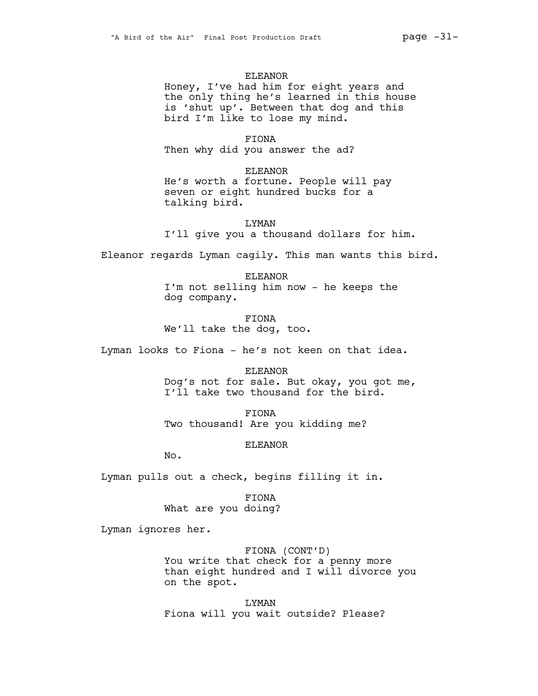#### ELEANOR

Honey, I've had him for eight years and the only thing he's learned in this house is 'shut up'. Between that dog and this bird I'm like to lose my mind.

FIONA Then why did you answer the ad?

#### ELEANOR

He's worth a fortune. People will pay seven or eight hundred bucks for a talking bird.

# LYMAN

I'll give you a thousand dollars for him.

Eleanor regards Lyman cagily. This man wants this bird.

#### ELEANOR

I'm not selling him now - he keeps the dog company.

FIONA We'll take the dog, too.

Lyman looks to Fiona - he's not keen on that idea.

ELEANOR Dog's not for sale. But okay, you got me, I'll take two thousand for the bird.

FIONA Two thousand! Are you kidding me?

#### ELEANOR

No.

Lyman pulls out a check, begins filling it in.

#### FIONA

What are you doing?

Lyman ignores her.

# FIONA (CONT'D)

You write that check for a penny more than eight hundred and I will divorce you on the spot.

LYMAN Fiona will you wait outside? Please?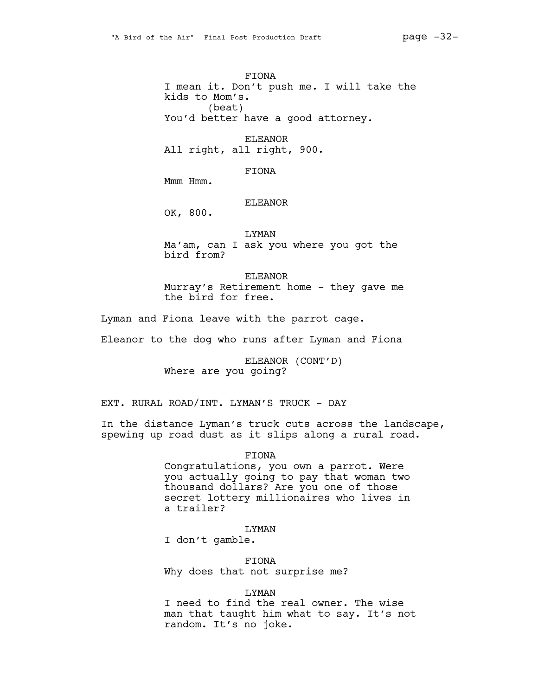FIONA I mean it. Don't push me. I will take the kids to Mom's. (beat) You'd better have a good attorney.

ELEANOR All right, all right, 900.

#### FIONA

Mmm Hmm.

# ELEANOR

OK, 800.

#### LYMAN

Ma'am, can I ask you where you got the bird from?

ELEANOR Murray's Retirement home - they gave me the bird for free.

Lyman and Fiona leave with the parrot cage.

Eleanor to the dog who runs after Lyman and Fiona

ELEANOR (CONT'D) Where are you going?

EXT. RURAL ROAD/INT. LYMAN'S TRUCK - DAY

In the distance Lyman's truck cuts across the landscape, spewing up road dust as it slips along a rural road.

#### FIONA

Congratulations, you own a parrot. Were you actually going to pay that woman two thousand dollars? Are you one of those secret lottery millionaires who lives in a trailer?

LYMAN

I don't gamble.

FIONA Why does that not surprise me?

#### LYMAN

I need to find the real owner. The wise man that taught him what to say. It's not random. It's no joke.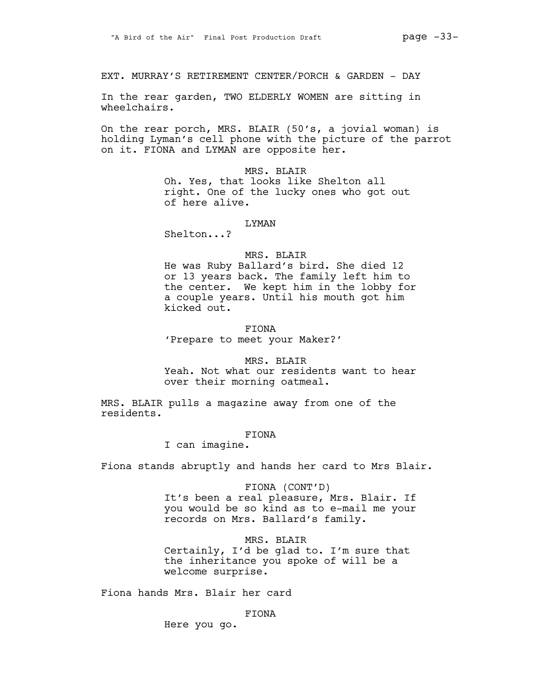EXT. MURRAY'S RETIREMENT CENTER/PORCH & GARDEN - DAY

In the rear garden, TWO ELDERLY WOMEN are sitting in wheelchairs.

On the rear porch, MRS. BLAIR (50's, a jovial woman) is holding Lyman's cell phone with the picture of the parrot on it. FIONA and LYMAN are opposite her.

# MRS. BLAIR

Oh. Yes, that looks like Shelton all right. One of the lucky ones who got out of here alive.

#### LYMAN

Shelton...?

#### MRS. BLAIR

He was Ruby Ballard's bird. She died 12 or 13 years back. The family left him to the center. We kept him in the lobby for a couple years. Until his mouth got him kicked out.

FIONA 'Prepare to meet your Maker?'

#### MRS. BLAIR

Yeah. Not what our residents want to hear over their morning oatmeal.

MRS. BLAIR pulls a magazine away from one of the residents.

#### FIONA

I can imagine.

Fiona stands abruptly and hands her card to Mrs Blair.

FIONA (CONT'D) It's been a real pleasure, Mrs. Blair. If you would be so kind as to e-mail me your records on Mrs. Ballard's family.

MRS. BLAIR Certainly, I'd be glad to. I'm sure that the inheritance you spoke of will be a welcome surprise.

Fiona hands Mrs. Blair her card

# FIONA

Here you go.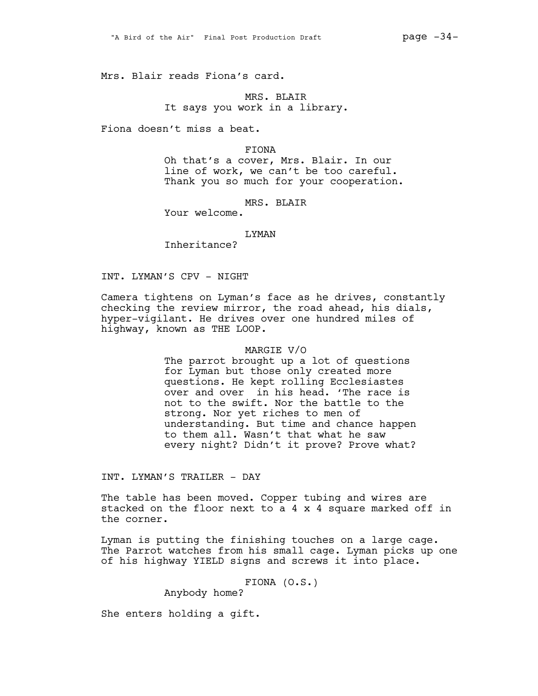Mrs. Blair reads Fiona's card.

# MRS. BLAIR It says you work in a library.

Fiona doesn't miss a beat.

#### FIONA

Oh that's a cover, Mrs. Blair. In our line of work, we can't be too careful. Thank you so much for your cooperation.

MRS. BLAIR

Your welcome.

#### LYMAN

Inheritance?

INT. LYMAN'S CPV - NIGHT

Camera tightens on Lyman's face as he drives, constantly checking the review mirror, the road ahead, his dials, hyper-vigilant. He drives over one hundred miles of highway, known as THE LOOP.

#### MARGIE V/O

The parrot brought up a lot of questions for Lyman but those only created more questions. He kept rolling Ecclesiastes over and over in his head. 'The race is not to the swift. Nor the battle to the strong. Nor yet riches to men of understanding. But time and chance happen to them all. Wasn't that what he saw every night? Didn't it prove? Prove what?

INT. LYMAN'S TRAILER - DAY

The table has been moved. Copper tubing and wires are stacked on the floor next to a 4 x 4 square marked off in the corner.

Lyman is putting the finishing touches on a large cage. The Parrot watches from his small cage. Lyman picks up one of his highway YIELD signs and screws it into place.

FIONA (O.S.)

Anybody home?

She enters holding a gift.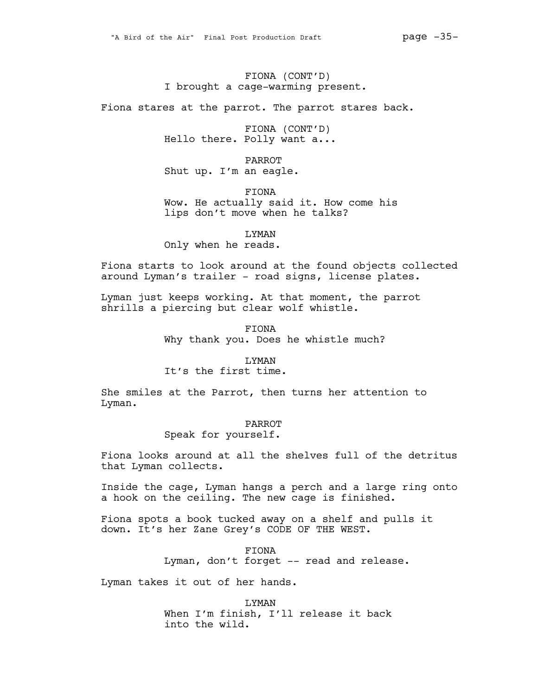# FIONA (CONT'D) I brought a cage-warming present.

Fiona stares at the parrot. The parrot stares back.

FIONA (CONT'D) Hello there. Polly want a...

PARROT Shut up. I'm an eagle.

FIONA Wow. He actually said it. How come his lips don't move when he talks?

LYMAN

Only when he reads.

Fiona starts to look around at the found objects collected around Lyman's trailer - road signs, license plates.

Lyman just keeps working. At that moment, the parrot shrills a piercing but clear wolf whistle.

> FIONA Why thank you. Does he whistle much?

> > LYMAN

It's the first time.

She smiles at the Parrot, then turns her attention to Lyman.

> PARROT Speak for yourself.

Fiona looks around at all the shelves full of the detritus that Lyman collects.

Inside the cage, Lyman hangs a perch and a large ring onto a hook on the ceiling. The new cage is finished.

Fiona spots a book tucked away on a shelf and pulls it down. It's her Zane Grey's CODE OF THE WEST.

> FIONA Lyman, don't forget -- read and release.

Lyman takes it out of her hands.

LYMAN When I'm finish, I'll release it back into the wild.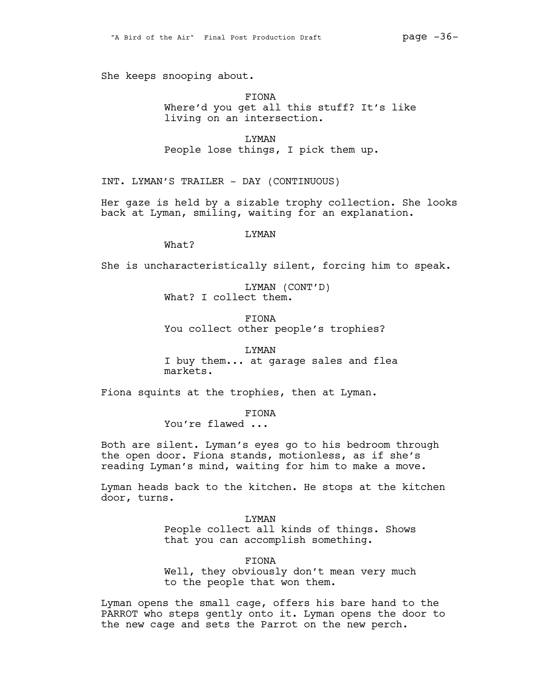She keeps snooping about.

FIONA Where'd you get all this stuff? It's like living on an intersection.

LYMAN People lose things, I pick them up.

INT. LYMAN'S TRAILER - DAY (CONTINUOUS)

Her gaze is held by a sizable trophy collection. She looks back at Lyman, smiling, waiting for an explanation.

LYMAN

What?

She is uncharacteristically silent, forcing him to speak.

LYMAN (CONT'D) What? I collect them.

FIONA You collect other people's trophies?

LYMAN

I buy them... at garage sales and flea markets.

Fiona squints at the trophies, then at Lyman.

FIONA

You're flawed ...

Both are silent. Lyman's eyes go to his bedroom through the open door. Fiona stands, motionless, as if she's reading Lyman's mind, waiting for him to make a move.

Lyman heads back to the kitchen. He stops at the kitchen door, turns.

> LYMAN People collect all kinds of things. Shows that you can accomplish something.

> > FIONA

Well, they obviously don't mean very much to the people that won them.

Lyman opens the small cage, offers his bare hand to the PARROT who steps gently onto it. Lyman opens the door to the new cage and sets the Parrot on the new perch.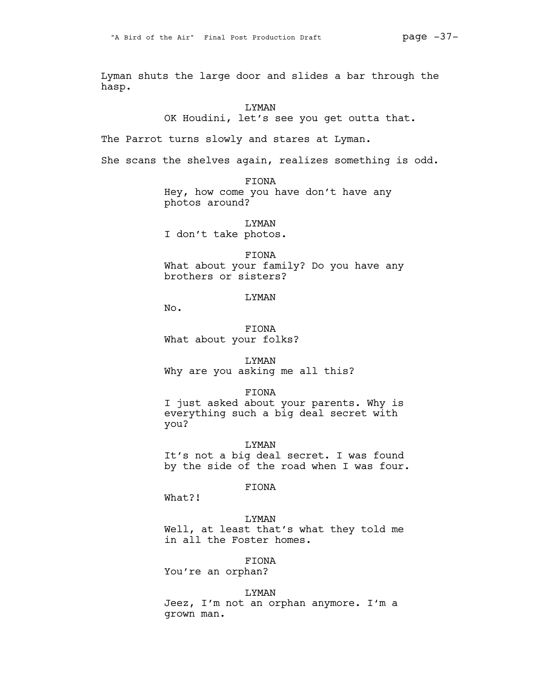Lyman shuts the large door and slides a bar through the hasp.

### LYMAN

OK Houdini, let's see you get outta that.

The Parrot turns slowly and stares at Lyman.

She scans the shelves again, realizes something is odd.

FIONA Hey, how come you have don't have any photos around?

LYMAN I don't take photos.

FIONA What about your family? Do you have any brothers or sisters?

### **T.YMAN**

No.

FIONA What about your folks?

LYMAN Why are you asking me all this?

FIONA

I just asked about your parents. Why is everything such a big deal secret with you?

LYMAN

It's not a big deal secret. I was found by the side of the road when I was four.

### FIONA

What?!

#### LYMAN

Well, at least that's what they told me in all the Foster homes.

FIONA

You're an orphan?

#### LYMAN

Jeez, I'm not an orphan anymore. I'm a grown man.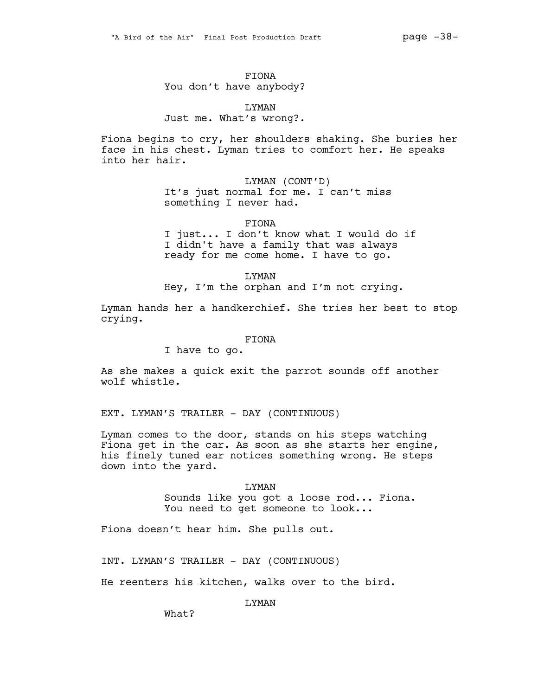# FIONA You don't have anybody?

## LYMAN Just me. What's wrong?.

Fiona begins to cry, her shoulders shaking. She buries her face in his chest. Lyman tries to comfort her. He speaks into her hair.

> LYMAN (CONT'D) It's just normal for me. I can't miss something I never had.

> > FIONA

I just... I don't know what I would do if I didn't have a family that was always ready for me come home. I have to go.

LYMAN

Hey, I'm the orphan and I'm not crying.

Lyman hands her a handkerchief. She tries her best to stop crying.

## FIONA

I have to go.

As she makes a quick exit the parrot sounds off another wolf whistle.

EXT. LYMAN'S TRAILER - DAY (CONTINUOUS)

Lyman comes to the door, stands on his steps watching Fiona get in the car. As soon as she starts her engine, his finely tuned ear notices something wrong. He steps down into the yard.

### LYMAN

Sounds like you got a loose rod... Fiona. You need to get someone to look...

Fiona doesn't hear him. She pulls out.

INT. LYMAN'S TRAILER - DAY (CONTINUOUS)

He reenters his kitchen, walks over to the bird.

LYMAN

What?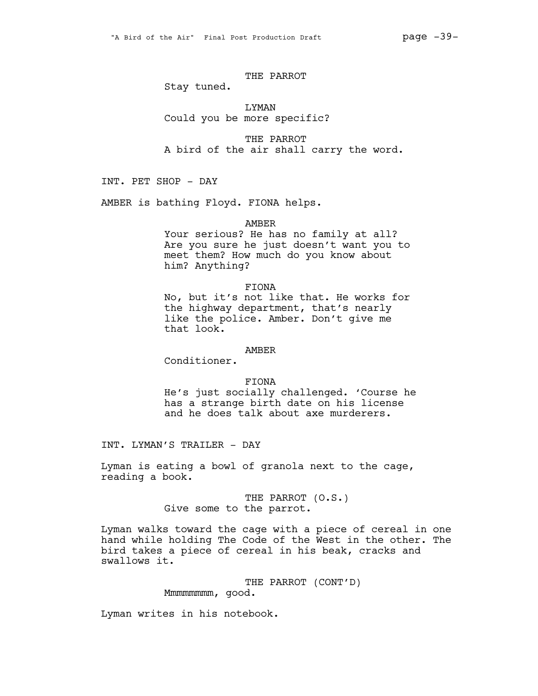## THE PARROT

Stay tuned.

LYMAN Could you be more specific?

THE PARROT A bird of the air shall carry the word.

INT. PET SHOP - DAY

AMBER is bathing Floyd. FIONA helps.

AMBER

Your serious? He has no family at all? Are you sure he just doesn't want you to meet them? How much do you know about him? Anything?

#### FIONA

No, but it's not like that. He works for the highway department, that's nearly like the police. Amber. Don't give me that look.

## AMBER

Conditioner.

# FIONA

He's just socially challenged. 'Course he has a strange birth date on his license and he does talk about axe murderers.

INT. LYMAN'S TRAILER - DAY

Lyman is eating a bowl of granola next to the cage, reading a book.

> THE PARROT (O.S.) Give some to the parrot.

Lyman walks toward the cage with a piece of cereal in one hand while holding The Code of the West in the other. The bird takes a piece of cereal in his beak, cracks and swallows it.

> THE PARROT (CONT'D) Mmmmmmmm, good.

Lyman writes in his notebook.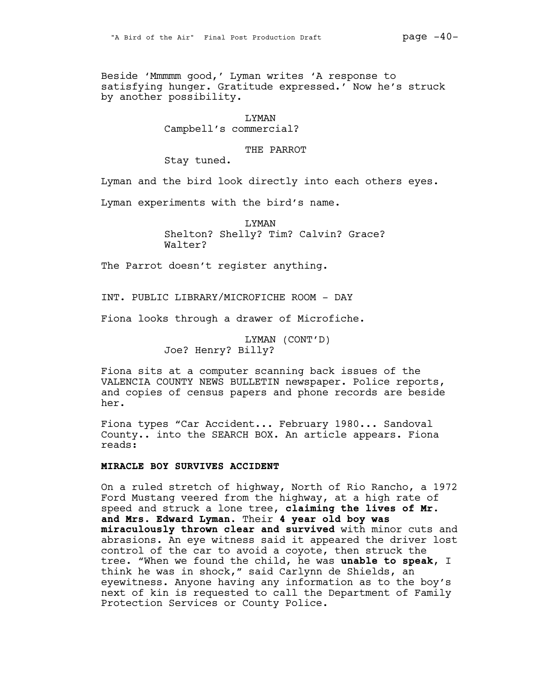Beside 'Mmmmm good,' Lyman writes 'A response to satisfying hunger. Gratitude expressed.' Now he's struck by another possibility.

> LYMAN Campbell's commercial?

### THE PARROT

Stay tuned.

Lyman and the bird look directly into each others eyes.

Lyman experiments with the bird's name.

LYMAN Shelton? Shelly? Tim? Calvin? Grace? Walter?

The Parrot doesn't register anything.

INT. PUBLIC LIBRARY/MICROFICHE ROOM - DAY

Fiona looks through a drawer of Microfiche.

LYMAN (CONT'D) Joe? Henry? Billy?

Fiona sits at a computer scanning back issues of the VALENCIA COUNTY NEWS BULLETIN newspaper. Police reports, and copies of census papers and phone records are beside her.

Fiona types "Car Accident... February 1980... Sandoval County.. into the SEARCH BOX. An article appears. Fiona reads:

# **MIRACLE BOY SURVIVES ACCIDENT**

On a ruled stretch of highway, North of Rio Rancho, a 1972 Ford Mustang veered from the highway, at a high rate of speed and struck a lone tree, **claiming the lives of Mr. and Mrs. Edward Lyman.** Their **4 year old boy was miraculously thrown clear and survived** with minor cuts and abrasions. An eye witness said it appeared the driver lost control of the car to avoid a coyote, then struck the tree. "When we found the child, he was **unable to speak**, I think he was in shock," said Carlynn de Shields, an eyewitness. Anyone having any information as to the boy's next of kin is requested to call the Department of Family Protection Services or County Police.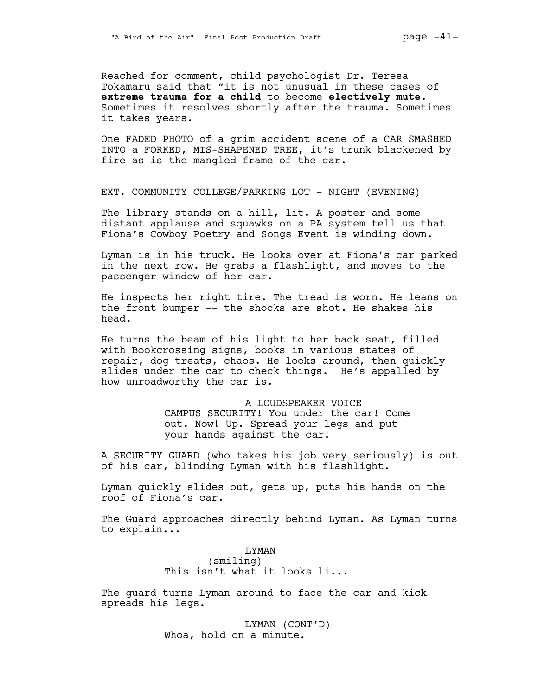Reached for comment, child psychologist Dr. Teresa Tokamaru said that "it is not unusual in these cases of **extreme trauma for a child** to become **electively mute**. Sometimes it resolves shortly after the trauma. Sometimes it takes years.

One FADED PHOTO of a grim accident scene of a CAR SMASHED INTO a FORKED, MIS-SHAPENED TREE, it's trunk blackened by fire as is the mangled frame of the car.

EXT. COMMUNITY COLLEGE/PARKING LOT - NIGHT (EVENING)

The library stands on a hill, lit. A poster and some distant applause and squawks on a PA system tell us that Fiona's Cowboy Poetry and Songs Event is winding down.

Lyman is in his truck. He looks over at Fiona's car parked in the next row. He grabs a flashlight, and moves to the passenger window of her car.

He inspects her right tire. The tread is worn. He leans on the front bumper -- the shocks are shot. He shakes his head.

He turns the beam of his light to her back seat, filled with Bookcrossing signs, books in various states of repair, dog treats, chaos. He looks around, then quickly slides under the car to check things. He's appalled by how unroadworthy the car is.

> A LOUDSPEAKER VOICE CAMPUS SECURITY! You under the car! Come out. Now! Up. Spread your legs and put your hands against the car!

A SECURITY GUARD (who takes his job very seriously) is out of his car, blinding Lyman with his flashlight.

Lyman quickly slides out, gets up, puts his hands on the roof of Fiona's car.

The Guard approaches directly behind Lyman. As Lyman turns to explain...

> LYMAN (smiling) This isn't what it looks li...

The guard turns Lyman around to face the car and kick spreads his legs.

> LYMAN (CONT'D) Whoa, hold on a minute.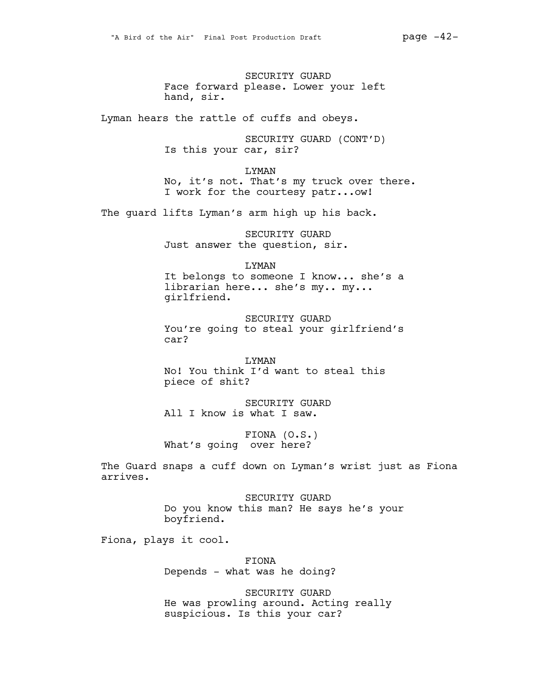SECURITY GUARD Face forward please. Lower your left hand, sir.

Lyman hears the rattle of cuffs and obeys.

SECURITY GUARD (CONT'D) Is this your car, sir?

LYMAN

No, it's not. That's my truck over there. I work for the courtesy patr...ow!

The guard lifts Lyman's arm high up his back.

SECURITY GUARD Just answer the question, sir.

LYMAN

It belongs to someone I know... she's a librarian here... she's my.. my... girlfriend.

SECURITY GUARD You're going to steal your girlfriend's car?

LYMAN No! You think I'd want to steal this piece of shit?

SECURITY GUARD All I know is what I saw.

FIONA (O.S.) What's going over here?

The Guard snaps a cuff down on Lyman's wrist just as Fiona arrives.

> SECURITY GUARD Do you know this man? He says he's your boyfriend.

Fiona, plays it cool.

FIONA Depends - what was he doing?

SECURITY GUARD He was prowling around. Acting really suspicious. Is this your car?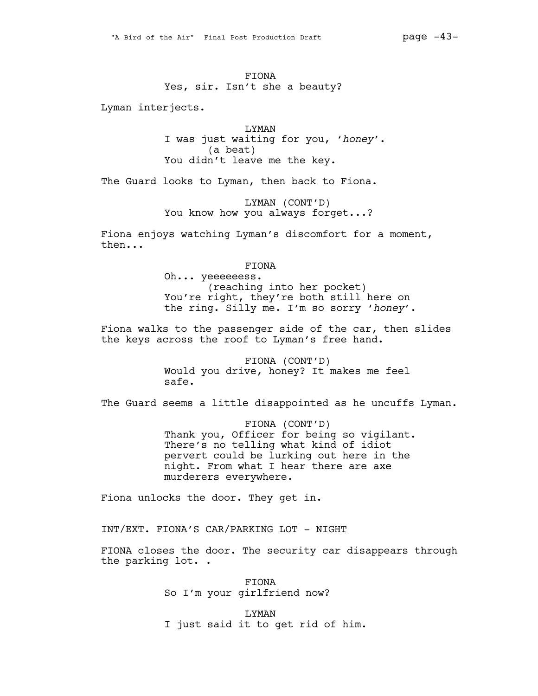#### FIONA

Yes, sir. Isn't she a beauty?

Lyman interjects.

LYMAN I was just waiting for you, '*honey'*. (a beat) You didn't leave me the key.

The Guard looks to Lyman, then back to Fiona.

LYMAN (CONT'D) You know how you always forget...?

Fiona enjoys watching Lyman's discomfort for a moment, then...

> FIONA Oh... yeeeeeess. (reaching into her pocket) You're right, they're both still here on the ring. Silly me. I'm so sorry '*honey'*.

Fiona walks to the passenger side of the car, then slides the keys across the roof to Lyman's free hand.

> FIONA (CONT'D) Would you drive, honey? It makes me feel safe.

The Guard seems a little disappointed as he uncuffs Lyman.

FIONA (CONT'D) Thank you, Officer for being so vigilant. There's no telling what kind of idiot pervert could be lurking out here in the night. From what I hear there are axe murderers everywhere.

Fiona unlocks the door. They get in.

INT/EXT. FIONA'S CAR/PARKING LOT - NIGHT

FIONA closes the door. The security car disappears through the parking lot. .

> FIONA So I'm your girlfriend now?

LYMAN I just said it to get rid of him.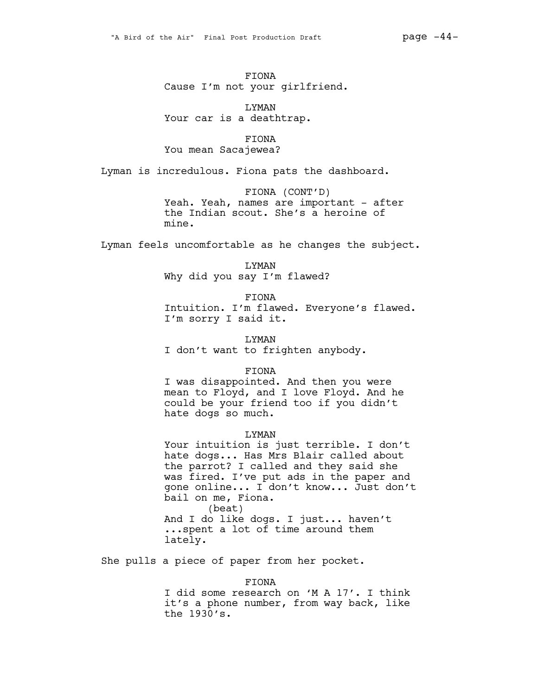FIONA Cause I'm not your girlfriend.

LYMAN Your car is a deathtrap.

# FIONA

### You mean Sacajewea?

Lyman is incredulous. Fiona pats the dashboard.

FIONA (CONT'D) Yeah. Yeah, names are important - after the Indian scout. She's a heroine of mine.

Lyman feels uncomfortable as he changes the subject.

LYMAN Why did you say I'm flawed?

FIONA Intuition. I'm flawed. Everyone's flawed. I'm sorry I said it.

LYMAN I don't want to frighten anybody.

FIONA

I was disappointed. And then you were mean to Floyd, and I love Floyd. And he could be your friend too if you didn't hate dogs so much.

LYMAN

Your intuition is just terrible. I don't hate dogs... Has Mrs Blair called about the parrot? I called and they said she was fired. I've put ads in the paper and gone online... I don't know... Just don't bail on me, Fiona. (beat) And I do like dogs. I just... haven't ...spent a lot of time around them lately.

She pulls a piece of paper from her pocket.

FIONA

I did some research on 'M A 17'. I think it's a phone number, from way back, like the 1930's.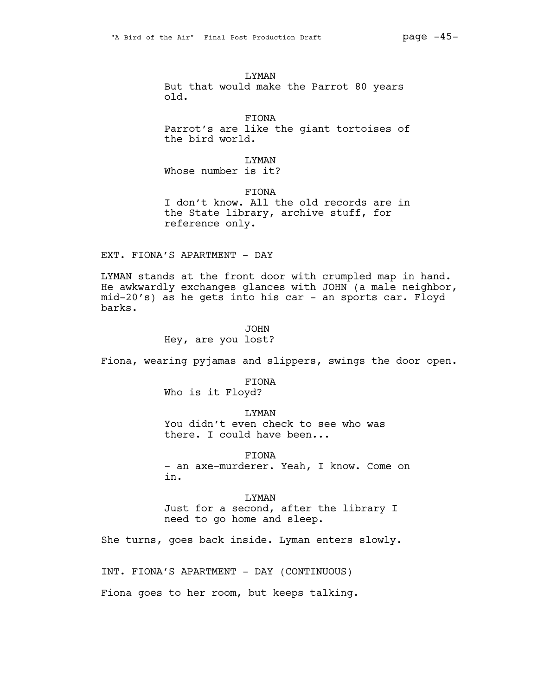LYMAN But that would make the Parrot 80 years old.

FIONA Parrot's are like the giant tortoises of the bird world.

LYMAN Whose number is it?

FIONA I don't know. All the old records are in the State library, archive stuff, for reference only.

EXT. FIONA'S APARTMENT - DAY

LYMAN stands at the front door with crumpled map in hand. He awkwardly exchanges glances with JOHN (a male neighbor, mid-20's) as he gets into his car - an sports car. Floyd barks.

> JOHN Hey, are you lost?

Fiona, wearing pyjamas and slippers, swings the door open.

FIONA

Who is it Floyd?

**T.YMAN** 

You didn't even check to see who was there. I could have been...

FIONA - an axe-murderer. Yeah, I know. Come on in.

LYMAN Just for a second, after the library I need to go home and sleep.

She turns, goes back inside. Lyman enters slowly.

INT. FIONA'S APARTMENT - DAY (CONTINUOUS)

Fiona goes to her room, but keeps talking.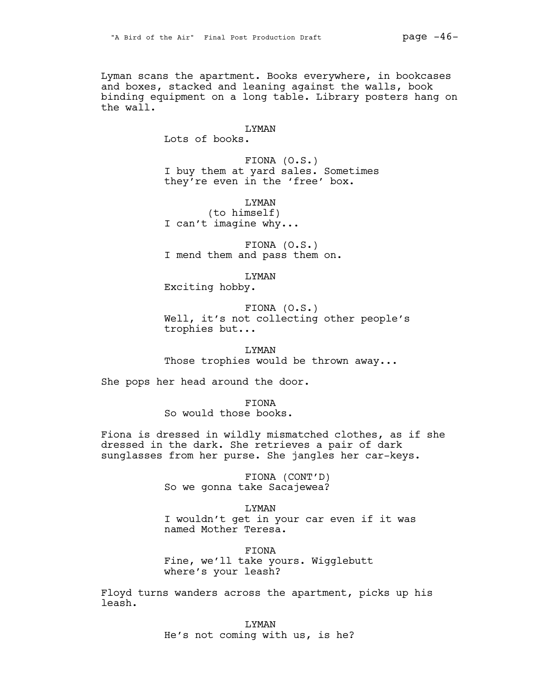Lyman scans the apartment. Books everywhere, in bookcases and boxes, stacked and leaning against the walls, book binding equipment on a long table. Library posters hang on the wall.

# LYMAN

Lots of books.

FIONA (O.S.) I buy them at yard sales. Sometimes they're even in the 'free' box.

LYMAN (to himself) I can't imagine why...

FIONA (O.S.) I mend them and pass them on.

LYMAN Exciting hobby.

FIONA (O.S.) Well, it's not collecting other people's trophies but...

LYMAN Those trophies would be thrown away...

She pops her head around the door.

FIONA So would those books.

Fiona is dressed in wildly mismatched clothes, as if she dressed in the dark. She retrieves a pair of dark sunglasses from her purse. She jangles her car-keys.

> FIONA (CONT'D) So we gonna take Sacajewea?

LYMAN I wouldn't get in your car even if it was named Mother Teresa.

FIONA Fine, we'll take yours. Wigglebutt where's your leash?

Floyd turns wanders across the apartment, picks up his leash.

> LYMAN He's not coming with us, is he?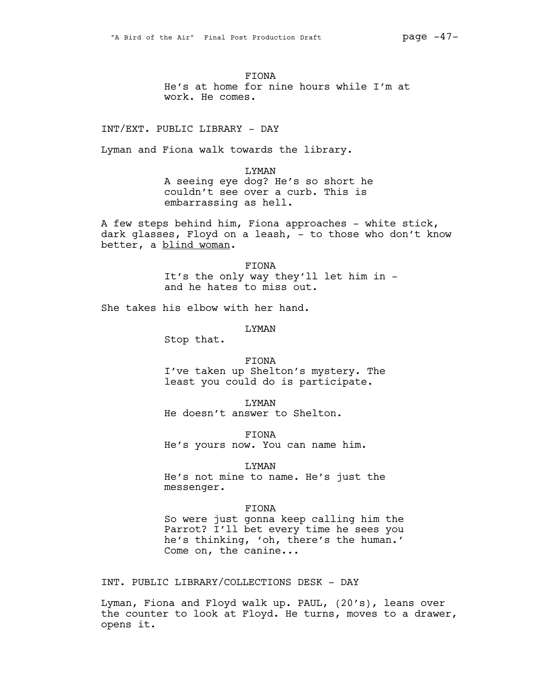FIONA

He's at home for nine hours while I'm at work. He comes.

INT/EXT. PUBLIC LIBRARY - DAY

Lyman and Fiona walk towards the library.

#### LYMAN

A seeing eye dog? He's so short he couldn't see over a curb. This is embarrassing as hell.

A few steps behind him, Fiona approaches - white stick, dark glasses, Floyd on a leash,  $-$  to those who don't know better, a blind woman.

> FIONA It's the only way they'll let him in and he hates to miss out.

She takes his elbow with her hand.

### LYMAN

Stop that.

FIONA

I've taken up Shelton's mystery. The least you could do is participate.

LYMAN

He doesn't answer to Shelton.

FIONA He's yours now. You can name him.

#### LYMAN

He's not mine to name. He's just the messenger.

### FIONA

So were just gonna keep calling him the Parrot? I'll bet every time he sees you he's thinking, 'oh, there's the human.' Come on, the canine...

INT. PUBLIC LIBRARY/COLLECTIONS DESK - DAY

Lyman, Fiona and Floyd walk up. PAUL, (20's), leans over the counter to look at Floyd. He turns, moves to a drawer, opens it.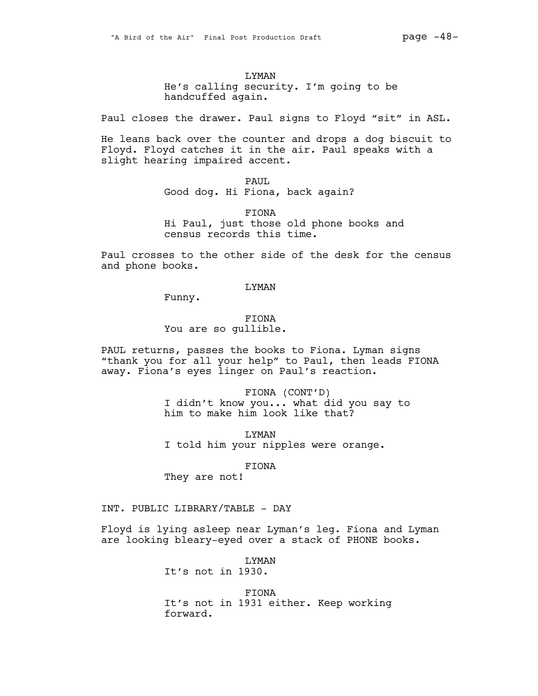### LYMAN

He's calling security. I'm going to be handcuffed again.

Paul closes the drawer. Paul signs to Floyd "sit" in ASL.

He leans back over the counter and drops a dog biscuit to Floyd. Floyd catches it in the air. Paul speaks with a slight hearing impaired accent.

> PAUL Good dog. Hi Fiona, back again?

FIONA Hi Paul, just those old phone books and census records this time.

Paul crosses to the other side of the desk for the census and phone books.

### LYMAN

Funny.

# FIONA You are so gullible.

PAUL returns, passes the books to Fiona. Lyman signs "thank you for all your help" to Paul, then leads FIONA away. Fiona's eyes linger on Paul's reaction.

> FIONA (CONT'D) I didn't know you... what did you say to him to make him look like that?

**T.YMAN** I told him your nipples were orange.

## FIONA

They are not!

INT. PUBLIC LIBRARY/TABLE - DAY

Floyd is lying asleep near Lyman's leg. Fiona and Lyman are looking bleary-eyed over a stack of PHONE books.

> LYMAN It's not in 1930.

FIONA It's not in 1931 either. Keep working forward.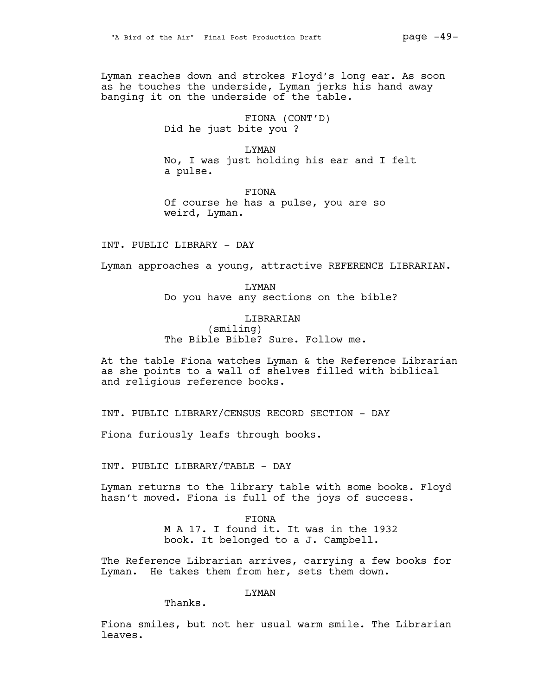Lyman reaches down and strokes Floyd's long ear. As soon as he touches the underside, Lyman jerks his hand away banging it on the underside of the table.

> FIONA (CONT'D) Did he just bite you ?

LYMAN No, I was just holding his ear and I felt a pulse.

FIONA Of course he has a pulse, you are so weird, Lyman.

INT. PUBLIC LIBRARY - DAY

Lyman approaches a young, attractive REFERENCE LIBRARIAN.

LYMAN Do you have any sections on the bible?

LIBRARIAN (smiling) The Bible Bible? Sure. Follow me.

At the table Fiona watches Lyman & the Reference Librarian as she points to a wall of shelves filled with biblical and religious reference books.

INT. PUBLIC LIBRARY/CENSUS RECORD SECTION - DAY

Fiona furiously leafs through books.

INT. PUBLIC LIBRARY/TABLE - DAY

Lyman returns to the library table with some books. Floyd hasn't moved. Fiona is full of the joys of success.

> FIONA M A 17. I found it. It was in the 1932 book. It belonged to a J. Campbell.

The Reference Librarian arrives, carrying a few books for Lyman. He takes them from her, sets them down.

LYMAN

Thanks.

Fiona smiles, but not her usual warm smile. The Librarian leaves.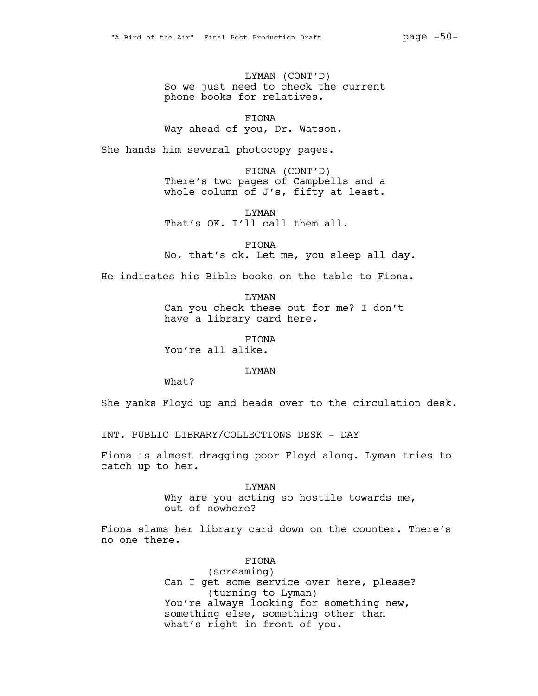LYMAN (CONT'D) So we just need to check the current phone books for relatives.

### FIONA

# Way ahead of you, Dr. Watson.

She hands him several photocopy pages.

FIONA (CONT'D) There's two pages of Campbells and a whole column of J's, fifty at least.

LYMAN That's OK. I'll call them all.

FIONA No, that's ok. Let me, you sleep all day.

He indicates his Bible books on the table to Fiona.

LYMAN Can you check these out for me? I don't have a library card here.

FIONA You're all alike.

### LYMAN

What?

She yanks Floyd up and heads over to the circulation desk.

INT. PUBLIC LIBRARY/COLLECTIONS DESK - DAY

Fiona is almost dragging poor Floyd along. Lyman tries to catch up to her.

LYMAN

Why are you acting so hostile towards me, out of nowhere?

Fiona slams her library card down on the counter. There's no one there.

# FIONA

(screaming) Can I get some service over here, please? (turning to Lyman) You're always looking for something new, something else, something other than what's right in front of you.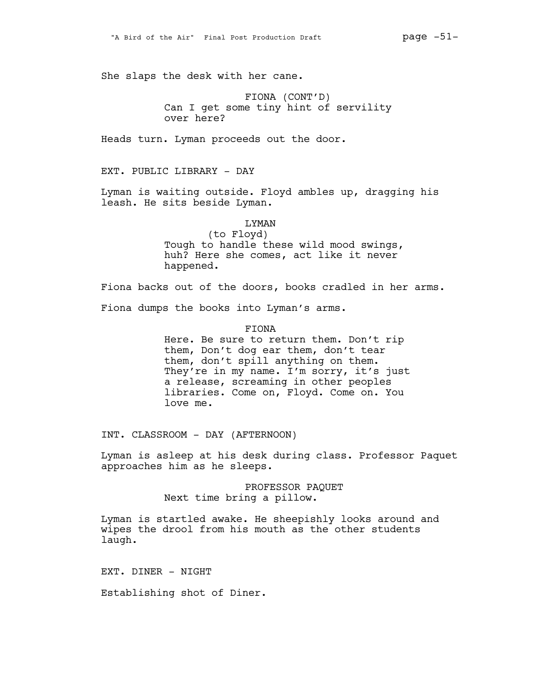She slaps the desk with her cane.

FIONA (CONT'D) Can I get some tiny hint of servility over here?

Heads turn. Lyman proceeds out the door.

EXT. PUBLIC LIBRARY - DAY

Lyman is waiting outside. Floyd ambles up, dragging his leash. He sits beside Lyman.

# LYMAN

(to Floyd) Tough to handle these wild mood swings, huh? Here she comes, act like it never happened.

Fiona backs out of the doors, books cradled in her arms.

Fiona dumps the books into Lyman's arms.

### FIONA

Here. Be sure to return them. Don't rip them, Don't dog ear them, don't tear them, don't spill anything on them. They're in my name. I'm sorry, it's just a release, screaming in other peoples libraries. Come on, Floyd. Come on. You love me.

INT. CLASSROOM - DAY (AFTERNOON)

Lyman is asleep at his desk during class. Professor Paquet approaches him as he sleeps.

> PROFESSOR PAQUET Next time bring a pillow.

Lyman is startled awake. He sheepishly looks around and wipes the drool from his mouth as the other students laugh.

EXT. DINER - NIGHT

Establishing shot of Diner.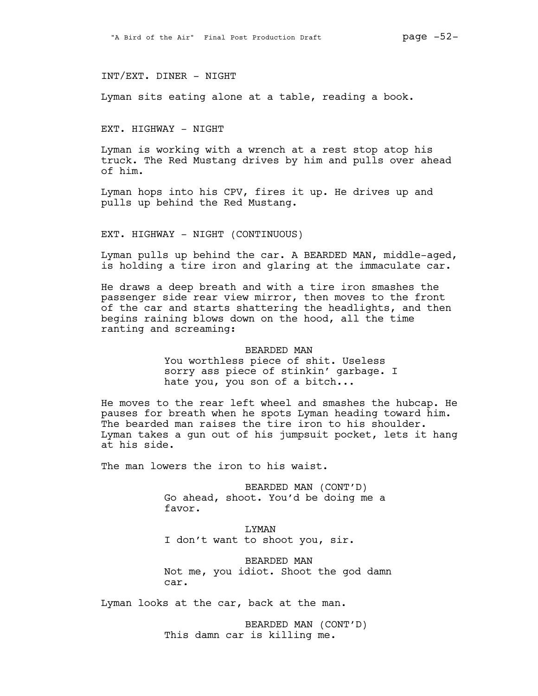#### INT/EXT. DINER - NIGHT

Lyman sits eating alone at a table, reading a book.

### EXT. HIGHWAY - NIGHT

Lyman is working with a wrench at a rest stop atop his truck. The Red Mustang drives by him and pulls over ahead of him.

Lyman hops into his CPV, fires it up. He drives up and pulls up behind the Red Mustang.

EXT. HIGHWAY - NIGHT (CONTINUOUS)

Lyman pulls up behind the car. A BEARDED MAN, middle-aged, is holding a tire iron and glaring at the immaculate car.

He draws a deep breath and with a tire iron smashes the passenger side rear view mirror, then moves to the front of the car and starts shattering the headlights, and then begins raining blows down on the hood, all the time ranting and screaming:

# BEARDED MAN You worthless piece of shit. Useless sorry ass piece of stinkin' garbage. I hate you, you son of a bitch...

He moves to the rear left wheel and smashes the hubcap. He pauses for breath when he spots Lyman heading toward him. The bearded man raises the tire iron to his shoulder. Lyman takes a gun out of his jumpsuit pocket, lets it hang at his side.

The man lowers the iron to his waist.

BEARDED MAN (CONT'D) Go ahead, shoot. You'd be doing me a favor.

LYMAN I don't want to shoot you, sir.

BEARDED MAN Not me, you idiot. Shoot the god damn car.

Lyman looks at the car, back at the man.

BEARDED MAN (CONT'D) This damn car is killing me.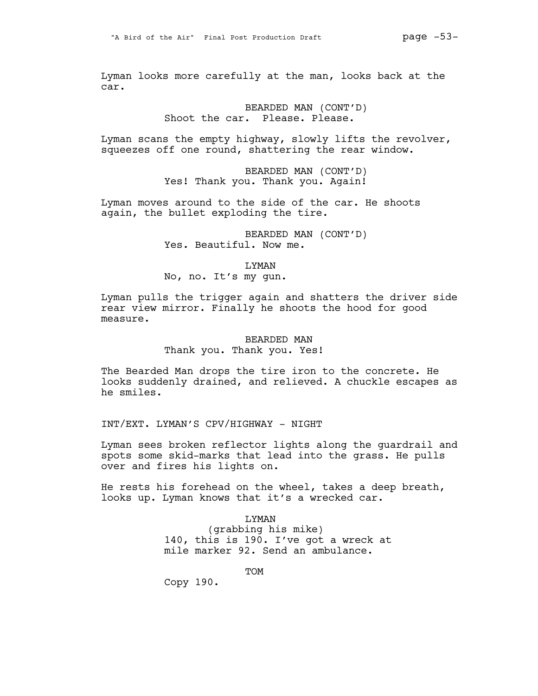Lyman looks more carefully at the man, looks back at the car.

> BEARDED MAN (CONT'D) Shoot the car. Please. Please.

Lyman scans the empty highway, slowly lifts the revolver, squeezes off one round, shattering the rear window.

> BEARDED MAN (CONT'D) Yes! Thank you. Thank you. Again!

Lyman moves around to the side of the car. He shoots again, the bullet exploding the tire.

> BEARDED MAN (CONT'D) Yes. Beautiful. Now me.

> > LYMAN

No, no. It's my gun.

Lyman pulls the trigger again and shatters the driver side rear view mirror. Finally he shoots the hood for good measure.

# BEARDED MAN Thank you. Thank you. Yes!

The Bearded Man drops the tire iron to the concrete. He looks suddenly drained, and relieved. A chuckle escapes as he smiles.

INT/EXT. LYMAN'S CPV/HIGHWAY - NIGHT

Lyman sees broken reflector lights along the guardrail and spots some skid-marks that lead into the grass. He pulls over and fires his lights on.

He rests his forehead on the wheel, takes a deep breath, looks up. Lyman knows that it's a wrecked car.

> LYMAN (grabbing his mike) 140, this is 190. I've got a wreck at mile marker 92. Send an ambulance.

> > **TOM**

Copy 190.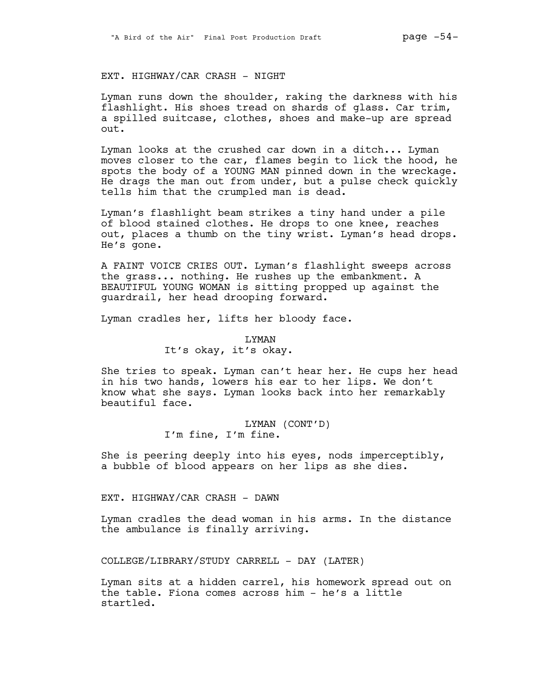EXT. HIGHWAY/CAR CRASH - NIGHT

Lyman runs down the shoulder, raking the darkness with his flashlight. His shoes tread on shards of glass. Car trim, a spilled suitcase, clothes, shoes and make-up are spread out.

Lyman looks at the crushed car down in a ditch... Lyman moves closer to the car, flames begin to lick the hood, he spots the body of a YOUNG MAN pinned down in the wreckage. He drags the man out from under, but a pulse check quickly tells him that the crumpled man is dead.

Lyman's flashlight beam strikes a tiny hand under a pile of blood stained clothes. He drops to one knee, reaches out, places a thumb on the tiny wrist. Lyman's head drops. He's gone.

A FAINT VOICE CRIES OUT. Lyman's flashlight sweeps across the grass... nothing. He rushes up the embankment. A BEAUTIFUL YOUNG WOMAN is sitting propped up against the guardrail, her head drooping forward.

Lyman cradles her, lifts her bloody face.

LYMAN It's okay, it's okay.

She tries to speak. Lyman can't hear her. He cups her head in his two hands, lowers his ear to her lips. We don't know what she says. Lyman looks back into her remarkably beautiful face.

> LYMAN (CONT'D) I'm fine, I'm fine.

She is peering deeply into his eyes, nods imperceptibly, a bubble of blood appears on her lips as she dies.

EXT. HIGHWAY/CAR CRASH - DAWN

Lyman cradles the dead woman in his arms. In the distance the ambulance is finally arriving.

COLLEGE/LIBRARY/STUDY CARRELL - DAY (LATER)

Lyman sits at a hidden carrel, his homework spread out on the table. Fiona comes across him - he's a little startled.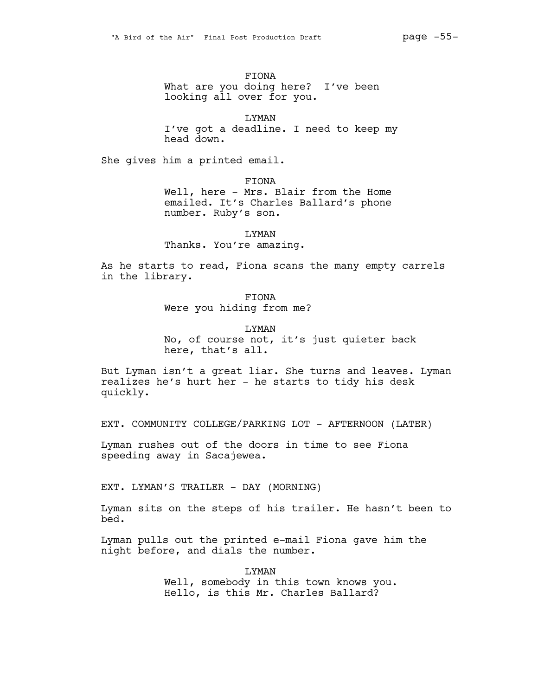FIONA What are you doing here? I've been looking all over for you.

#### LYMAN

I've got a deadline. I need to keep my head down.

She gives him a printed email.

FIONA

Well, here - Mrs. Blair from the Home emailed. It's Charles Ballard's phone number. Ruby's son.

LYMAN

Thanks. You're amazing.

As he starts to read, Fiona scans the many empty carrels in the library.

> FIONA Were you hiding from me?

> > LYMAN

No, of course not, it's just quieter back here, that's all.

But Lyman isn't a great liar. She turns and leaves. Lyman realizes he's hurt her - he starts to tidy his desk quickly.

EXT. COMMUNITY COLLEGE/PARKING LOT - AFTERNOON (LATER)

Lyman rushes out of the doors in time to see Fiona speeding away in Sacajewea.

EXT. LYMAN'S TRAILER - DAY (MORNING)

Lyman sits on the steps of his trailer. He hasn't been to bed.

Lyman pulls out the printed e-mail Fiona gave him the night before, and dials the number.

> LYMAN Well, somebody in this town knows you. Hello, is this Mr. Charles Ballard?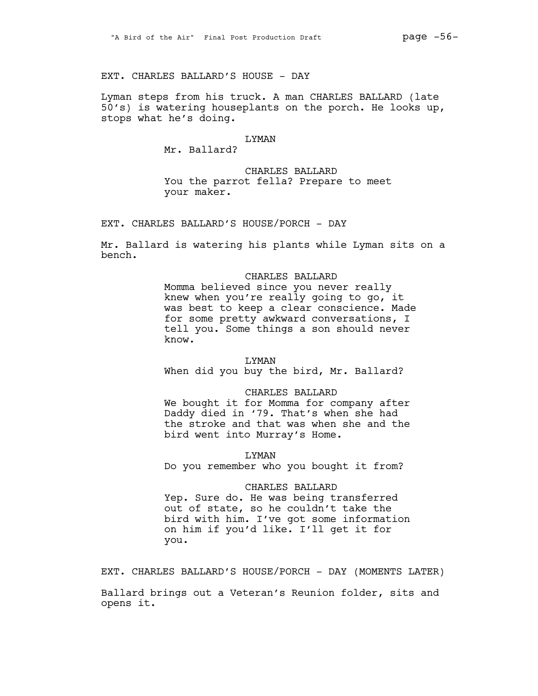EXT. CHARLES BALLARD'S HOUSE - DAY

Lyman steps from his truck. A man CHARLES BALLARD (late 50's) is watering houseplants on the porch. He looks up, stops what he's doing.

### LYMAN

Mr. Ballard?

CHARLES BALLARD You the parrot fella? Prepare to meet your maker.

EXT. CHARLES BALLARD'S HOUSE/PORCH - DAY

Mr. Ballard is watering his plants while Lyman sits on a bench.

### CHARLES BALLARD

Momma believed since you never really knew when you're really going to go, it was best to keep a clear conscience. Made for some pretty awkward conversations, I tell you. Some things a son should never know.

#### LYMAN

When did you buy the bird, Mr. Ballard?

### CHARLES BALLARD

We bought it for Momma for company after Daddy died in '79. That's when she had the stroke and that was when she and the bird went into Murray's Home.

LYMAN

Do you remember who you bought it from?

### CHARLES BALLARD

Yep. Sure do. He was being transferred out of state, so he couldn't take the bird with him. I've got some information on him if you'd like. I'll get it for you.

EXT. CHARLES BALLARD'S HOUSE/PORCH - DAY (MOMENTS LATER)

Ballard brings out a Veteran's Reunion folder, sits and opens it.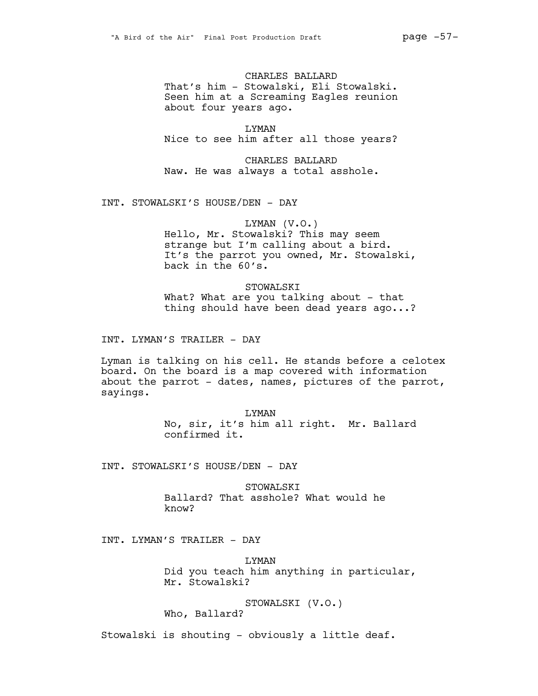CHARLES BALLARD That's him - Stowalski, Eli Stowalski. Seen him at a Screaming Eagles reunion about four years ago.

LYMAN Nice to see him after all those years?

CHARLES BALLARD Naw. He was always a total asshole.

INT. STOWALSKI'S HOUSE/DEN - DAY

# LYMAN (V.O.) Hello, Mr. Stowalski? This may seem strange but I'm calling about a bird. It's the parrot you owned, Mr. Stowalski, back in the 60's.

STOWALSKI What? What are you talking about - that thing should have been dead years ago...?

INT. LYMAN'S TRAILER - DAY

Lyman is talking on his cell. He stands before a celotex board. On the board is a map covered with information about the parrot - dates, names, pictures of the parrot, sayings.

> LYMAN No, sir, it's him all right. Mr. Ballard confirmed it.

INT. STOWALSKI'S HOUSE/DEN - DAY

STOWALSKI Ballard? That asshole? What would he know?

INT. LYMAN'S TRAILER - DAY

LYMAN

Did you teach him anything in particular, Mr. Stowalski?

STOWALSKI (V.O.)

Who, Ballard?

Stowalski is shouting - obviously a little deaf.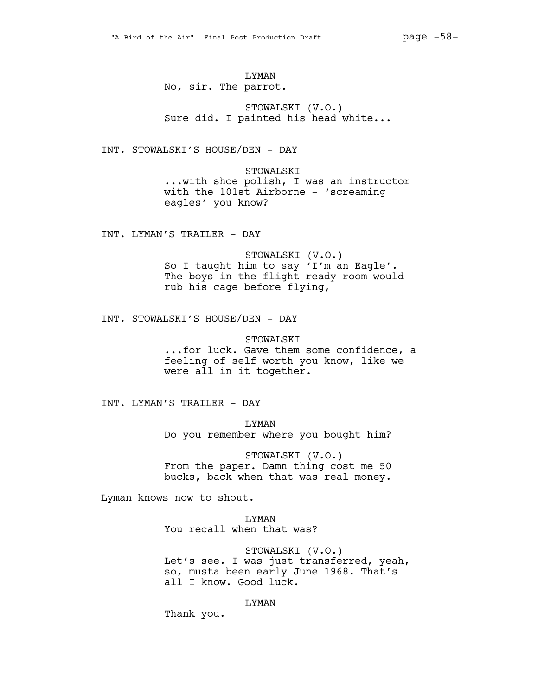# LYMAN

# No, sir. The parrot.

STOWALSKI (V.O.) Sure did. I painted his head white...

INT. STOWALSKI'S HOUSE/DEN - DAY

STOWALSKI ...with shoe polish, I was an instructor with the 101st Airborne - 'screaming eagles' you know?

INT. LYMAN'S TRAILER - DAY

STOWALSKI (V.O.) So I taught him to say 'I'm an Eagle'. The boys in the flight ready room would rub his cage before flying,

INT. STOWALSKI'S HOUSE/DEN - DAY

# STOWALSKI

...for luck. Gave them some confidence, a feeling of self worth you know, like we were all in it together.

INT. LYMAN'S TRAILER - DAY

LYMAN Do you remember where you bought him?

STOWALSKI (V.O.) From the paper. Damn thing cost me 50 bucks, back when that was real money.

Lyman knows now to shout.

LYMAN You recall when that was?

STOWALSKI (V.O.) Let's see. I was just transferred, yeah, so, musta been early June 1968. That's all I know. Good luck.

# LYMAN

Thank you.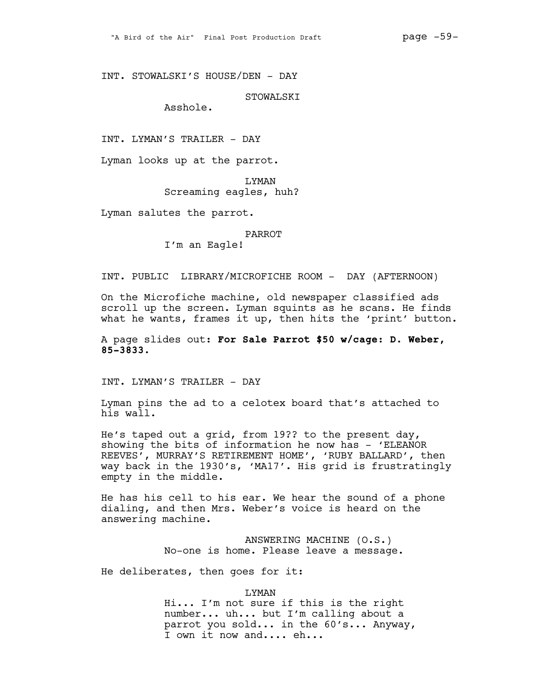INT. STOWALSKI'S HOUSE/DEN - DAY

STOWALSKI

Asshole.

INT. LYMAN'S TRAILER - DAY

Lyman looks up at the parrot.

LYMAN Screaming eagles, huh?

Lyman salutes the parrot.

PARROT

I'm an Eagle!

INT. PUBLIC LIBRARY/MICROFICHE ROOM - DAY (AFTERNOON)

On the Microfiche machine, old newspaper classified ads scroll up the screen. Lyman squints as he scans. He finds what he wants, frames it up, then hits the 'print' button.

A page slides out: **For Sale Parrot \$50 w/cage: D. Weber, 85-3833.**

INT. LYMAN'S TRAILER - DAY

Lyman pins the ad to a celotex board that's attached to his wall.

He's taped out a grid, from 19?? to the present day, showing the bits of information he now has - 'ELEANOR REEVES', MURRAY'S RETIREMENT HOME', 'RUBY BALLARD', then way back in the 1930's, 'MA17'. His grid is frustratingly empty in the middle.

He has his cell to his ear. We hear the sound of a phone dialing, and then Mrs. Weber's voice is heard on the answering machine.

> ANSWERING MACHINE (O.S.) No-one is home. Please leave a message.

He deliberates, then goes for it:

LYMAN

Hi... I'm not sure if this is the right number... uh... but I'm calling about a parrot you sold... in the 60's... Anyway, I own it now and.... eh...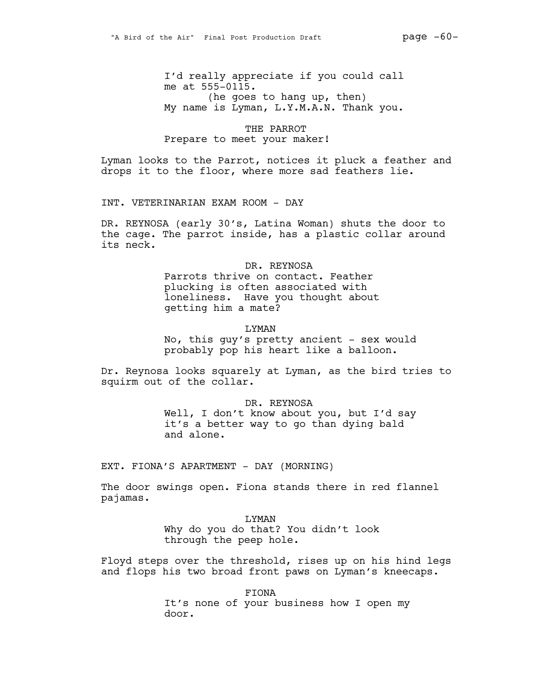I'd really appreciate if you could call me at 555-0115. (he goes to hang up, then) My name is Lyman, L.Y.M.A.N. Thank you.

THE PARROT Prepare to meet your maker!

Lyman looks to the Parrot, notices it pluck a feather and drops it to the floor, where more sad feathers lie.

INT. VETERINARIAN EXAM ROOM - DAY

DR. REYNOSA (early 30's, Latina Woman) shuts the door to the cage. The parrot inside, has a plastic collar around its neck.

> DR. REYNOSA Parrots thrive on contact. Feather plucking is often associated with loneliness. Have you thought about getting him a mate?

> > LYMAN

No, this guy's pretty ancient - sex would probably pop his heart like a balloon.

Dr. Reynosa looks squarely at Lyman, as the bird tries to squirm out of the collar.

DR. REYNOSA

Well, I don't know about you, but I'd say it's a better way to go than dying bald and alone.

EXT. FIONA'S APARTMENT - DAY (MORNING)

The door swings open. Fiona stands there in red flannel pajamas.

LYMAN

Why do you do that? You didn't look through the peep hole.

Floyd steps over the threshold, rises up on his hind legs and flops his two broad front paws on Lyman's kneecaps.

> FIONA It's none of your business how I open my door.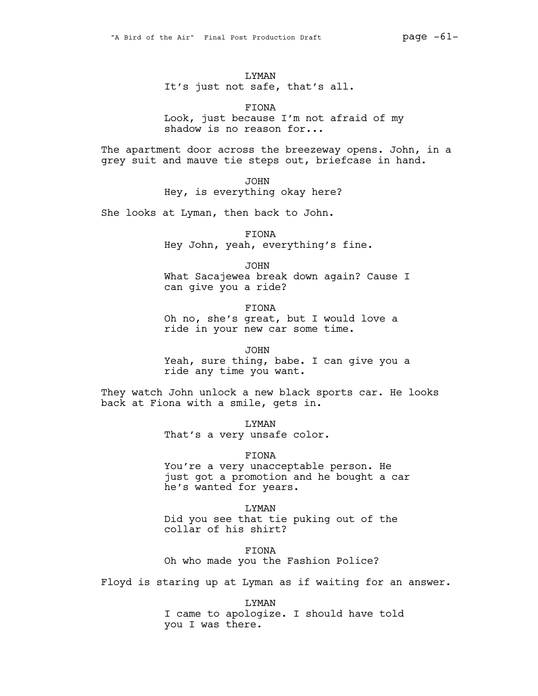# LYMAN

It's just not safe, that's all.

FIONA

Look, just because I'm not afraid of my shadow is no reason for...

The apartment door across the breezeway opens. John, in a grey suit and mauve tie steps out, briefcase in hand.

JOHN

Hey, is everything okay here?

She looks at Lyman, then back to John.

FIONA

Hey John, yeah, everything's fine.

JOHN

What Sacajewea break down again? Cause I can give you a ride?

FIONA Oh no, she's great, but I would love a ride in your new car some time.

JOHN

Yeah, sure thing, babe. I can give you a ride any time you want.

They watch John unlock a new black sports car. He looks back at Fiona with a smile, gets in.

> LYMAN That's a very unsafe color.

collar of his shirt?

FIONA

You're a very unacceptable person. He just got a promotion and he bought a car he's wanted for years.

LYMAN Did you see that tie puking out of the

FIONA Oh who made you the Fashion Police?

Floyd is staring up at Lyman as if waiting for an answer.

LYMAN I came to apologize. I should have told you I was there.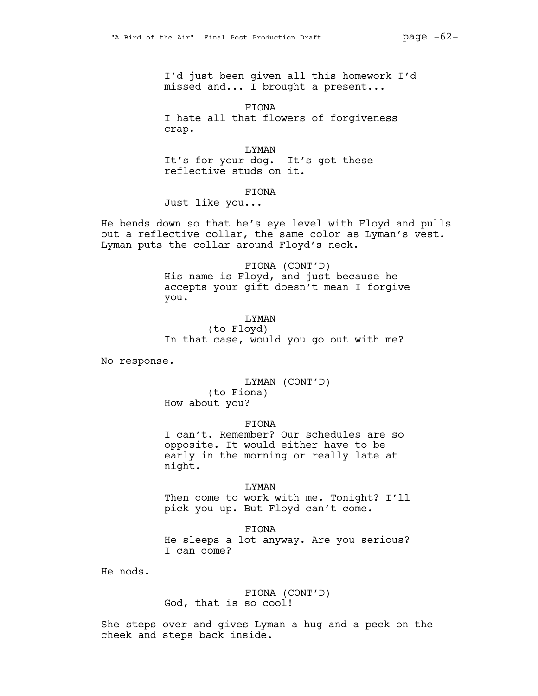I'd just been given all this homework I'd missed and... I brought a present...

FIONA I hate all that flowers of forgiveness crap.

LYMAN It's for your dog. It's got these reflective studs on it.

#### FIONA

Just like you...

He bends down so that he's eye level with Floyd and pulls out a reflective collar, the same color as Lyman's vest. Lyman puts the collar around Floyd's neck.

> FIONA (CONT'D) His name is Floyd, and just because he accepts your gift doesn't mean I forgive you.

#### LYMAN

(to Floyd) In that case, would you go out with me?

No response.

LYMAN (CONT'D) (to Fiona) How about you?

### FIONA

I can't. Remember? Our schedules are so opposite. It would either have to be early in the morning or really late at night.

LYMAN

Then come to work with me. Tonight? I'll pick you up. But Floyd can't come.

FIONA

He sleeps a lot anyway. Are you serious? I can come?

He nods.

FIONA (CONT'D) God, that is so cool!

She steps over and gives Lyman a hug and a peck on the cheek and steps back inside.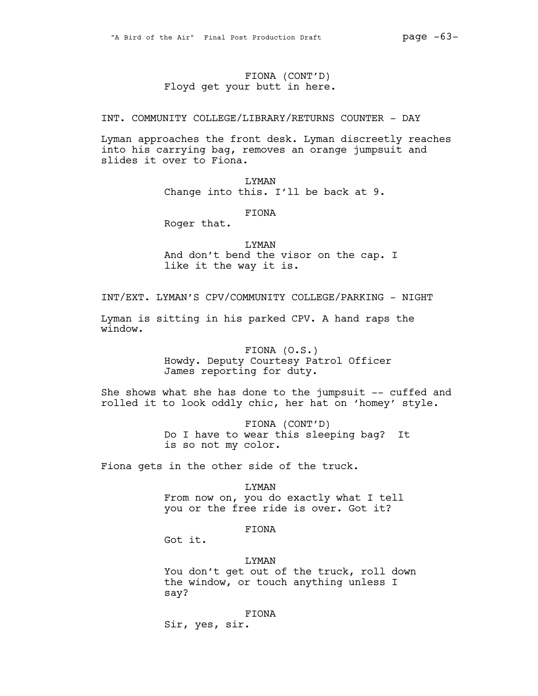# FIONA (CONT'D) Floyd get your butt in here.

INT. COMMUNITY COLLEGE/LIBRARY/RETURNS COUNTER - DAY

Lyman approaches the front desk. Lyman discreetly reaches into his carrying bag, removes an orange jumpsuit and slides it over to Fiona.

> LYMAN Change into this. I'll be back at 9.

# FIONA

Roger that.

**T.YMAN** And don't bend the visor on the cap. I like it the way it is.

INT/EXT. LYMAN'S CPV/COMMUNITY COLLEGE/PARKING - NIGHT

Lyman is sitting in his parked CPV. A hand raps the window.

> FIONA (O.S.) Howdy. Deputy Courtesy Patrol Officer James reporting for duty.

She shows what she has done to the jumpsuit -- cuffed and rolled it to look oddly chic, her hat on 'homey' style.

> FIONA (CONT'D) Do I have to wear this sleeping bag? It is so not my color.

Fiona gets in the other side of the truck.

### LYMAN

From now on, you do exactly what I tell you or the free ride is over. Got it?

# FIONA

Got it.

### LYMAN

You don't get out of the truck, roll down the window, or touch anything unless I say?

FIONA

Sir, yes, sir.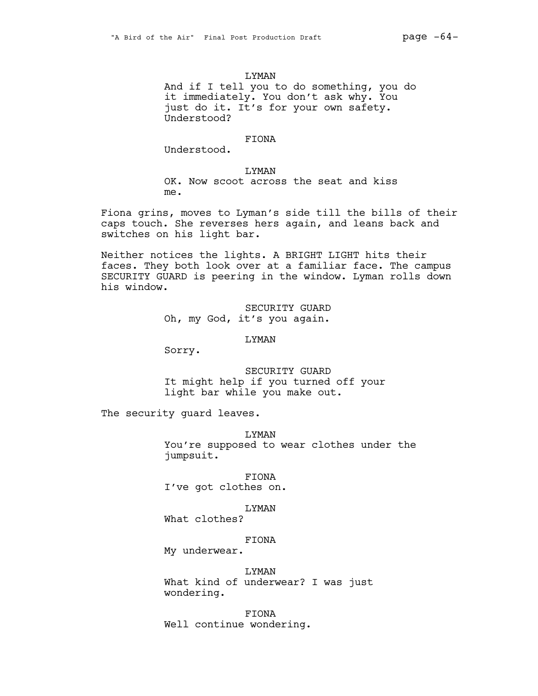### LYMAN

And if I tell you to do something, you do it immediately. You don't ask why. You just do it. It's for your own safety. Understood?

# FIONA

Understood.

### LYMAN

OK. Now scoot across the seat and kiss me.

Fiona grins, moves to Lyman's side till the bills of their caps touch. She reverses hers again, and leans back and switches on his light bar.

Neither notices the lights. A BRIGHT LIGHT hits their faces. They both look over at a familiar face. The campus SECURITY GUARD is peering in the window. Lyman rolls down his window.

> SECURITY GUARD Oh, my God, it's you again.

## LYMAN

Sorry.

SECURITY GUARD It might help if you turned off your light bar while you make out.

The security guard leaves.

LYMAN You're supposed to wear clothes under the jumpsuit.

FIONA I've got clothes on.

# LYMAN

What clothes?

### FIONA

My underwear.

LYMAN What kind of underwear? I was just wondering.

FIONA Well continue wondering.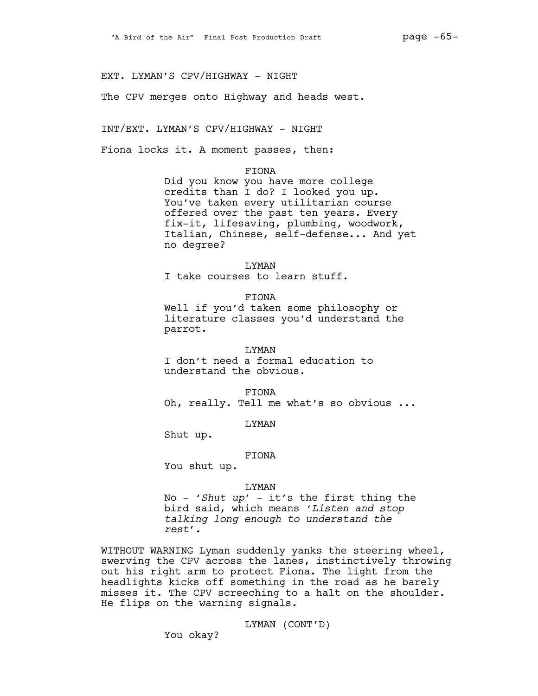EXT. LYMAN'S CPV/HIGHWAY - NIGHT

The CPV merges onto Highway and heads west.

INT/EXT. LYMAN'S CPV/HIGHWAY - NIGHT

Fiona locks it. A moment passes, then:

#### FIONA

Did you know you have more college credits than I do? I looked you up. You've taken every utilitarian course offered over the past ten years. Every fix-it, lifesaving, plumbing, woodwork, Italian, Chinese, self-defense... And yet no degree?

# LYMAN

I take courses to learn stuff.

# FIONA

Well if you'd taken some philosophy or literature classes you'd understand the parrot.

#### LYMAN

I don't need a formal education to understand the obvious.

FIONA

Oh, really. Tell me what's so obvious ...

### LYMAN

Shut up.

# FIONA

You shut up.

### LYMAN

No - '*Shut up*' - it's the first thing the bird said, which means *'Listen and stop talking long enough to understand the rest'.*

WITHOUT WARNING Lyman suddenly yanks the steering wheel, swerving the CPV across the lanes, instinctively throwing out his right arm to protect Fiona. The light from the headlights kicks off something in the road as he barely misses it. The CPV screeching to a halt on the shoulder. He flips on the warning signals.

LYMAN (CONT'D)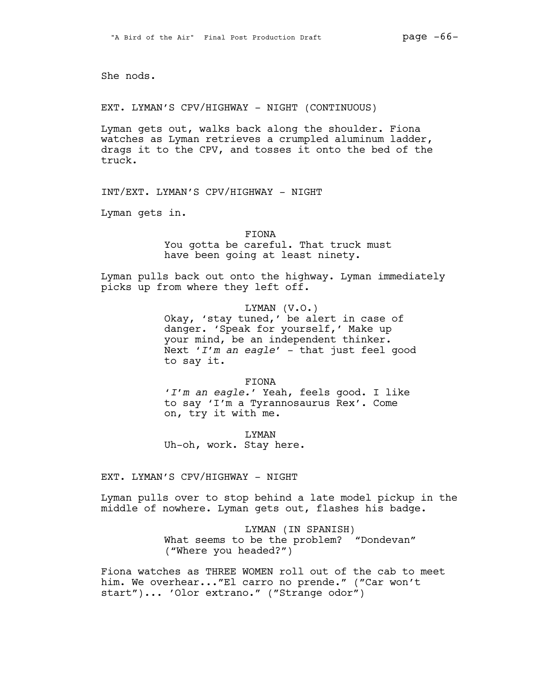She nods.

EXT. LYMAN'S CPV/HIGHWAY - NIGHT (CONTINUOUS)

Lyman gets out, walks back along the shoulder. Fiona watches as Lyman retrieves a crumpled aluminum ladder, drags it to the CPV, and tosses it onto the bed of the truck.

INT/EXT. LYMAN'S CPV/HIGHWAY - NIGHT

Lyman gets in.

FIONA

You gotta be careful. That truck must have been going at least ninety.

Lyman pulls back out onto the highway. Lyman immediately picks up from where they left off.

> LYMAN (V.O.) Okay, 'stay tuned,' be alert in case of danger. 'Speak for yourself,' Make up your mind, be an independent thinker. Next 'I'm an eagle' - that just feel good to say it.

FIONA '*I'm an eagle.*' Yeah, feels good. I like to say 'I'm a Tyrannosaurus Rex'. Come on, try it with me.

LYMAN Uh-oh, work. Stay here.

EXT. LYMAN'S CPV/HIGHWAY - NIGHT

Lyman pulls over to stop behind a late model pickup in the middle of nowhere. Lyman gets out, flashes his badge.

> LYMAN (IN SPANISH) What seems to be the problem? "Dondevan" ("Where you headed?")

Fiona watches as THREE WOMEN roll out of the cab to meet him. We overhear..."El carro no prende." ("Car won't start")... 'Olor extrano." ("Strange odor")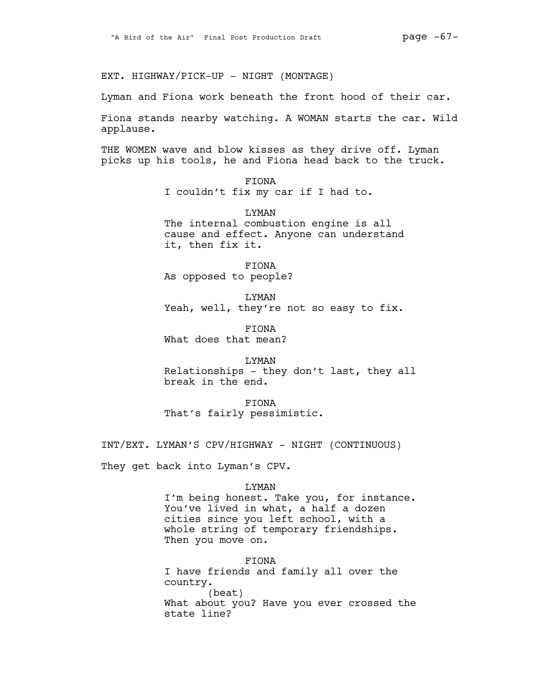EXT. HIGHWAY/PICK-UP - NIGHT (MONTAGE)

Lyman and Fiona work beneath the front hood of their car.

Fiona stands nearby watching. A WOMAN starts the car. Wild applause.

THE WOMEN wave and blow kisses as they drive off. Lyman picks up his tools, he and Fiona head back to the truck.

FIONA

I couldn't fix my car if I had to.

LYMAN The internal combustion engine is all cause and effect. Anyone can understand it, then fix it.

FIONA As opposed to people?

LYMAN Yeah, well, they're not so easy to fix.

FIONA What does that mean?

### LYMAN

Relationships - they don't last, they all break in the end.

FIONA That's fairly pessimistic.

INT/EXT. LYMAN'S CPV/HIGHWAY - NIGHT (CONTINUOUS)

They get back into Lyman's CPV.

### LYMAN

I'm being honest. Take you, for instance. You've lived in what, a half a dozen cities since you left school, with a whole string of temporary friendships. Then you move on.

FIONA I have friends and family all over the country. (beat) What about you? Have you ever crossed the state line?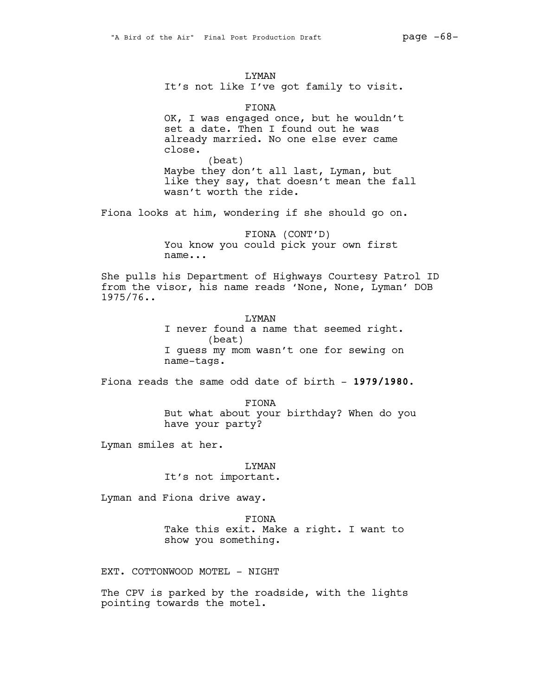LYMAN It's not like I've got family to visit.

FIONA OK, I was engaged once, but he wouldn't set a date. Then I found out he was already married. No one else ever came close. (beat) Maybe they don't all last, Lyman, but

like they say, that doesn't mean the fall wasn't worth the ride.

Fiona looks at him, wondering if she should go on.

FIONA (CONT'D) You know you could pick your own first name...

She pulls his Department of Highways Courtesy Patrol ID from the visor, his name reads 'None, None, Lyman' DOB  $1975/76...$ 

### **T.YMAN**

I never found a name that seemed right. (beat) I guess my mom wasn't one for sewing on name-tags.

Fiona reads the same odd date of birth - **1979/1980**.

FIONA But what about your birthday? When do you have your party?

Lyman smiles at her.

LYMAN It's not important.

Lyman and Fiona drive away.

FIONA Take this exit. Make a right. I want to show you something.

EXT. COTTONWOOD MOTEL - NIGHT

The CPV is parked by the roadside, with the lights pointing towards the motel.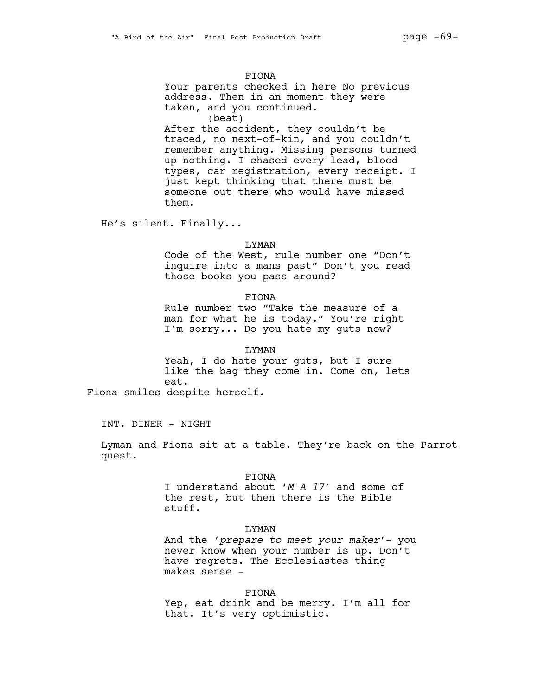#### FIONA

Your parents checked in here No previous address. Then in an moment they were taken, and you continued. (beat) After the accident, they couldn't be

traced, no next-of-kin, and you couldn't remember anything. Missing persons turned up nothing. I chased every lead, blood types, car registration, every receipt. I just kept thinking that there must be someone out there who would have missed them.

He's silent. Finally...

### LYMAN

Code of the West, rule number one "Don't inquire into a mans past" Don't you read those books you pass around?

### FIONA

Rule number two "Take the measure of a man for what he is today." You're right I'm sorry... Do you hate my guts now?

#### LYMAN

Yeah, I do hate your guts, but I sure like the bag they come in. Come on, lets eat.

Fiona smiles despite herself.

INT. DINER - NIGHT

Lyman and Fiona sit at a table. They're back on the Parrot quest.

### FIONA

I understand about '*M A 17'* and some of the rest, but then there is the Bible stuff.

#### LYMAN

And the '*prepare to meet your maker*'- you never know when your number is up. Don't have regrets. The Ecclesiastes thing makes sense -

#### FIONA

Yep, eat drink and be merry. I'm all for that. It's very optimistic.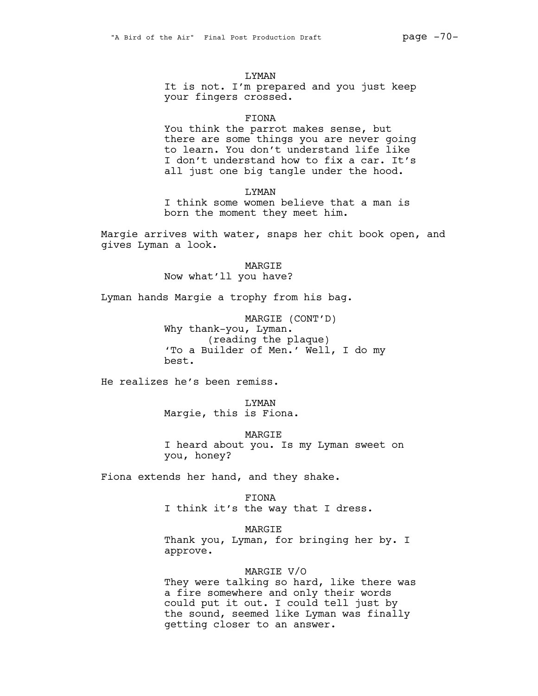### LYMAN

It is not. I'm prepared and you just keep your fingers crossed.

#### FIONA

You think the parrot makes sense, but there are some things you are never going to learn. You don't understand life like I don't understand how to fix a car. It's all just one big tangle under the hood.

### LYMAN

I think some women believe that a man is born the moment they meet him.

Margie arrives with water, snaps her chit book open, and gives Lyman a look.

> MARGIE Now what'll you have?

Lyman hands Margie a trophy from his bag.

MARGIE (CONT'D) Why thank-you, Lyman. (reading the plaque) 'To a Builder of Men.' Well, I do my best.

He realizes he's been remiss.

LYMAN

Margie, this is Fiona.

MARGIE

I heard about you. Is my Lyman sweet on you, honey?

Fiona extends her hand, and they shake.

FIONA

I think it's the way that I dress.

MARGIE

Thank you, Lyman, for bringing her by. I approve.

### MARGIE V/O

They were talking so hard, like there was a fire somewhere and only their words could put it out. I could tell just by the sound, seemed like Lyman was finally getting closer to an answer.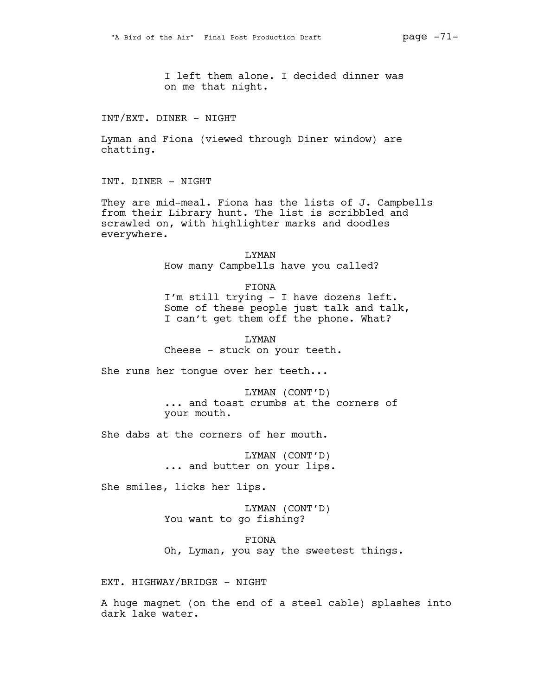I left them alone. I decided dinner was on me that night.

INT/EXT. DINER - NIGHT

Lyman and Fiona (viewed through Diner window) are chatting.

INT. DINER - NIGHT

They are mid-meal. Fiona has the lists of J. Campbells from their Library hunt. The list is scribbled and scrawled on, with highlighter marks and doodles everywhere.

> LYMAN How many Campbells have you called?

> > FIONA

I'm still trying - I have dozens left. Some of these people just talk and talk, I can't get them off the phone. What?

LYMAN Cheese - stuck on your teeth.

She runs her tongue over her teeth...

LYMAN (CONT'D) ... and toast crumbs at the corners of your mouth.

She dabs at the corners of her mouth.

LYMAN (CONT'D) ... and butter on your lips.

She smiles, licks her lips.

LYMAN (CONT'D) You want to go fishing?

FIONA Oh, Lyman, you say the sweetest things.

### EXT. HIGHWAY/BRIDGE - NIGHT

A huge magnet (on the end of a steel cable) splashes into dark lake water.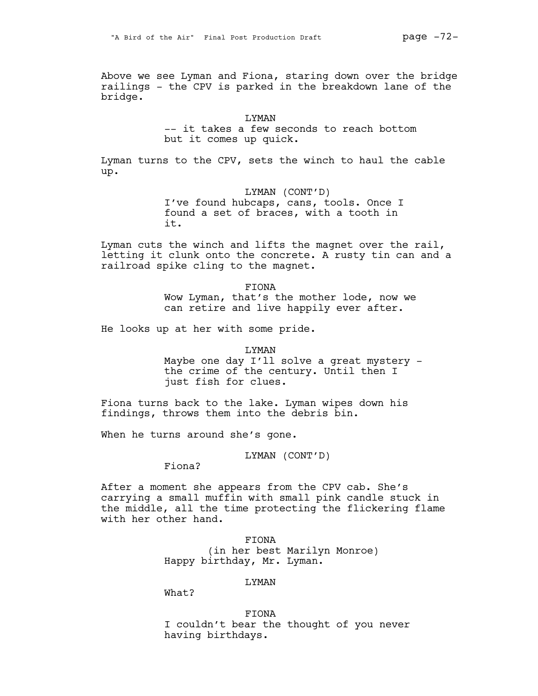Above we see Lyman and Fiona, staring down over the bridge railings - the CPV is parked in the breakdown lane of the bridge.

> LYMAN -- it takes a few seconds to reach bottom but it comes up quick.

Lyman turns to the CPV, sets the winch to haul the cable up.

> LYMAN (CONT'D) I've found hubcaps, cans, tools. Once I found a set of braces, with a tooth in it.

Lyman cuts the winch and lifts the magnet over the rail, letting it clunk onto the concrete. A rusty tin can and a railroad spike cling to the magnet.

FIONA

Wow Lyman, that's the mother lode, now we can retire and live happily ever after.

He looks up at her with some pride.

#### LYMAN

Maybe one day I'll solve a great mystery the crime of the century. Until then I just fish for clues.

Fiona turns back to the lake. Lyman wipes down his findings, throws them into the debris bin.

When he turns around she's gone.

LYMAN (CONT'D)

Fiona?

After a moment she appears from the CPV cab. She's carrying a small muffin with small pink candle stuck in the middle, all the time protecting the flickering flame with her other hand.

> FIONA (in her best Marilyn Monroe) Happy birthday, Mr. Lyman.

### LYMAN

What?

FIONA I couldn't bear the thought of you never having birthdays.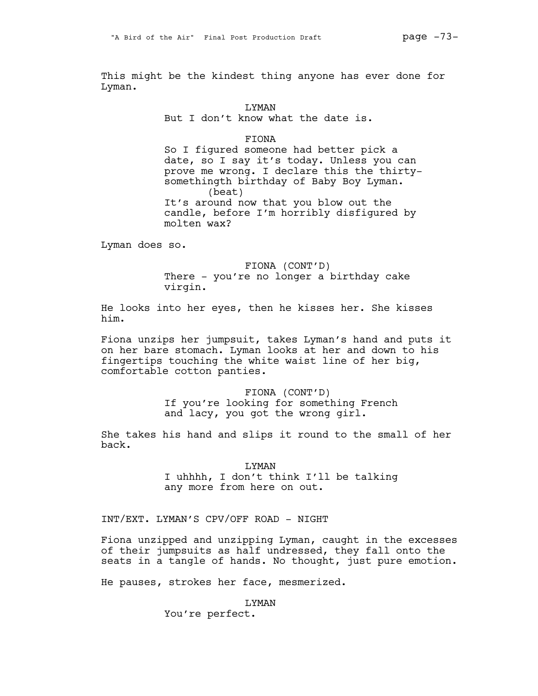This might be the kindest thing anyone has ever done for Lyman.

#### **T.YMAN**

But I don't know what the date is.

### FIONA

So I figured someone had better pick a date, so I say it's today. Unless you can prove me wrong. I declare this the thirtysomethingth birthday of Baby Boy Lyman. (beat) It's around now that you blow out the candle, before I'm horribly disfigured by molten wax?

Lyman does so.

FIONA (CONT'D) There - you're no longer a birthday cake virgin.

He looks into her eyes, then he kisses her. She kisses him.

Fiona unzips her jumpsuit, takes Lyman's hand and puts it on her bare stomach. Lyman looks at her and down to his fingertips touching the white waist line of her big, comfortable cotton panties.

> FIONA (CONT'D) If you're looking for something French and lacy, you got the wrong girl.

She takes his hand and slips it round to the small of her back.

LYMAN

I uhhhh, I don't think I'll be talking any more from here on out.

INT/EXT. LYMAN'S CPV/OFF ROAD - NIGHT

Fiona unzipped and unzipping Lyman, caught in the excesses of their jumpsuits as half undressed, they fall onto the seats in a tangle of hands. No thought, just pure emotion.

He pauses, strokes her face, mesmerized.

LYMAN

You're perfect.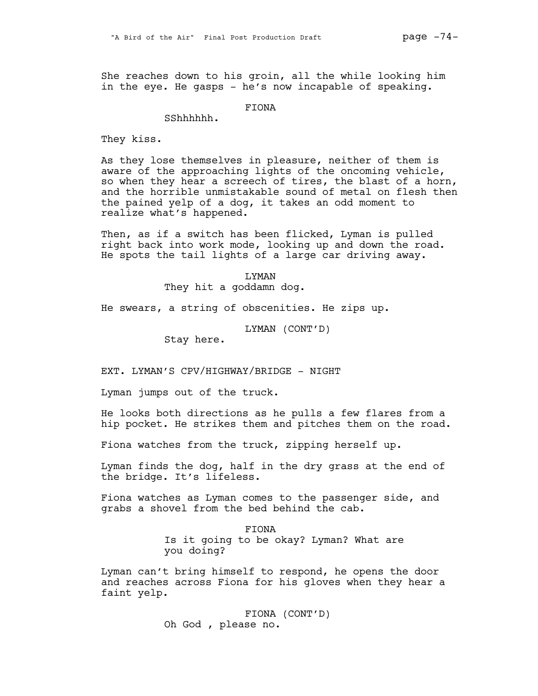She reaches down to his groin, all the while looking him in the eye. He gasps - he's now incapable of speaking.

# FIONA

SShhhhhh.

They kiss.

As they lose themselves in pleasure, neither of them is aware of the approaching lights of the oncoming vehicle, so when they hear a screech of tires, the blast of a horn, and the horrible unmistakable sound of metal on flesh then the pained yelp of a dog, it takes an odd moment to realize what's happened.

Then, as if a switch has been flicked, Lyman is pulled right back into work mode, looking up and down the road. He spots the tail lights of a large car driving away.

> LYMAN They hit a goddamn dog.

He swears, a string of obscenities. He zips up.

LYMAN (CONT'D)

Stay here.

EXT. LYMAN'S CPV/HIGHWAY/BRIDGE - NIGHT

Lyman jumps out of the truck.

He looks both directions as he pulls a few flares from a hip pocket. He strikes them and pitches them on the road.

Fiona watches from the truck, zipping herself up.

Lyman finds the dog, half in the dry grass at the end of the bridge. It's lifeless.

Fiona watches as Lyman comes to the passenger side, and grabs a shovel from the bed behind the cab.

> FIONA Is it going to be okay? Lyman? What are you doing?

Lyman can't bring himself to respond, he opens the door and reaches across Fiona for his gloves when they hear a faint yelp.

> FIONA (CONT'D) Oh God , please no.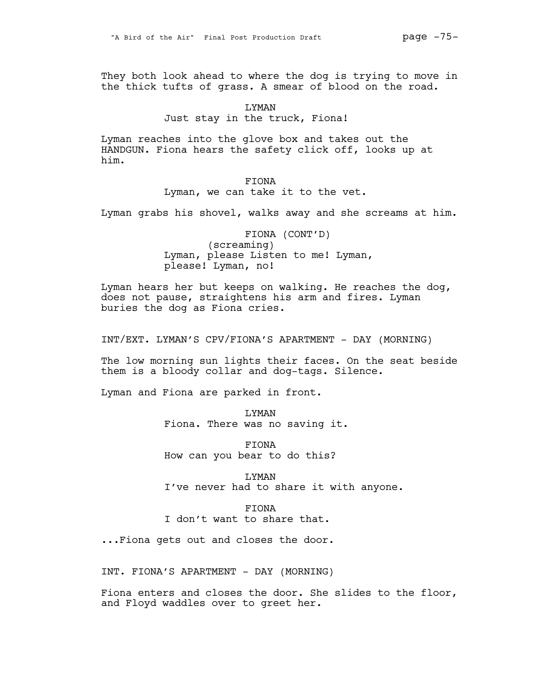They both look ahead to where the dog is trying to move in the thick tufts of grass. A smear of blood on the road.

# LYMAN Just stay in the truck, Fiona!

Lyman reaches into the glove box and takes out the HANDGUN. Fiona hears the safety click off, looks up at him.

> FIONA Lyman, we can take it to the vet.

Lyman grabs his shovel, walks away and she screams at him.

FIONA (CONT'D) (screaming) Lyman, please Listen to me! Lyman, please! Lyman, no!

Lyman hears her but keeps on walking. He reaches the dog, does not pause, straightens his arm and fires. Lyman buries the dog as Fiona cries.

INT/EXT. LYMAN'S CPV/FIONA'S APARTMENT - DAY (MORNING)

The low morning sun lights their faces. On the seat beside them is a bloody collar and dog-tags. Silence.

Lyman and Fiona are parked in front.

LYMAN Fiona. There was no saving it.

FIONA How can you bear to do this?

LYMAN I've never had to share it with anyone.

FIONA I don't want to share that.

...Fiona gets out and closes the door.

INT. FIONA'S APARTMENT - DAY (MORNING)

Fiona enters and closes the door. She slides to the floor, and Floyd waddles over to greet her.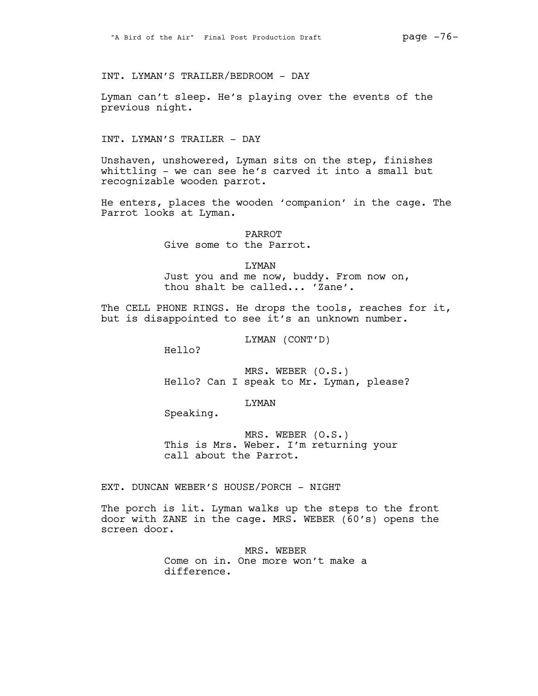INT. LYMAN'S TRAILER/BEDROOM - DAY

Lyman can't sleep. He's playing over the events of the previous night.

INT. LYMAN'S TRAILER - DAY

Unshaven, unshowered, Lyman sits on the step, finishes whittling - we can see he's carved it into a small but recognizable wooden parrot.

He enters, places the wooden 'companion' in the cage. The Parrot looks at Lyman.

> PARROT Give some to the Parrot.

> > LYMAN

Just you and me now, buddy. From now on, thou shalt be called... 'Zane'.

The CELL PHONE RINGS. He drops the tools, reaches for it, but is disappointed to see it's an unknown number.

LYMAN (CONT'D)

Hello?

MRS. WEBER (O.S.) Hello? Can I speak to Mr. Lyman, please?

LYMAN

Speaking.

MRS. WEBER (O.S.) This is Mrs. Weber. I'm returning your call about the Parrot.

EXT. DUNCAN WEBER'S HOUSE/PORCH - NIGHT

The porch is lit. Lyman walks up the steps to the front door with ZANE in the cage. MRS. WEBER (60's) opens the screen door.

> MRS. WEBER Come on in. One more won't make a difference.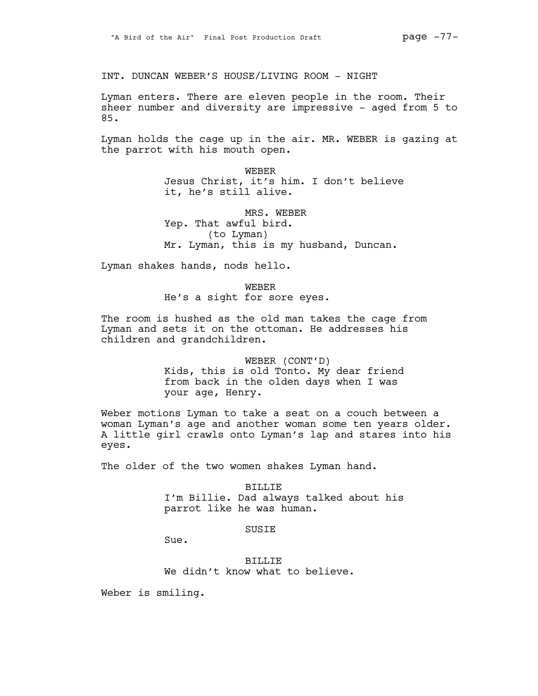INT. DUNCAN WEBER'S HOUSE/LIVING ROOM - NIGHT

Lyman enters. There are eleven people in the room. Their sheer number and diversity are impressive - aged from 5 to 85.

Lyman holds the cage up in the air. MR. WEBER is gazing at the parrot with his mouth open.

> WEBER Jesus Christ, it's him. I don't believe it, he's still alive.

MRS. WEBER Yep. That awful bird. (to Lyman) Mr. Lyman, this is my husband, Duncan.

Lyman shakes hands, nods hello.

WEBER He's a sight for sore eyes.

The room is hushed as the old man takes the cage from Lyman and sets it on the ottoman. He addresses his children and grandchildren.

WEBER (CONT'D)

Kids, this is old Tonto. My dear friend from back in the olden days when I was your age, Henry.

Weber motions Lyman to take a seat on a couch between a woman Lyman's age and another woman some ten years older. A little girl crawls onto Lyman's lap and stares into his eyes.

The older of the two women shakes Lyman hand.

BILLIE I'm Billie. Dad always talked about his parrot like he was human.

### **SUSTE**

Sue.

BILLIE We didn't know what to believe.

Weber is smiling.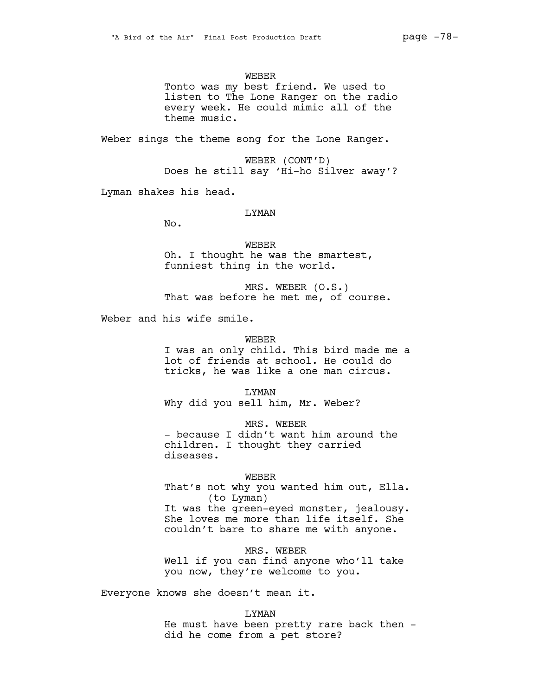#### WEBER

Tonto was my best friend. We used to listen to The Lone Ranger on the radio every week. He could mimic all of the theme music.

Weber sings the theme song for the Lone Ranger.

WEBER (CONT'D) Does he still say 'Hi-ho Silver away'?

Lyman shakes his head.

#### LYMAN

No.

WEBER Oh. I thought he was the smartest, funniest thing in the world.

MRS. WEBER (O.S.) That was before he met me, of course.

Weber and his wife smile.

### WEBER

I was an only child. This bird made me a lot of friends at school. He could do tricks, he was like a one man circus.

LYMAN Why did you sell him, Mr. Weber?

MRS. WEBER - because I didn't want him around the children. I thought they carried diseases.

#### WEBER

That's not why you wanted him out, Ella. (to Lyman) It was the green-eyed monster, jealousy. She loves me more than life itself. She

couldn't bare to share me with anyone.

MRS. WEBER

Well if you can find anyone who'll take you now, they're welcome to you.

Everyone knows she doesn't mean it.

### LYMAN

He must have been pretty rare back then did he come from a pet store?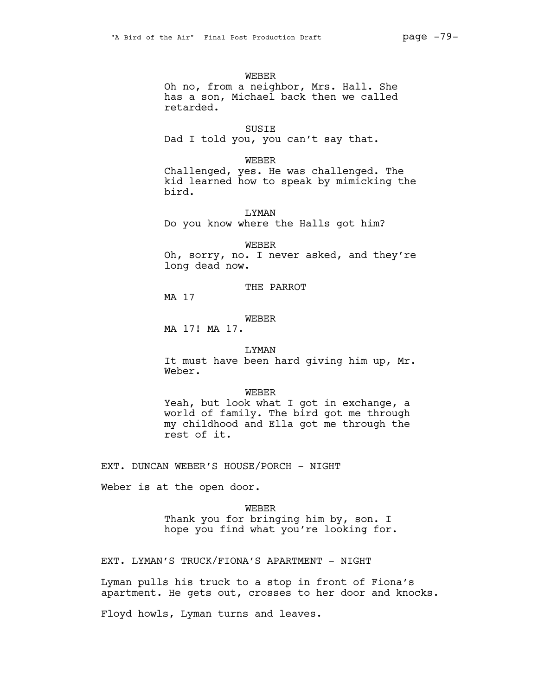### WEBER

Oh no, from a neighbor, Mrs. Hall. She has a son, Michael back then we called retarded.

SUSIE Dad I told you, you can't say that.

#### WEBER

Challenged, yes. He was challenged. The kid learned how to speak by mimicking the bird.

LYMAN Do you know where the Halls got him?

#### WEBER

Oh, sorry, no. I never asked, and they're long dead now.

### THE PARROT

MA 17

# WEBER

MA 17! MA 17.

#### LYMAN

It must have been hard giving him up, Mr. Weber.

#### WEBER

Yeah, but look what I got in exchange, a world of family. The bird got me through my childhood and Ella got me through the rest of it.

EXT. DUNCAN WEBER'S HOUSE/PORCH - NIGHT

Weber is at the open door.

#### WEBER

Thank you for bringing him by, son. I hope you find what you're looking for.

EXT. LYMAN'S TRUCK/FIONA'S APARTMENT - NIGHT

Lyman pulls his truck to a stop in front of Fiona's apartment. He gets out, crosses to her door and knocks.

Floyd howls, Lyman turns and leaves.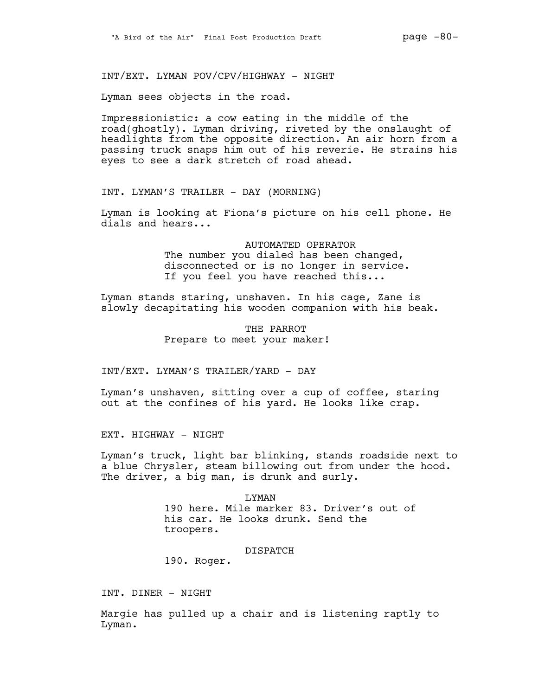INT/EXT. LYMAN POV/CPV/HIGHWAY - NIGHT

Lyman sees objects in the road.

Impressionistic: a cow eating in the middle of the road(ghostly). Lyman driving, riveted by the onslaught of headlights from the opposite direction. An air horn from a passing truck snaps him out of his reverie. He strains his eyes to see a dark stretch of road ahead.

INT. LYMAN'S TRAILER - DAY (MORNING)

Lyman is looking at Fiona's picture on his cell phone. He dials and hears...

> AUTOMATED OPERATOR The number you dialed has been changed, disconnected or is no longer in service. If you feel you have reached this...

Lyman stands staring, unshaven. In his cage, Zane is slowly decapitating his wooden companion with his beak.

> THE PARROT Prepare to meet your maker!

INT/EXT. LYMAN'S TRAILER/YARD - DAY

Lyman's unshaven, sitting over a cup of coffee, staring out at the confines of his yard. He looks like crap.

EXT. HIGHWAY - NIGHT

Lyman's truck, light bar blinking, stands roadside next to a blue Chrysler, steam billowing out from under the hood. The driver, a big man, is drunk and surly.

> LYMAN 190 here. Mile marker 83. Driver's out of his car. He looks drunk. Send the troopers.

### DISPATCH

190. Roger.

INT. DINER - NIGHT

Margie has pulled up a chair and is listening raptly to Lyman.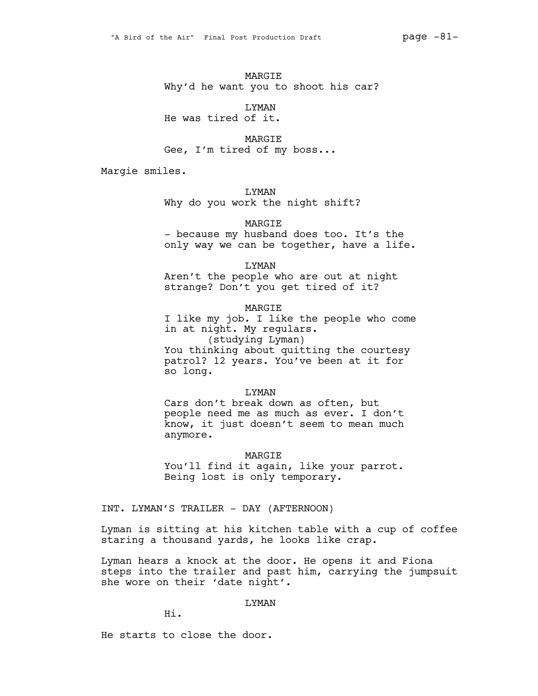### MARGIE Why'd he want you to shoot his car?

LYMAN He was tired of it.

MARGIE Gee, I'm tired of my boss...

Margie smiles.

LYMAN

Why do you work the night shift?

MARGIE

- because my husband does too. It's the only way we can be together, have a life.

LYMAN

Aren't the people who are out at night strange? Don't you get tired of it?

MARGIE

I like my job. I like the people who come in at night. My regulars. (studying Lyman) You thinking about quitting the courtesy patrol? 12 years. You've been at it for so long.

### LYMAN

Cars don't break down as often, but people need me as much as ever. I don't know, it just doesn't seem to mean much anymore.

MARGIE

You'll find it again, like your parrot. Being lost is only temporary.

INT. LYMAN'S TRAILER - DAY (AFTERNOON)

Lyman is sitting at his kitchen table with a cup of coffee staring a thousand yards, he looks like crap.

Lyman hears a knock at the door. He opens it and Fiona steps into the trailer and past him, carrying the jumpsuit she wore on their 'date night'.

# LYMAN

Hi.

He starts to close the door.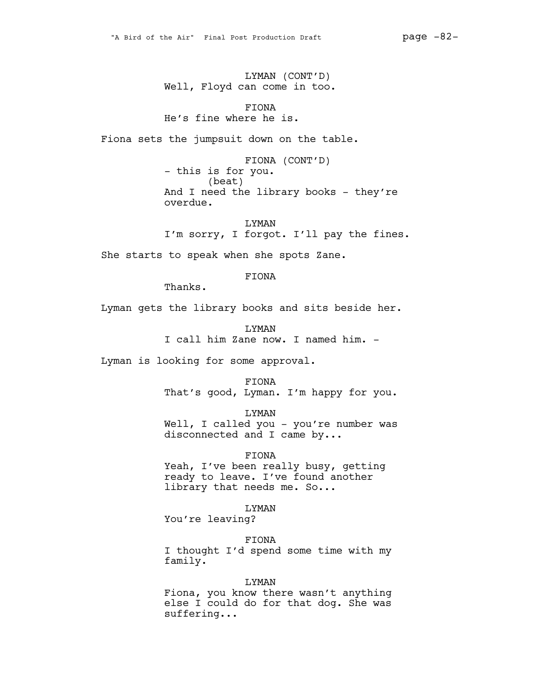LYMAN (CONT'D) Well, Floyd can come in too.

FIONA He's fine where he is.

Fiona sets the jumpsuit down on the table.

FIONA (CONT'D) - this is for you. (beat) And I need the library books - they're overdue.

LYMAN I'm sorry, I forgot. I'll pay the fines.

She starts to speak when she spots Zane.

# FIONA

Thanks.

Lyman gets the library books and sits beside her.

LYMAN I call him Zane now. I named him. -

Lyman is looking for some approval.

#### FIONA

That's good, Lyman. I'm happy for you.

#### LYMAN

Well, I called you - you're number was disconnected and I came by...

### FIONA

Yeah, I've been really busy, getting ready to leave. I've found another library that needs me. So...

# LYMAN

You're leaving?

FIONA I thought I'd spend some time with my family.

### LYMAN

Fiona, you know there wasn't anything else I could do for that dog. She was suffering...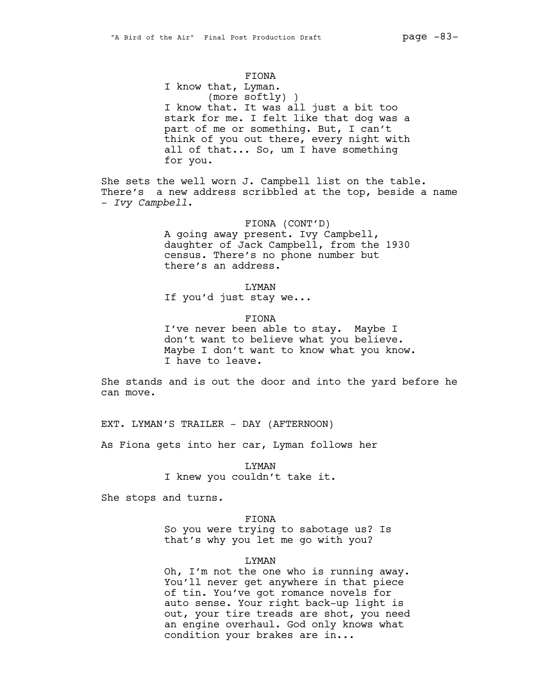### FIONA

I know that, Lyman. (more softly) ) I know that. It was all just a bit too stark for me. I felt like that dog was a part of me or something. But, I can't think of you out there, every night with all of that... So, um I have something for you.

She sets the well worn J. Campbell list on the table. There's a new address scribbled at the top, beside a name - *Ivy Campbell*.

### FIONA (CONT'D)

A going away present. Ivy Campbell, daughter of Jack Campbell, from the 1930 census. There's no phone number but there's an address.

### LYMAN

If you'd just stay we...

### FIONA

I've never been able to stay. Maybe I don't want to believe what you believe. Maybe I don't want to know what you know. I have to leave.

She stands and is out the door and into the yard before he can move.

EXT. LYMAN'S TRAILER - DAY (AFTERNOON)

As Fiona gets into her car, Lyman follows her

LYMAN I knew you couldn't take it.

She stops and turns.

#### FIONA

So you were trying to sabotage us? Is that's why you let me go with you?

#### LYMAN

Oh, I'm not the one who is running away. You'll never get anywhere in that piece of tin. You've got romance novels for auto sense. Your right back-up light is out, your tire treads are shot, you need an engine overhaul. God only knows what condition your brakes are in...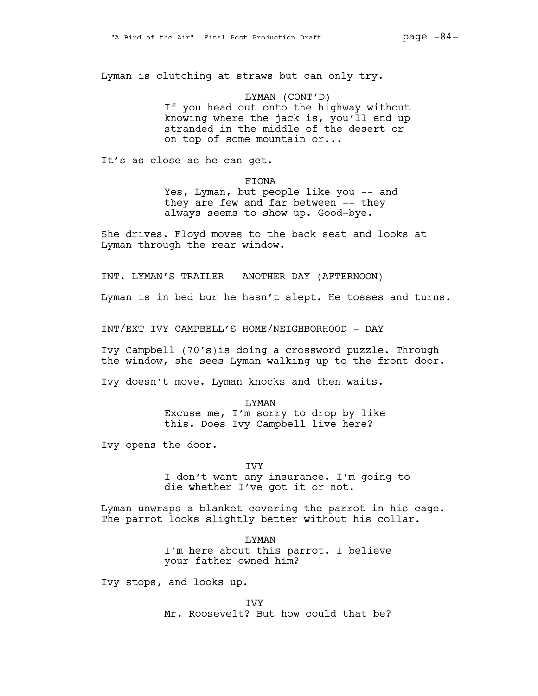Lyman is clutching at straws but can only try.

LYMAN (CONT'D) If you head out onto the highway without knowing where the jack is, you'll end up stranded in the middle of the desert or on top of some mountain or...

It's as close as he can get.

FIONA

Yes, Lyman, but people like you -- and they are few and far between -- they always seems to show up. Good-bye.

She drives. Floyd moves to the back seat and looks at Lyman through the rear window.

INT. LYMAN'S TRAILER - ANOTHER DAY (AFTERNOON)

Lyman is in bed bur he hasn't slept. He tosses and turns.

INT/EXT IVY CAMPBELL'S HOME/NEIGHBORHOOD - DAY

Ivy Campbell (70's)is doing a crossword puzzle. Through the window, she sees Lyman walking up to the front door.

Ivy doesn't move. Lyman knocks and then waits.

LYMAN

Excuse me, I'm sorry to drop by like this. Does Ivy Campbell live here?

Ivy opens the door.

IVY

I don't want any insurance. I'm going to die whether I've got it or not.

Lyman unwraps a blanket covering the parrot in his cage. The parrot looks slightly better without his collar.

> LYMAN I'm here about this parrot. I believe your father owned him?

Ivy stops, and looks up.

IVY Mr. Roosevelt? But how could that be?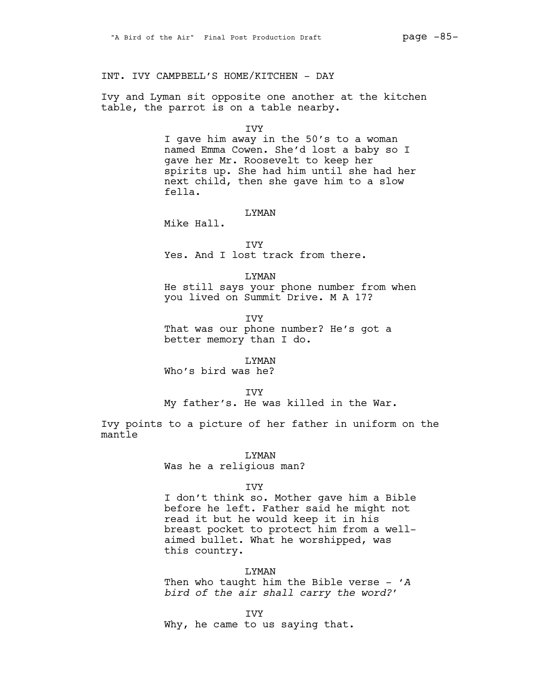### INT. IVY CAMPBELL'S HOME/KITCHEN - DAY

Ivy and Lyman sit opposite one another at the kitchen table, the parrot is on a table nearby.

#### IVY

I gave him away in the 50's to a woman named Emma Cowen. She'd lost a baby so I gave her Mr. Roosevelt to keep her spirits up. She had him until she had her next child, then she gave him to a slow fella.

### LYMAN

Mike Hall.

**TVY** Yes. And I lost track from there.

LYMAN

He still says your phone number from when you lived on Summit Drive. M A 17?

IVY

That was our phone number? He's got a better memory than I do.

LYMAN

Who's bird was he?

IVY

My father's. He was killed in the War.

Ivy points to a picture of her father in uniform on the mantle

LYMAN

Was he a religious man?

### IVY

I don't think so. Mother gave him a Bible before he left. Father said he might not read it but he would keep it in his breast pocket to protect him from a wellaimed bullet. What he worshipped, was this country.

LYMAN

Then who taught him the Bible verse - *'A bird of the air shall carry the word?*'

IVY Why, he came to us saying that.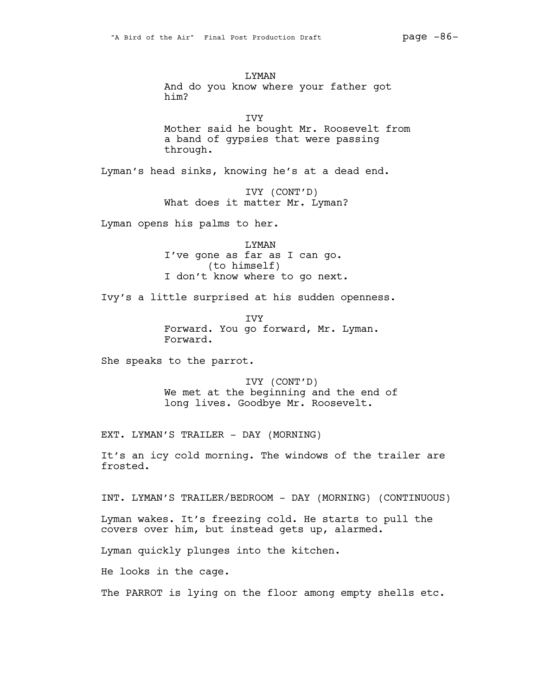LYMAN And do you know where your father got him?

**TVY** Mother said he bought Mr. Roosevelt from a band of gypsies that were passing through.

Lyman's head sinks, knowing he's at a dead end.

IVY (CONT'D) What does it matter Mr. Lyman?

Lyman opens his palms to her.

LYMAN I've gone as far as I can go. (to himself) I don't know where to go next.

Ivy's a little surprised at his sudden openness.

**TVY** Forward. You go forward, Mr. Lyman. Forward.

She speaks to the parrot.

IVY (CONT'D) We met at the beginning and the end of long lives. Goodbye Mr. Roosevelt.

EXT. LYMAN'S TRAILER - DAY (MORNING)

It's an icy cold morning. The windows of the trailer are frosted.

INT. LYMAN'S TRAILER/BEDROOM - DAY (MORNING) (CONTINUOUS)

Lyman wakes. It's freezing cold. He starts to pull the covers over him, but instead gets up, alarmed.

Lyman quickly plunges into the kitchen.

He looks in the cage.

The PARROT is lying on the floor among empty shells etc.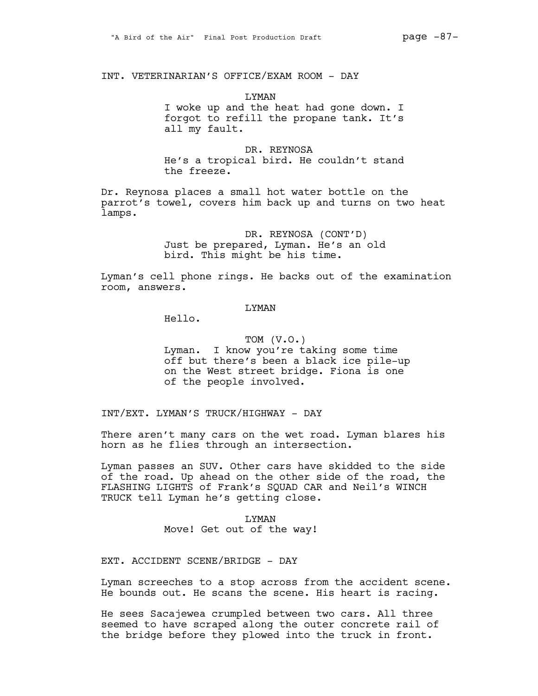### INT. VETERINARIAN'S OFFICE/EXAM ROOM - DAY

LYMAN I woke up and the heat had gone down. I forgot to refill the propane tank. It's all my fault.

DR. REYNOSA He's a tropical bird. He couldn't stand the freeze.

Dr. Reynosa places a small hot water bottle on the parrot's towel, covers him back up and turns on two heat lamps.

> DR. REYNOSA (CONT'D) Just be prepared, Lyman. He's an old bird. This might be his time.

Lyman's cell phone rings. He backs out of the examination room, answers.

#### LYMAN

Hello.

#### TOM (V.O.)

Lyman. I know you're taking some time off but there's been a black ice pile-up on the West street bridge. Fiona is one of the people involved.

INT/EXT. LYMAN'S TRUCK/HIGHWAY - DAY

There aren't many cars on the wet road. Lyman blares his horn as he flies through an intersection.

Lyman passes an SUV. Other cars have skidded to the side of the road. Up ahead on the other side of the road, the FLASHING LIGHTS of Frank's SQUAD CAR and Neil's WINCH TRUCK tell Lyman he's getting close.

> LYMAN Move! Get out of the way!

# EXT. ACCIDENT SCENE/BRIDGE - DAY

Lyman screeches to a stop across from the accident scene. He bounds out. He scans the scene. His heart is racing.

He sees Sacajewea crumpled between two cars. All three seemed to have scraped along the outer concrete rail of the bridge before they plowed into the truck in front.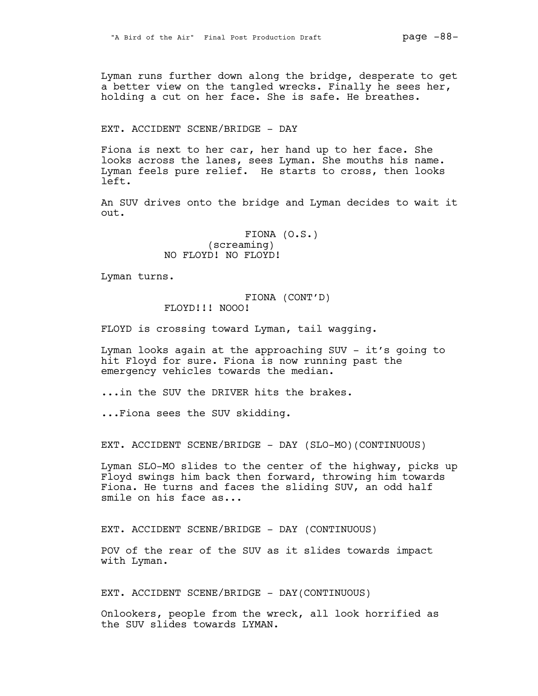Lyman runs further down along the bridge, desperate to get a better view on the tangled wrecks. Finally he sees her, holding a cut on her face. She is safe. He breathes.

### EXT. ACCIDENT SCENE/BRIDGE - DAY

Fiona is next to her car, her hand up to her face. She looks across the lanes, sees Lyman. She mouths his name. Lyman feels pure relief. He starts to cross, then looks left.

An SUV drives onto the bridge and Lyman decides to wait it out.

> FIONA (O.S.) (screaming) NO FLOYD! NO FLOYD!

Lyman turns.

# FIONA (CONT'D)

FLOYD!!! NOOO!

FLOYD is crossing toward Lyman, tail wagging.

Lyman looks again at the approaching SUV - it's going to hit Floyd for sure. Fiona is now running past the emergency vehicles towards the median.

...in the SUV the DRIVER hits the brakes.

...Fiona sees the SUV skidding.

EXT. ACCIDENT SCENE/BRIDGE - DAY (SLO-MO)(CONTINUOUS)

Lyman SLO-MO slides to the center of the highway, picks up Floyd swings him back then forward, throwing him towards Fiona. He turns and faces the sliding SUV, an odd half smile on his face as...

EXT. ACCIDENT SCENE/BRIDGE - DAY (CONTINUOUS)

POV of the rear of the SUV as it slides towards impact with Lyman.

EXT. ACCIDENT SCENE/BRIDGE - DAY(CONTINUOUS)

Onlookers, people from the wreck, all look horrified as the SUV slides towards LYMAN.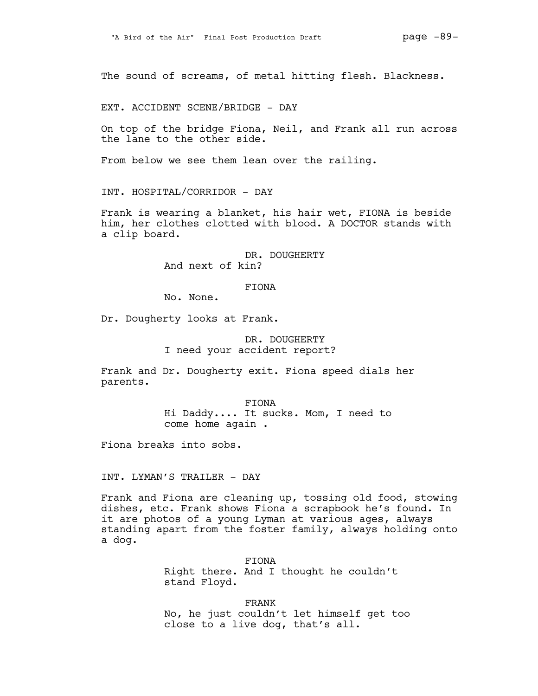The sound of screams, of metal hitting flesh. Blackness.

EXT. ACCIDENT SCENE/BRIDGE - DAY

On top of the bridge Fiona, Neil, and Frank all run across the lane to the other side.

From below we see them lean over the railing.

INT. HOSPITAL/CORRIDOR - DAY

Frank is wearing a blanket, his hair wet, FIONA is beside him, her clothes clotted with blood. A DOCTOR stands with a clip board.

> DR. DOUGHERTY And next of kin?

#### FIONA

No. None.

Dr. Dougherty looks at Frank.

DR. DOUGHERTY I need your accident report?

Frank and Dr. Dougherty exit. Fiona speed dials her parents.

> FIONA Hi Daddy.... It sucks. Mom, I need to come home again .

Fiona breaks into sobs.

INT. LYMAN'S TRAILER - DAY

Frank and Fiona are cleaning up, tossing old food, stowing dishes, etc. Frank shows Fiona a scrapbook he's found. In it are photos of a young Lyman at various ages, always standing apart from the foster family, always holding onto a dog.

> FIONA Right there. And I thought he couldn't stand Floyd.

FRANK No, he just couldn't let himself get too close to a live dog, that's all.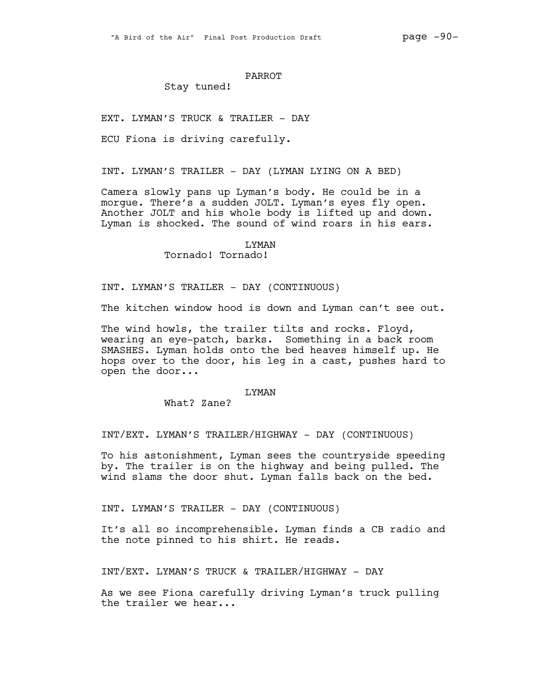#### PARROT

# Stay tuned!

EXT. LYMAN'S TRUCK & TRAILER - DAY

ECU Fiona is driving carefully.

INT. LYMAN'S TRAILER - DAY (LYMAN LYING ON A BED)

Camera slowly pans up Lyman's body. He could be in a morgue. There's a sudden JOLT. Lyman's eyes fly open. Another JOLT and his whole body is lifted up and down. Lyman is shocked. The sound of wind roars in his ears.

> **T.YMAN** Tornado! Tornado!

INT. LYMAN'S TRAILER - DAY (CONTINUOUS)

The kitchen window hood is down and Lyman can't see out.

The wind howls, the trailer tilts and rocks. Floyd, wearing an eye-patch, barks. Something in a back room SMASHES. Lyman holds onto the bed heaves himself up. He hops over to the door, his leg in a cast, pushes hard to open the door...

### LYMAN

What? Zane?

INT/EXT. LYMAN'S TRAILER/HIGHWAY - DAY (CONTINUOUS)

To his astonishment, Lyman sees the countryside speeding by. The trailer is on the highway and being pulled. The wind slams the door shut. Lyman falls back on the bed.

INT. LYMAN'S TRAILER - DAY (CONTINUOUS)

It's all so incomprehensible. Lyman finds a CB radio and the note pinned to his shirt. He reads.

INT/EXT. LYMAN'S TRUCK & TRAILER/HIGHWAY - DAY

As we see Fiona carefully driving Lyman's truck pulling the trailer we hear...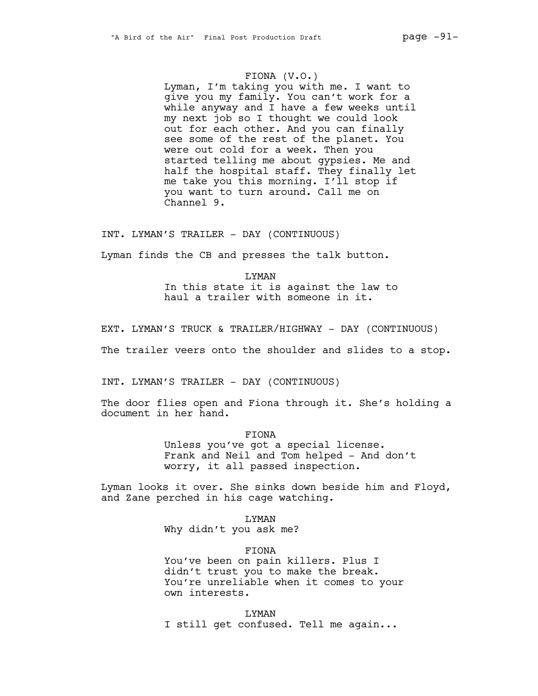#### FIONA (V.O.)

Lyman, I'm taking you with me. I want to give you my family. You can't work for a while anyway and I have a few weeks until my next job so I thought we could look out for each other. And you can finally see some of the rest of the planet. You were out cold for a week. Then you started telling me about gypsies. Me and half the hospital staff. They finally let me take you this morning. I'll stop if you want to turn around. Call me on Channel 9.

INT. LYMAN'S TRAILER - DAY (CONTINUOUS)

Lyman finds the CB and presses the talk button.

#### LYMAN

In this state it is against the law to haul a trailer with someone in it.

EXT. LYMAN'S TRUCK & TRAILER/HIGHWAY - DAY (CONTINUOUS)

The trailer veers onto the shoulder and slides to a stop.

INT. LYMAN'S TRAILER - DAY (CONTINUOUS)

The door flies open and Fiona through it. She's holding a document in her hand.

FIONA

Unless you've got a special license. Frank and Neil and Tom helped - And don't worry, it all passed inspection.

Lyman looks it over. She sinks down beside him and Floyd, and Zane perched in his cage watching.

LYMAN

Why didn't you ask me?

FIONA

You've been on pain killers. Plus I didn't trust you to make the break. You're unreliable when it comes to your own interests.

LYMAN I still get confused. Tell me again...